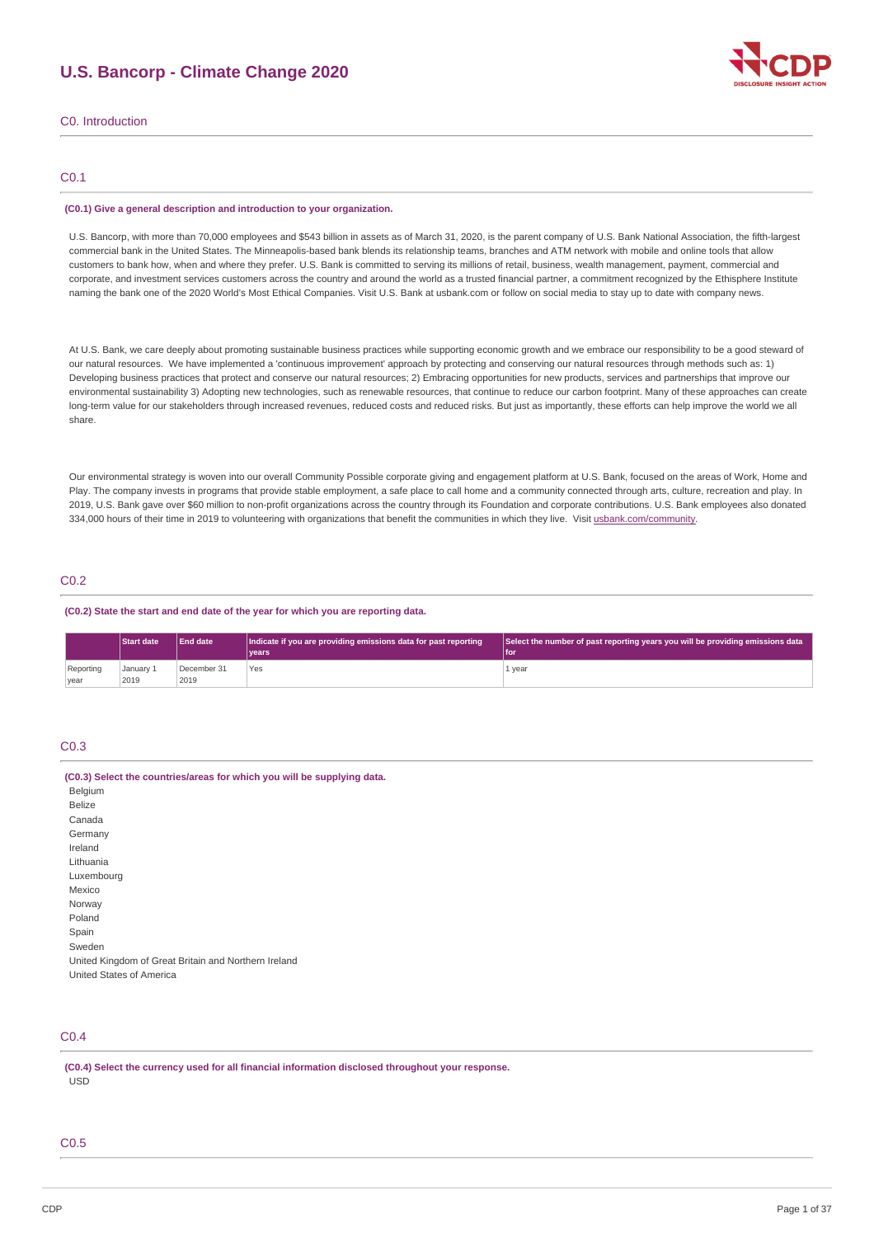# **U.S. Bancorp - Climate Change 2020**



C0. Introduction

## C0.1

#### **(C0.1) Give a general description and introduction to your organization.**

U.S. Bancorp, with more than 70,000 employees and \$543 billion in assets as of March 31, 2020, is the parent company of U.S. Bank National Association, the fifth-largest commercial bank in the United States. The Minneapolis-based bank blends its relationship teams, branches and ATM network with mobile and online tools that allow customers to bank how, when and where they prefer. U.S. Bank is committed to serving its millions of retail, business, wealth management, payment, commercial and corporate, and investment services customers across the country and around the world as a trusted financial partner, a commitment recognized by the Ethisphere Institute naming the bank one of the 2020 World's Most Ethical Companies. Visit U.S. Bank at usbank.com or follow on social media to stay up to date with company news.

At U.S. Bank, we care deeply about promoting sustainable business practices while supporting economic growth and we embrace our responsibility to be a good steward of our natural resources. We have implemented a 'continuous improvement' approach by protecting and conserving our natural resources through methods such as: 1) Developing business practices that protect and conserve our natural resources; 2) Embracing opportunities for new products, services and partnerships that improve our environmental sustainability 3) Adopting new technologies, such as renewable resources, that continue to reduce our carbon footprint. Many of these approaches can create long-term value for our stakeholders through increased revenues, reduced costs and reduced risks. But just as importantly, these efforts can help improve the world we all share.

Our environmental strategy is woven into our overall Community Possible corporate giving and engagement platform at U.S. Bank, focused on the areas of Work, Home and Play. The company invests in programs that provide stable employment, a safe place to call home and a community connected through arts, culture, recreation and play. In 2019, U.S. Bank gave over \$60 million to non-profit organizations across the country through its Foundation and corporate contributions. U.S. Bank employees also donated 334,000 hours of their time in 2019 to volunteering with organizations that benefit the communities in which they live. Visit [usbank.com/community](https://www.usbank.com/community/index.aspx).

### C0.2

### **(C0.2) State the start and end date of the year for which you are reporting data.**

|           | <b>Start date</b> | End date    | Indicate if you are providing emissions data for past reporting | Select the number of past reporting years you will be providing emissions data |
|-----------|-------------------|-------------|-----------------------------------------------------------------|--------------------------------------------------------------------------------|
|           |                   |             | <b>vears</b>                                                    | l fon                                                                          |
| Reporting | January 1         | December 31 | Yes                                                             | 1 year                                                                         |
| vear      | 2019              | 2019        |                                                                 |                                                                                |

## C0.3

| (C0.3) Select the countries/areas for which you will be supplying data. |
|-------------------------------------------------------------------------|
| Belgium                                                                 |
| <b>Belize</b>                                                           |
| Canada                                                                  |
| Germany                                                                 |
| Ireland                                                                 |
| Lithuania                                                               |
| Luxembourg                                                              |
| Mexico                                                                  |
| Norway                                                                  |
| Poland                                                                  |
| Spain                                                                   |
| Sweden                                                                  |
| United Kingdom of Great Britain and Northern Ireland                    |
| United States of America                                                |

## C0.4

**(C0.4) Select the currency used for all financial information disclosed throughout your response.** USD

## C0.5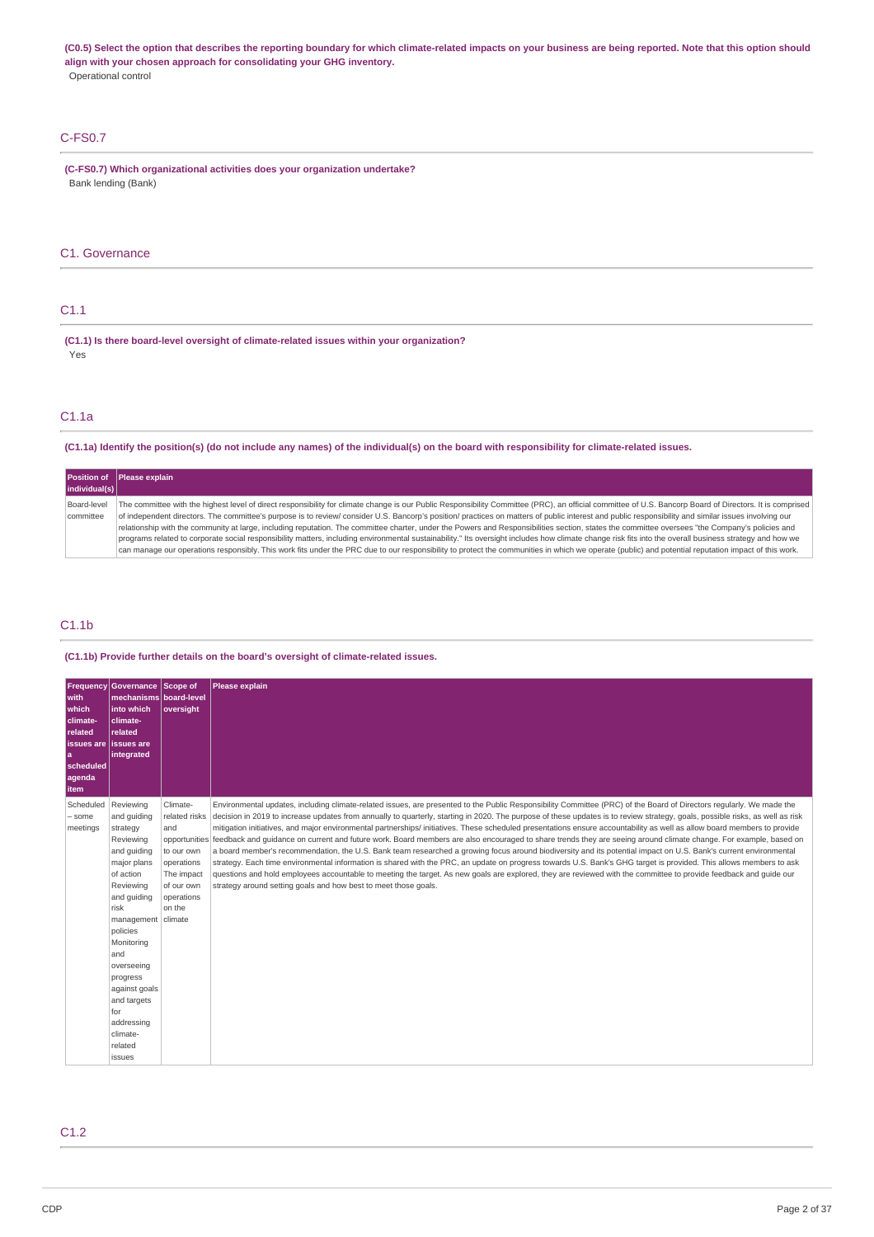(C0.5) Select the option that describes the reporting boundary for which climate-related impacts on your business are being reported. Note that this option should **align with your chosen approach for consolidating your GHG inventory.** Operational control

## C-FS0.7

**(C-FS0.7) Which organizational activities does your organization undertake?** Bank lending (Bank)

## C1. Governance

### C1.1

**(C1.1) Is there board-level oversight of climate-related issues within your organization?** Yes

## C1.1a

(C1.1a) Identify the position(s) (do not include any names) of the individual(s) on the board with responsibility for climate-related issues.

|               | <b>Position of Please explain</b>                                                                                                                                                                        |
|---------------|----------------------------------------------------------------------------------------------------------------------------------------------------------------------------------------------------------|
| individual(s) |                                                                                                                                                                                                          |
| Board-level   | The committee with the highest level of direct responsibility for climate change is our Public Responsibility Committee (PRC), an official committee of U.S. Bancorp Board of Directors. It is comprised |
| committee     | of independent directors. The committee's purpose is to review/ consider U.S. Bancorp's position/ practices on matters of public interest and public responsibility and similar issues involving our     |
|               | relationship with the community at large, including reputation. The committee charter, under the Powers and Responsibilities section, states the committee oversees "the Company's policies and          |
|               | programs related to corporate social responsibility matters, including environmental sustainability." Its oversight includes how climate change risk fits into the overall business strategy and how we  |
|               | can manage our operations responsibly. This work fits under the PRC due to our responsibility to protect the communities in which we operate (public) and potential reputation impact of this work.      |

### C1.1b

### **(C1.1b) Provide further details on the board's oversight of climate-related issues.**

| Frequency<br>with<br>which<br>climate-<br>related<br><b>issues</b> are<br>a<br>scheduled<br>agenda<br><b>item</b> | <b>Governance Scope of</b><br>mechanisms board-level<br>into which<br>climate-<br>related<br><b>lissues</b> are<br>integrated                                                                                                                                                                           | oversight                                                                                                        | Please explain                                                                                                                                                                                                                                                                                                                                                                                                                                                                                                                                                                                                                                                                                                                                                                                                                                                                                                                                                                                                                                                                                                                                                                                                                                                                                        |
|-------------------------------------------------------------------------------------------------------------------|---------------------------------------------------------------------------------------------------------------------------------------------------------------------------------------------------------------------------------------------------------------------------------------------------------|------------------------------------------------------------------------------------------------------------------|-------------------------------------------------------------------------------------------------------------------------------------------------------------------------------------------------------------------------------------------------------------------------------------------------------------------------------------------------------------------------------------------------------------------------------------------------------------------------------------------------------------------------------------------------------------------------------------------------------------------------------------------------------------------------------------------------------------------------------------------------------------------------------------------------------------------------------------------------------------------------------------------------------------------------------------------------------------------------------------------------------------------------------------------------------------------------------------------------------------------------------------------------------------------------------------------------------------------------------------------------------------------------------------------------------|
| Scheduled<br>- some<br>meetings                                                                                   | Reviewing<br>and quiding<br>strategy<br>Reviewing<br>and quiding<br>major plans<br>of action<br>Reviewing<br>and quiding<br>risk<br>management climate<br>policies<br>Monitoring<br>and<br>overseeing<br>progress<br>against goals<br>and targets<br>for<br>addressing<br>climate-<br>related<br>issues | Climate-<br>related risks<br>and<br>to our own<br>operations<br>The impact<br>of our own<br>operations<br>on the | Environmental updates, including climate-related issues, are presented to the Public Responsibility Committee (PRC) of the Board of Directors regularly. We made the<br>decision in 2019 to increase updates from annually to quarterly, starting in 2020. The purpose of these updates is to review strategy, goals, possible risks, as well as risk<br>mitigation initiatives, and major environmental partnerships/ initiatives. These scheduled presentations ensure accountability as well as allow board members to provide<br>opportunities feedback and quidance on current and future work. Board members are also encouraged to share trends they are seeing around climate change. For example, based on<br>a board member's recommendation, the U.S. Bank team researched a growing focus around biodiversity and its potential impact on U.S. Bank's current environmental<br>strategy. Each time environmental information is shared with the PRC, an update on progress towards U.S. Bank's GHG target is provided. This allows members to ask<br>questions and hold employees accountable to meeting the target. As new goals are explored, they are reviewed with the committee to provide feedback and quide our<br>strategy around setting goals and how best to meet those goals. |

## C1.2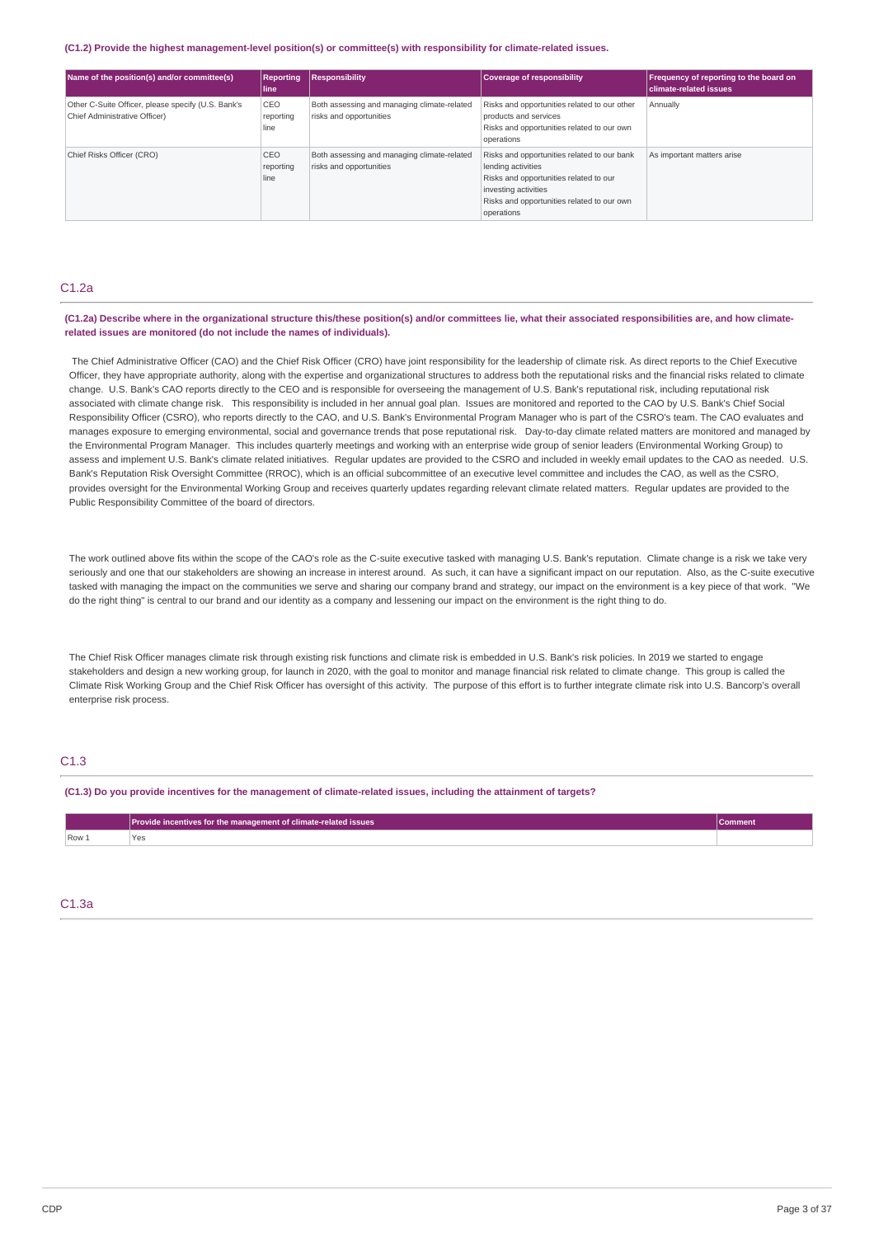#### **(C1.2) Provide the highest management-level position(s) or committee(s) with responsibility for climate-related issues.**

| Name of the position(s) and/or committee(s)                                         | <b>Reporting</b><br>l line | <b>Responsibility</b>                                                  | <b>Coverage of responsibility</b>                                                                                                                                                               | <b>Frequency of reporting to the board on</b><br><b>climate-related issues</b> |
|-------------------------------------------------------------------------------------|----------------------------|------------------------------------------------------------------------|-------------------------------------------------------------------------------------------------------------------------------------------------------------------------------------------------|--------------------------------------------------------------------------------|
| Other C-Suite Officer, please specify (U.S. Bank's<br>Chief Administrative Officer) | CEO<br>reporting<br>line   | Both assessing and managing climate-related<br>risks and opportunities | Risks and opportunities related to our other<br>products and services<br>Risks and opportunities related to our own<br>operations                                                               | Annually                                                                       |
| Chief Risks Officer (CRO)                                                           | CEO<br>reporting<br>line   | Both assessing and managing climate-related<br>risks and opportunities | Risks and opportunities related to our bank<br>lending activities<br>Risks and opportunities related to our<br>investing activities<br>Risks and opportunities related to our own<br>operations | As important matters arise                                                     |

## C1.2a

### (C1.2a) Describe where in the organizational structure this/these position(s) and/or committees lie, what their associated responsibilities are, and how climate**related issues are monitored (do not include the names of individuals).**

The Chief Administrative Officer (CAO) and the Chief Risk Officer (CRO) have joint responsibility for the leadership of climate risk. As direct reports to the Chief Executive Officer, they have appropriate authority, along with the expertise and organizational structures to address both the reputational risks and the financial risks related to climate change. U.S. Bank's CAO reports directly to the CEO and is responsible for overseeing the management of U.S. Bank's reputational risk, including reputational risk associated with climate change risk. This responsibility is included in her annual goal plan. Issues are monitored and reported to the CAO by U.S. Bank's Chief Social Responsibility Officer (CSRO), who reports directly to the CAO, and U.S. Bank's Environmental Program Manager who is part of the CSRO's team. The CAO evaluates and manages exposure to emerging environmental, social and governance trends that pose reputational risk. Day-to-day climate related matters are monitored and managed by the Environmental Program Manager. This includes quarterly meetings and working with an enterprise wide group of senior leaders (Environmental Working Group) to assess and implement U.S. Bank's climate related initiatives. Regular updates are provided to the CSRO and included in weekly email updates to the CAO as needed. U.S. Bank's Reputation Risk Oversight Committee (RROC), which is an official subcommittee of an executive level committee and includes the CAO, as well as the CSRO, provides oversight for the Environmental Working Group and receives quarterly updates regarding relevant climate related matters. Regular updates are provided to the Public Responsibility Committee of the board of directors.

The work outlined above fits within the scope of the CAO's role as the C-suite executive tasked with managing U.S. Bank's reputation. Climate change is a risk we take very seriously and one that our stakeholders are showing an increase in interest around. As such, it can have a significant impact on our reputation. Also, as the C-suite executive tasked with managing the impact on the communities we serve and sharing our company brand and strategy, our impact on the environment is a key piece of that work. "We do the right thing" is central to our brand and our identity as a company and lessening our impact on the environment is the right thing to do.

The Chief Risk Officer manages climate risk through existing risk functions and climate risk is embedded in U.S. Bank's risk policies. In 2019 we started to engage stakeholders and design a new working group, for launch in 2020, with the goal to monitor and manage financial risk related to climate change. This group is called the Climate Risk Working Group and the Chief Risk Officer has oversight of this activity. The purpose of this effort is to further integrate climate risk into U.S. Bancorp's overall enterprise risk process.

## C1.3

#### (C1.3) Do you provide incentives for the management of climate-related issues, including the attainment of targets?

|       | Provide incentives for the management of climate-related issues $^{\shortparallel}$ |  |
|-------|-------------------------------------------------------------------------------------|--|
| Row 1 |                                                                                     |  |

### C1.3a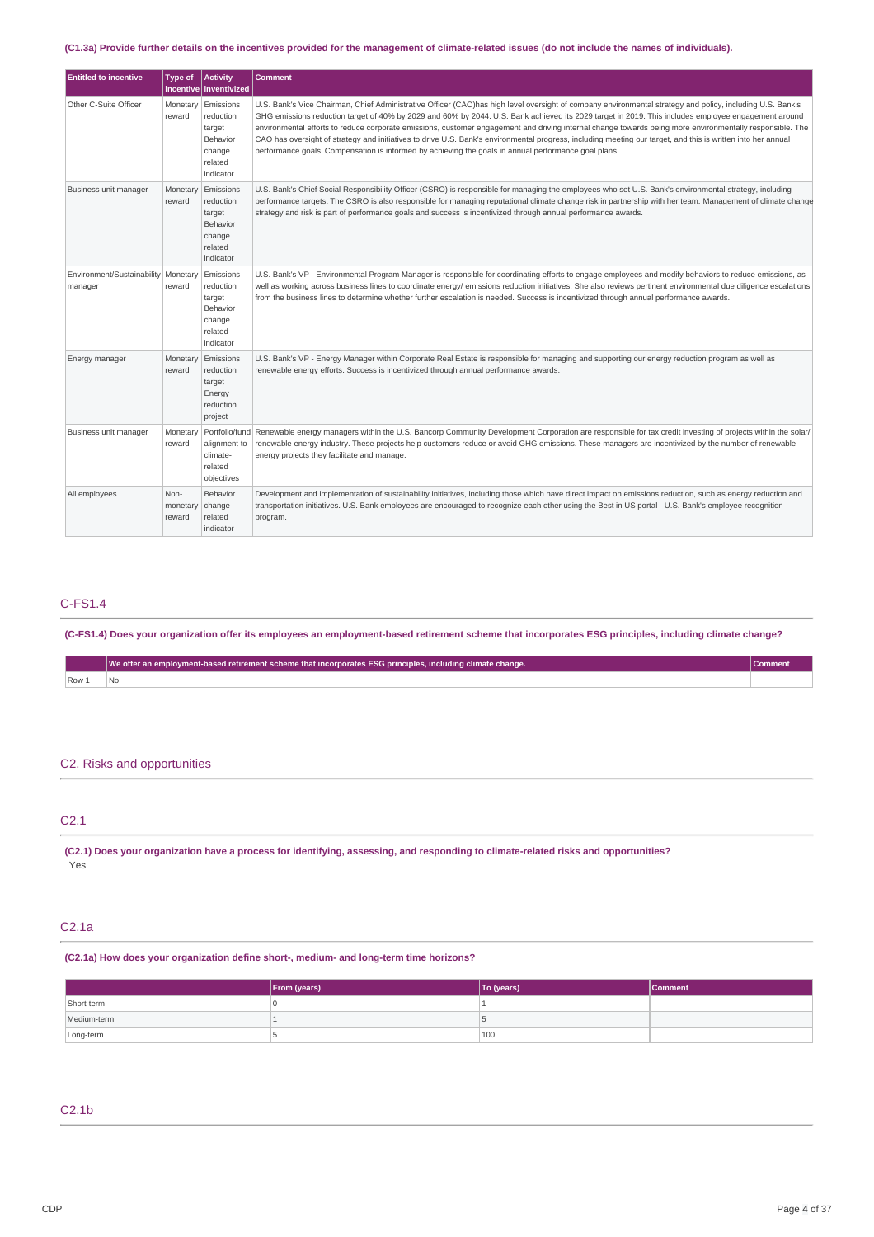### (C1.3a) Provide further details on the incentives provided for the management of climate-related issues (do not include the names of individuals).

| <b>Entitled to incentive</b>                     | <b>Type of</b>             | <b>Activity</b><br>incentive   inventivized                                    | <b>Comment</b>                                                                                                                                                                                                                                                                                                                                                                                                                                                                                                                                                                                                                                                                                                                                       |
|--------------------------------------------------|----------------------------|--------------------------------------------------------------------------------|------------------------------------------------------------------------------------------------------------------------------------------------------------------------------------------------------------------------------------------------------------------------------------------------------------------------------------------------------------------------------------------------------------------------------------------------------------------------------------------------------------------------------------------------------------------------------------------------------------------------------------------------------------------------------------------------------------------------------------------------------|
| Other C-Suite Officer                            | Monetary<br>reward         | Emissions<br>reduction<br>target<br>Behavior<br>change<br>related<br>indicator | U.S. Bank's Vice Chairman, Chief Administrative Officer (CAO)has high level oversight of company environmental strategy and policy, including U.S. Bank's<br>GHG emissions reduction target of 40% by 2029 and 60% by 2044. U.S. Bank achieved its 2029 target in 2019. This includes employee engagement around<br>environmental efforts to reduce corporate emissions, customer engagement and driving internal change towards being more environmentally responsible. The<br>CAO has oversight of strategy and initiatives to drive U.S. Bank's environmental progress, including meeting our target, and this is written into her annual<br>performance goals. Compensation is informed by achieving the goals in annual performance goal plans. |
| Business unit manager                            | Monetary<br>reward         | Emissions<br>reduction<br>target<br>Behavior<br>change<br>related<br>indicator | U.S. Bank's Chief Social Responsibility Officer (CSRO) is responsible for managing the employees who set U.S. Bank's environmental strategy, including<br>performance targets. The CSRO is also responsible for managing reputational climate change risk in partnership with her team. Management of climate change<br>strategy and risk is part of performance goals and success is incentivized through annual performance awards.                                                                                                                                                                                                                                                                                                                |
| Environment/Sustainability   Monetary<br>manager | reward                     | Emissions<br>reduction<br>target<br>Behavior<br>change<br>related<br>indicator | U.S. Bank's VP - Environmental Program Manager is responsible for coordinating efforts to engage employees and modify behaviors to reduce emissions, as<br>well as working across business lines to coordinate energy/ emissions reduction initiatives. She also reviews pertinent environmental due diligence escalations<br>from the business lines to determine whether further escalation is needed. Success is incentivized through annual performance awards.                                                                                                                                                                                                                                                                                  |
| Energy manager                                   | Monetary<br>reward         | Emissions<br>reduction<br>target<br>Energy<br>reduction<br>project             | U.S. Bank's VP - Energy Manager within Corporate Real Estate is responsible for managing and supporting our energy reduction program as well as<br>renewable energy efforts. Success is incentivized through annual performance awards.                                                                                                                                                                                                                                                                                                                                                                                                                                                                                                              |
| Business unit manager                            | Monetary<br>reward         | Portfolio/fund<br>alignment to<br>climate-<br>related<br>objectives            | Renewable energy managers within the U.S. Bancorp Community Development Corporation are responsible for tax credit investing of projects within the solar/<br>renewable energy industry. These projects help customers reduce or avoid GHG emissions. These managers are incentivized by the number of renewable<br>energy projects they facilitate and manage.                                                                                                                                                                                                                                                                                                                                                                                      |
| All employees                                    | Non-<br>monetary<br>reward | Behavior<br>change<br>related<br>indicator                                     | Development and implementation of sustainability initiatives, including those which have direct impact on emissions reduction, such as energy reduction and<br>transportation initiatives. U.S. Bank employees are encouraged to recognize each other using the Best in US portal - U.S. Bank's employee recognition<br>program.                                                                                                                                                                                                                                                                                                                                                                                                                     |

## C-FS1.4

(C-FS1.4) Does your organization offer its employees an employment-based retirement scheme that incorporates ESG principles, including climate change?

|     | We offer an employment-based retirement scheme that incorporates ESG principles, including climate change. | ∪omment |
|-----|------------------------------------------------------------------------------------------------------------|---------|
| Row |                                                                                                            |         |

## C2. Risks and opportunities

| C <sub>21</sub> |  |  |  |
|-----------------|--|--|--|
|                 |  |  |  |

(C2.1) Does your organization have a process for identifying, assessing, and responding to climate-related risks and opportunities? Yes

## C2.1a

**(C2.1a) How does your organization define short-, medium- and long-term time horizons?**

|             | From (years) | To (years) | <b>Comment</b> |
|-------------|--------------|------------|----------------|
| Short-term  |              |            |                |
| Medium-term |              |            |                |
| Long-term   |              | 100        |                |

## C2.1b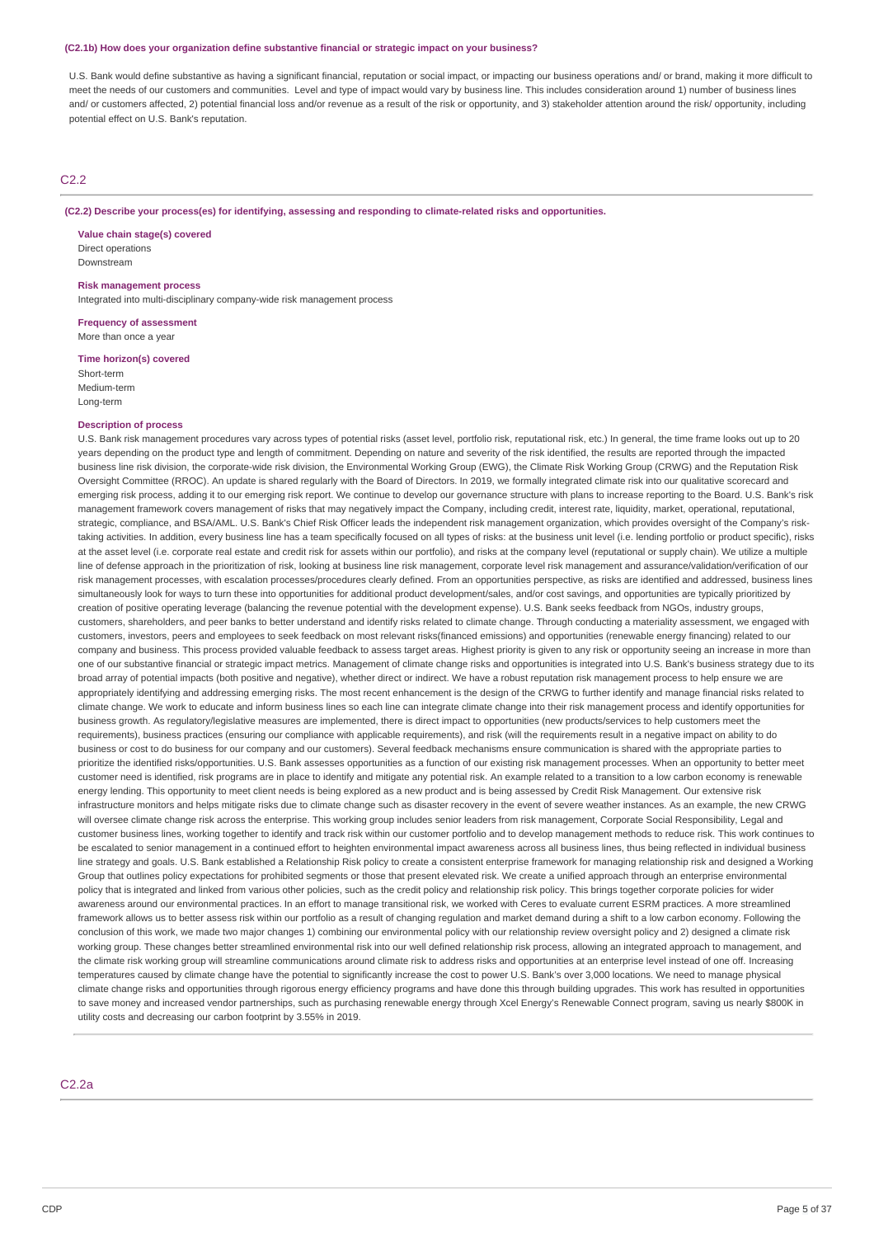#### **(C2.1b) How does your organization define substantive financial or strategic impact on your business?**

U.S. Bank would define substantive as having a significant financial, reputation or social impact, or impacting our business operations and/ or brand, making it more difficult to meet the needs of our customers and communities. Level and type of impact would vary by business line. This includes consideration around 1) number of business lines and/ or customers affected, 2) potential financial loss and/or revenue as a result of the risk or opportunity, and 3) stakeholder attention around the risk/ opportunity, including potential effect on U.S. Bank's reputation.

### C2.2

**(C2.2) Describe your process(es) for identifying, assessing and responding to climate-related risks and opportunities.**

**Value chain stage(s) covered** Direct operations Downstream

**Risk management process**

Integrated into multi-disciplinary company-wide risk management process

**Frequency of assessment** More than once a year

**Time horizon(s) covered** Short-term Medium-term Long-term

### **Description of process**

U.S. Bank risk management procedures vary across types of potential risks (asset level, portfolio risk, reputational risk, etc.) In general, the time frame looks out up to 20 years depending on the product type and length of commitment. Depending on nature and severity of the risk identified, the results are reported through the impacted business line risk division, the corporate-wide risk division, the Environmental Working Group (EWG), the Climate Risk Working Group (CRWG) and the Reputation Risk Oversight Committee (RROC). An update is shared regularly with the Board of Directors. In 2019, we formally integrated climate risk into our qualitative scorecard and emerging risk process, adding it to our emerging risk report. We continue to develop our governance structure with plans to increase reporting to the Board. U.S. Bank's risk management framework covers management of risks that may negatively impact the Company, including credit, interest rate, liquidity, market, operational, reputational, strategic, compliance, and BSA/AML. U.S. Bank's Chief Risk Officer leads the independent risk management organization, which provides oversight of the Company's risktaking activities. In addition, every business line has a team specifically focused on all types of risks: at the business unit level (i.e. lending portfolio or product specific), risks at the asset level (i.e. corporate real estate and credit risk for assets within our portfolio), and risks at the company level (reputational or supply chain). We utilize a multiple line of defense approach in the prioritization of risk, looking at business line risk management, corporate level risk management and assurance/validation/verification of our risk management processes, with escalation processes/procedures clearly defined. From an opportunities perspective, as risks are identified and addressed, business lines simultaneously look for ways to turn these into opportunities for additional product development/sales, and/or cost savings, and opportunities are typically prioritized by creation of positive operating leverage (balancing the revenue potential with the development expense). U.S. Bank seeks feedback from NGOs, industry groups, customers, shareholders, and peer banks to better understand and identify risks related to climate change. Through conducting a materiality assessment, we engaged with customers, investors, peers and employees to seek feedback on most relevant risks(financed emissions) and opportunities (renewable energy financing) related to our company and business. This process provided valuable feedback to assess target areas. Highest priority is given to any risk or opportunity seeing an increase in more than one of our substantive financial or strategic impact metrics. Management of climate change risks and opportunities is integrated into U.S. Bank's business strategy due to its broad array of potential impacts (both positive and negative), whether direct or indirect. We have a robust reputation risk management process to help ensure we are appropriately identifying and addressing emerging risks. The most recent enhancement is the design of the CRWG to further identify and manage financial risks related to climate change. We work to educate and inform business lines so each line can integrate climate change into their risk management process and identify opportunities for business growth. As regulatory/legislative measures are implemented, there is direct impact to opportunities (new products/services to help customers meet the requirements), business practices (ensuring our compliance with applicable requirements), and risk (will the requirements result in a negative impact on ability to do business or cost to do business for our company and our customers). Several feedback mechanisms ensure communication is shared with the appropriate parties to prioritize the identified risks/opportunities. U.S. Bank assesses opportunities as a function of our existing risk management processes. When an opportunity to better meet customer need is identified, risk programs are in place to identify and mitigate any potential risk. An example related to a transition to a low carbon economy is renewable energy lending. This opportunity to meet client needs is being explored as a new product and is being assessed by Credit Risk Management. Our extensive risk infrastructure monitors and helps mitigate risks due to climate change such as disaster recovery in the event of severe weather instances. As an example, the new CRWG will oversee climate change risk across the enterprise. This working group includes senior leaders from risk management, Corporate Social Responsibility, Legal and customer business lines, working together to identify and track risk within our customer portfolio and to develop management methods to reduce risk. This work continues to be escalated to senior management in a continued effort to heighten environmental impact awareness across all business lines, thus being reflected in individual business line strategy and goals. U.S. Bank established a Relationship Risk policy to create a consistent enterprise framework for managing relationship risk and designed a Working Group that outlines policy expectations for prohibited segments or those that present elevated risk. We create a unified approach through an enterprise environmental policy that is integrated and linked from various other policies, such as the credit policy and relationship risk policy. This brings together corporate policies for wider awareness around our environmental practices. In an effort to manage transitional risk, we worked with Ceres to evaluate current ESRM practices. A more streamlined framework allows us to better assess risk within our portfolio as a result of changing regulation and market demand during a shift to a low carbon economy. Following the conclusion of this work, we made two major changes 1) combining our environmental policy with our relationship review oversight policy and 2) designed a climate risk working group. These changes better streamlined environmental risk into our well defined relationship risk process, allowing an integrated approach to management, and the climate risk working group will streamline communications around climate risk to address risks and opportunities at an enterprise level instead of one off. Increasing temperatures caused by climate change have the potential to significantly increase the cost to power U.S. Bank's over 3,000 locations. We need to manage physical climate change risks and opportunities through rigorous energy efficiency programs and have done this through building upgrades. This work has resulted in opportunities to save money and increased vendor partnerships, such as purchasing renewable energy through Xcel Energy's Renewable Connect program, saving us nearly \$800K in utility costs and decreasing our carbon footprint by 3.55% in 2019.

## C2.2a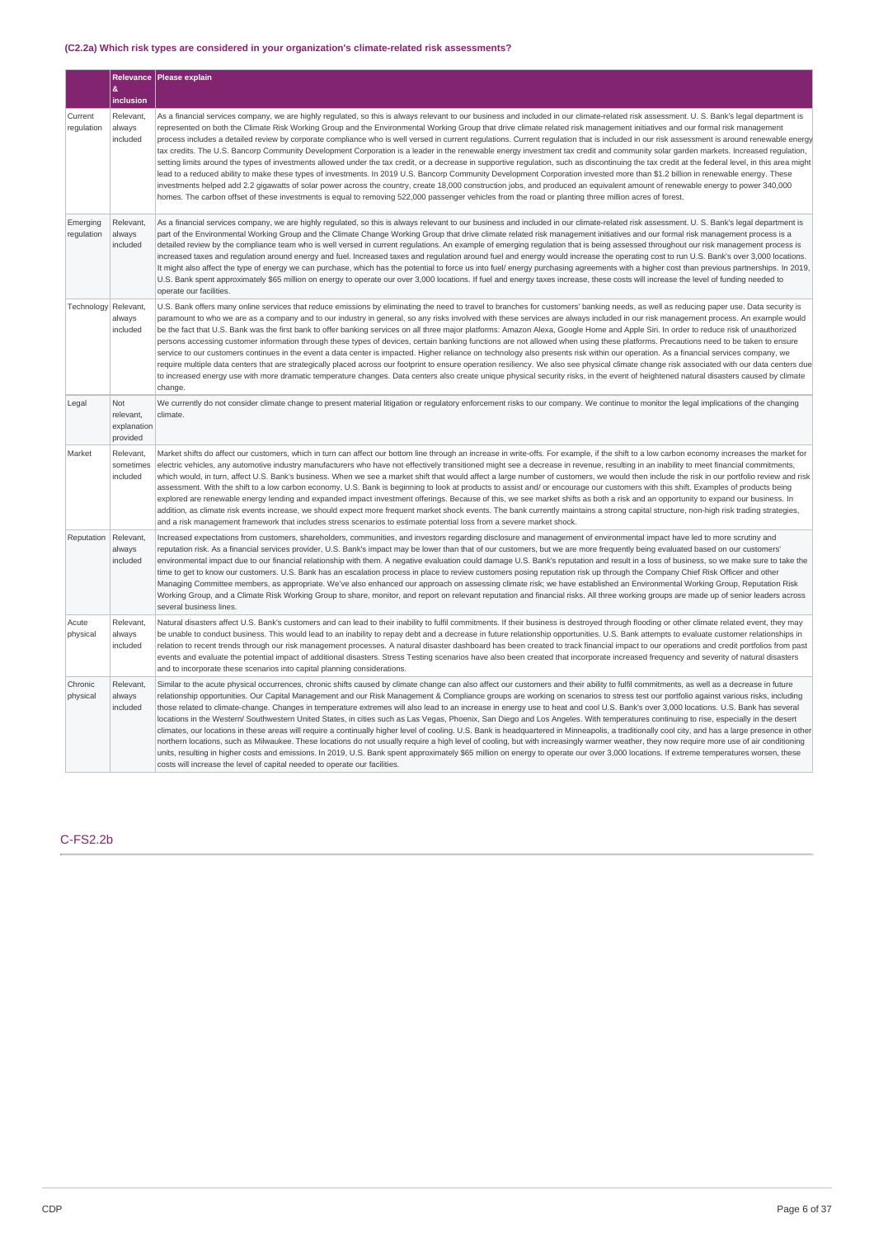## **(C2.2a) Which risk types are considered in your organization's climate-related risk assessments?**

|                        | 8                                                  | Relevance Please explain                                                                                                                                                                                                                                                                                                                                                                                                                                                                                                                                                                                                                                                                                                                                                                                                                                                                                                                                                                                                                                                                                                                                                                                                                                                                                                                                                                                                                                                                                |
|------------------------|----------------------------------------------------|---------------------------------------------------------------------------------------------------------------------------------------------------------------------------------------------------------------------------------------------------------------------------------------------------------------------------------------------------------------------------------------------------------------------------------------------------------------------------------------------------------------------------------------------------------------------------------------------------------------------------------------------------------------------------------------------------------------------------------------------------------------------------------------------------------------------------------------------------------------------------------------------------------------------------------------------------------------------------------------------------------------------------------------------------------------------------------------------------------------------------------------------------------------------------------------------------------------------------------------------------------------------------------------------------------------------------------------------------------------------------------------------------------------------------------------------------------------------------------------------------------|
|                        | inclusion                                          |                                                                                                                                                                                                                                                                                                                                                                                                                                                                                                                                                                                                                                                                                                                                                                                                                                                                                                                                                                                                                                                                                                                                                                                                                                                                                                                                                                                                                                                                                                         |
| Current<br>regulation  | Relevant,<br>always<br>included                    | As a financial services company, we are highly regulated, so this is always relevant to our business and included in our climate-related risk assessment. U. S. Bank's legal department is<br>represented on both the Climate Risk Working Group and the Environmental Working Group that drive climate related risk management initiatives and our formal risk management<br>process includes a detailed review by corporate compliance who is well versed in current regulations. Current regulation that is included in our risk assessment is around renewable energy<br>tax credits. The U.S. Bancorp Community Development Corporation is a leader in the renewable energy investment tax credit and community solar garden markets. Increased regulation,<br>setting limits around the types of investments allowed under the tax credit, or a decrease in supportive regulation, such as discontinuing the tax credit at the federal level, in this area might<br>lead to a reduced ability to make these types of investments. In 2019 U.S. Bancorp Community Development Corporation invested more than \$1.2 billion in renewable energy. These<br>investments helped add 2.2 gigawatts of solar power across the country, create 18,000 construction jobs, and produced an equivalent amount of renewable energy to power 340,000<br>homes. The carbon offset of these investments is equal to removing 522,000 passenger vehicles from the road or planting three million acres of forest. |
| Emerging<br>regulation | Relevant,<br>always<br>included                    | As a financial services company, we are highly regulated, so this is always relevant to our business and included in our climate-related risk assessment. U. S. Bank's legal department is<br>part of the Environmental Working Group and the Climate Change Working Group that drive climate related risk management initiatives and our formal risk management process is a<br>detailed review by the compliance team who is well versed in current requlations. An example of emerging requlation that is being assessed throughout our risk management process is<br>increased taxes and regulation around energy and fuel. Increased taxes and regulation around fuel and energy would increase the operating cost to run U.S. Bank's over 3,000 locations.<br>It might also affect the type of energy we can purchase, which has the potential to force us into fuel/ energy purchasing agreements with a higher cost than previous partnerships. In 2019,<br>U.S. Bank spent approximately \$65 million on energy to operate our over 3,000 locations. If fuel and energy taxes increase, these costs will increase the level of funding needed to<br>operate our facilities.                                                                                                                                                                                                                                                                                                                    |
| Technology             | Relevant,<br>always<br>included                    | U.S. Bank offers many online services that reduce emissions by eliminating the need to travel to branches for customers' banking needs, as well as reducing paper use. Data security is<br>paramount to who we are as a company and to our industry in general, so any risks involved with these services are always included in our risk management process. An example would<br>be the fact that U.S. Bank was the first bank to offer banking services on all three major platforms: Amazon Alexa, Google Home and Apple Siri. In order to reduce risk of unauthorized<br>persons accessing customer information through these types of devices, certain banking functions are not allowed when using these platforms. Precautions need to be taken to ensure<br>service to our customers continues in the event a data center is impacted. Higher reliance on technology also presents risk within our operation. As a financial services company, we<br>require multiple data centers that are strategically placed across our footprint to ensure operation resiliency. We also see physical climate change risk associated with our data centers due<br>to increased energy use with more dramatic temperature changes. Data centers also create unique physical security risks, in the event of heightened natural disasters caused by climate<br>change.                                                                                                                                       |
| Legal                  | <b>Not</b><br>relevant,<br>explanation<br>provided | We currently do not consider climate change to present material litigation or regulatory enforcement risks to our company. We continue to monitor the legal implications of the changing<br>climate.                                                                                                                                                                                                                                                                                                                                                                                                                                                                                                                                                                                                                                                                                                                                                                                                                                                                                                                                                                                                                                                                                                                                                                                                                                                                                                    |
| Market                 | Relevant.<br>sometimes<br>included                 | Market shifts do affect our customers, which in turn can affect our bottom line through an increase in write-offs. For example, if the shift to a low carbon economy increases the market for<br>electric vehicles, any automotive industry manufacturers who have not effectively transitioned might see a decrease in revenue, resulting in an inability to meet financial commitments,<br>which would, in turn, affect U.S. Bank's business. When we see a market shift that would affect a large number of customers, we would then include the risk in our portfolio review and risk<br>assessment. With the shift to a low carbon economy, U.S. Bank is beginning to look at products to assist and/ or encourage our customers with this shift. Examples of products being<br>explored are renewable energy lending and expanded impact investment offerings. Because of this, we see market shifts as both a risk and an opportunity to expand our business. In<br>addition, as climate risk events increase, we should expect more frequent market shock events. The bank currently maintains a strong capital structure, non-high risk trading strategies,<br>and a risk management framework that includes stress scenarios to estimate potential loss from a severe market shock.                                                                                                                                                                                                           |
| Reputation             | Relevant.<br>always<br>included                    | Increased expectations from customers, shareholders, communities, and investors regarding disclosure and management of environmental impact have led to more scrutiny and<br>reputation risk. As a financial services provider, U.S. Bank's impact may be lower than that of our customers, but we are more frequently being evaluated based on our customers'<br>environmental impact due to our financial relationship with them. A negative evaluation could damage U.S. Bank's reputation and result in a loss of business, so we make sure to take the<br>time to get to know our customers. U.S. Bank has an escalation process in place to review customers posing reputation risk up through the Company Chief Risk Officer and other<br>Managing Committee members, as appropriate. We've also enhanced our approach on assessing climate risk; we have established an Environmental Working Group, Reputation Risk<br>Working Group, and a Climate Risk Working Group to share, monitor, and report on relevant reputation and financial risks. All three working groups are made up of senior leaders across<br>several business lines.                                                                                                                                                                                                                                                                                                                                                      |
| Acute<br>physical      | Relevant.<br>always<br>included                    | Natural disasters affect U.S. Bank's customers and can lead to their inability to fulfil commitments. If their business is destroyed through flooding or other climate related event, they may<br>be unable to conduct business. This would lead to an inability to repay debt and a decrease in future relationship opportunities. U.S. Bank attempts to evaluate customer relationships in<br>relation to recent trends through our risk management processes. A natural disaster dashboard has been created to track financial impact to our operations and credit portfolios from past<br>events and evaluate the potential impact of additional disasters. Stress Testing scenarios have also been created that incorporate increased frequency and severity of natural disasters<br>and to incorporate these scenarios into capital planning considerations.                                                                                                                                                                                                                                                                                                                                                                                                                                                                                                                                                                                                                                      |
| Chronic<br>physical    | Relevant,<br>always<br>included                    | Similar to the acute physical occurrences, chronic shifts caused by climate change can also affect our customers and their ability to fulfil commitments, as well as a decrease in future<br>relationship opportunities. Our Capital Management and our Risk Management & Compliance groups are working on scenarios to stress test our portfolio against various risks, including<br>those related to climate-change. Changes in temperature extremes will also lead to an increase in energy use to heat and cool U.S. Bank's over 3,000 locations. U.S. Bank has several<br>locations in the Western/ Southwestern United States, in cities such as Las Vegas, Phoenix, San Diego and Los Angeles. With temperatures continuing to rise, especially in the desert<br>climates, our locations in these areas will require a continually higher level of cooling. U.S. Bank is headquartered in Minneapolis, a traditionally cool city, and has a large presence in other<br>northern locations, such as Milwaukee. These locations do not usually require a high level of cooling, but with increasingly warmer weather, they now require more use of air conditioning<br>units, resulting in higher costs and emissions. In 2019, U.S. Bank spent approximately \$65 million on energy to operate our over 3,000 locations. If extreme temperatures worsen, these<br>costs will increase the level of capital needed to operate our facilities.                                                      |

## C-FS2.2b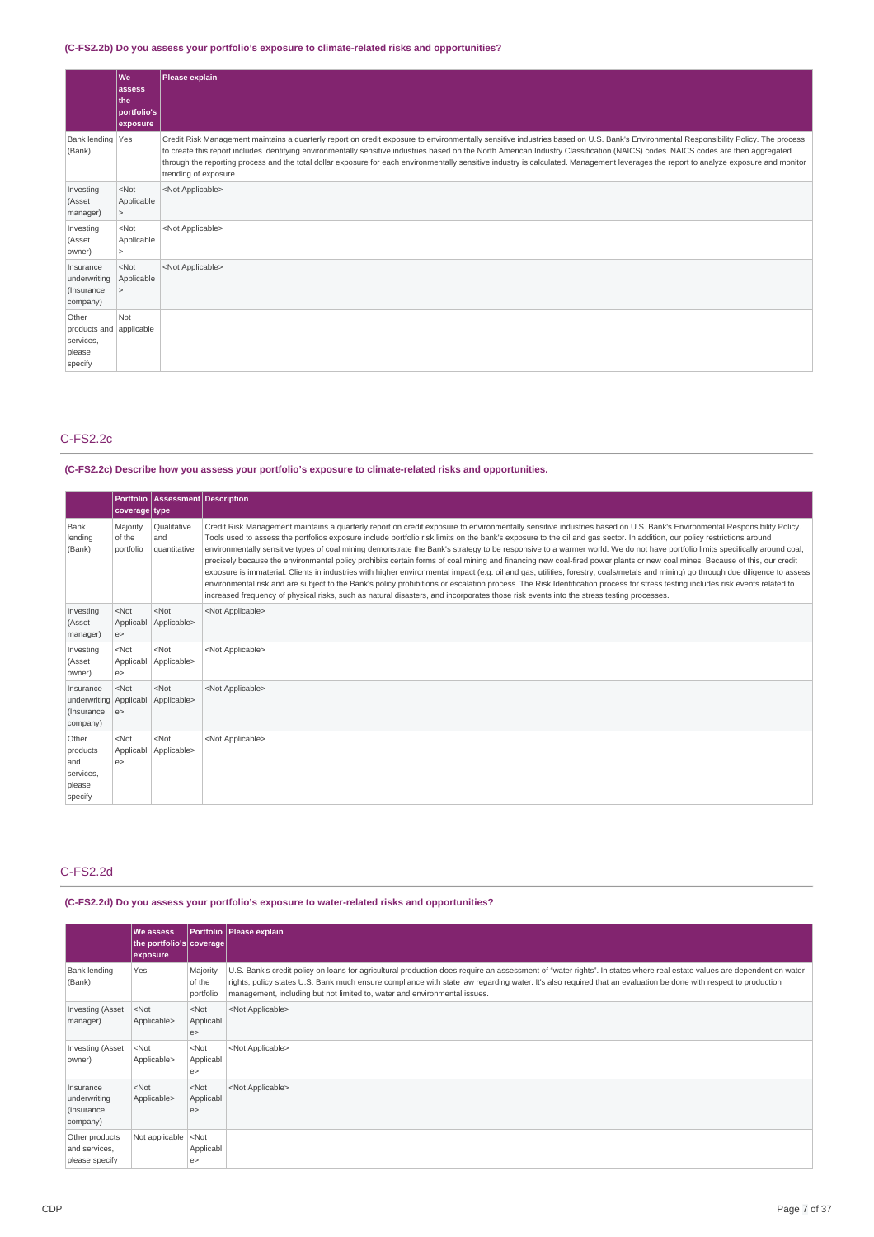## **(C-FS2.2b) Do you assess your portfolio's exposure to climate-related risks and opportunities?**

|                                                                    | l We<br>assess<br>l the<br>portfolio's<br>exposure | Please explain                                                                                                                                                                                                                                                                                                                                                                                                                                                                                                                                                                                |
|--------------------------------------------------------------------|----------------------------------------------------|-----------------------------------------------------------------------------------------------------------------------------------------------------------------------------------------------------------------------------------------------------------------------------------------------------------------------------------------------------------------------------------------------------------------------------------------------------------------------------------------------------------------------------------------------------------------------------------------------|
| Bank lending Yes<br>(Bank)                                         |                                                    | Credit Risk Management maintains a quarterly report on credit exposure to environmentally sensitive industries based on U.S. Bank's Environmental Responsibility Policy. The process<br>to create this report includes identifying environmentally sensitive industries based on the North American Industry Classification (NAICS) codes. NAICS codes are then aggregated<br>through the reporting process and the total dollar exposure for each environmentally sensitive industry is calculated. Management leverages the report to analyze exposure and monitor<br>trending of exposure. |
| Investing<br>(Asset<br>manager)                                    | $<$ Not<br>Applicable<br>$\geq$                    | <not applicable=""></not>                                                                                                                                                                                                                                                                                                                                                                                                                                                                                                                                                                     |
| Investing<br>(Asset<br>owner)                                      | $<$ Not<br>Applicable<br>$\geq$                    | <not applicable=""></not>                                                                                                                                                                                                                                                                                                                                                                                                                                                                                                                                                                     |
| Insurance<br>underwriting<br>(Insurance<br>company)                | $<$ Not<br>Applicable<br>$\geq$                    | <not applicable=""></not>                                                                                                                                                                                                                                                                                                                                                                                                                                                                                                                                                                     |
| Other<br>products and applicable<br>services,<br>please<br>specify | Not                                                |                                                                                                                                                                                                                                                                                                                                                                                                                                                                                                                                                                                               |

## C-FS2.2c

### **(C-FS2.2c) Describe how you assess your portfolio's exposure to climate-related risks and opportunities.**

|                                                                 | coverage type                   | Portfolio   Assessment   Description |                                                                                                                                                                                                                                                                                                                                                                                                                                                                                                                                                                                                                                                                                                                                                                                                                                                                                                                                                                                                                                                                                                                                                                                                                                       |
|-----------------------------------------------------------------|---------------------------------|--------------------------------------|---------------------------------------------------------------------------------------------------------------------------------------------------------------------------------------------------------------------------------------------------------------------------------------------------------------------------------------------------------------------------------------------------------------------------------------------------------------------------------------------------------------------------------------------------------------------------------------------------------------------------------------------------------------------------------------------------------------------------------------------------------------------------------------------------------------------------------------------------------------------------------------------------------------------------------------------------------------------------------------------------------------------------------------------------------------------------------------------------------------------------------------------------------------------------------------------------------------------------------------|
| Bank<br>lending<br>(Bank)                                       | Majority<br>of the<br>portfolio | Qualitative<br>and<br>quantitative   | Credit Risk Management maintains a quarterly report on credit exposure to environmentally sensitive industries based on U.S. Bank's Environmental Responsibility Policy.<br>Tools used to assess the portfolios exposure include portfolio risk limits on the bank's exposure to the oil and gas sector. In addition, our policy restrictions around<br>environmentally sensitive types of coal mining demonstrate the Bank's strategy to be responsive to a warmer world. We do not have portfolio limits specifically around coal,<br>precisely because the environmental policy prohibits certain forms of coal mining and financing new coal-fired power plants or new coal mines. Because of this, our credit<br>exposure is immaterial. Clients in industries with higher environmental impact (e.g. oil and gas, utilities, forestry, coals/metals and mining) go through due diligence to assess<br>environmental risk and are subject to the Bank's policy prohibitions or escalation process. The Risk Identification process for stress testing includes risk events related to<br>increased frequency of physical risks, such as natural disasters, and incorporates those risk events into the stress testing processes. |
| Investing<br>(Asset<br>manager)                                 | $<$ Not<br>Applicabl<br>e       | $<$ Not<br>Applicable>               | <not applicable=""></not>                                                                                                                                                                                                                                                                                                                                                                                                                                                                                                                                                                                                                                                                                                                                                                                                                                                                                                                                                                                                                                                                                                                                                                                                             |
| Investing<br>(Asset<br>owner)                                   | $<$ Not<br>Applicabl<br>e       | $<$ Not<br>Applicable>               | <not applicable=""></not>                                                                                                                                                                                                                                                                                                                                                                                                                                                                                                                                                                                                                                                                                                                                                                                                                                                                                                                                                                                                                                                                                                                                                                                                             |
| Insurance<br>underwriting   Applicabl<br>(Insurance<br>company) | $<$ Not<br> e>                  | $<$ Not<br>Applicable>               | <not applicable=""></not>                                                                                                                                                                                                                                                                                                                                                                                                                                                                                                                                                                                                                                                                                                                                                                                                                                                                                                                                                                                                                                                                                                                                                                                                             |
| Other<br>products<br>and<br>services,<br>please<br>specify      | $<$ Not<br>Applicabl<br>e >     | $<$ Not<br>Applicable>               | <not applicable=""></not>                                                                                                                                                                                                                                                                                                                                                                                                                                                                                                                                                                                                                                                                                                                                                                                                                                                                                                                                                                                                                                                                                                                                                                                                             |

## C-FS2.2d

**(C-FS2.2d) Do you assess your portfolio's exposure to water-related risks and opportunities?**

|                                                     | We assess<br>the portfolio's coverage<br>exposure |                                 | Portfolio   Please explain                                                                                                                                                                                                                                                                                                                                                                                             |
|-----------------------------------------------------|---------------------------------------------------|---------------------------------|------------------------------------------------------------------------------------------------------------------------------------------------------------------------------------------------------------------------------------------------------------------------------------------------------------------------------------------------------------------------------------------------------------------------|
| Bank lending<br>(Bank)                              | Yes                                               | Majority<br>of the<br>portfolio | U.S. Bank's credit policy on loans for agricultural production does require an assessment of "water rights". In states where real estate values are dependent on water<br>rights, policy states U.S. Bank much ensure compliance with state law regarding water. It's also required that an evaluation be done with respect to production<br>management, including but not limited to, water and environmental issues. |
| <b>Investing (Asset</b><br>manager)                 | $<$ Not<br>Applicable>                            | $<$ Not<br>Applicabl<br>e       | <not applicable=""></not>                                                                                                                                                                                                                                                                                                                                                                                              |
| Investing (Asset<br>owner)                          | $<$ Not<br>Applicable>                            | $<$ Not<br>Applicabl<br>e       | <not applicable=""></not>                                                                                                                                                                                                                                                                                                                                                                                              |
| Insurance<br>underwriting<br>(Insurance<br>company) | $<$ Not<br>Applicable>                            | $<$ Not<br>Applicabl<br>e       | <not applicable=""></not>                                                                                                                                                                                                                                                                                                                                                                                              |
| Other products<br>and services,<br>please specify   | Not applicable                                    | $<$ Not<br>Applicabl<br>e       |                                                                                                                                                                                                                                                                                                                                                                                                                        |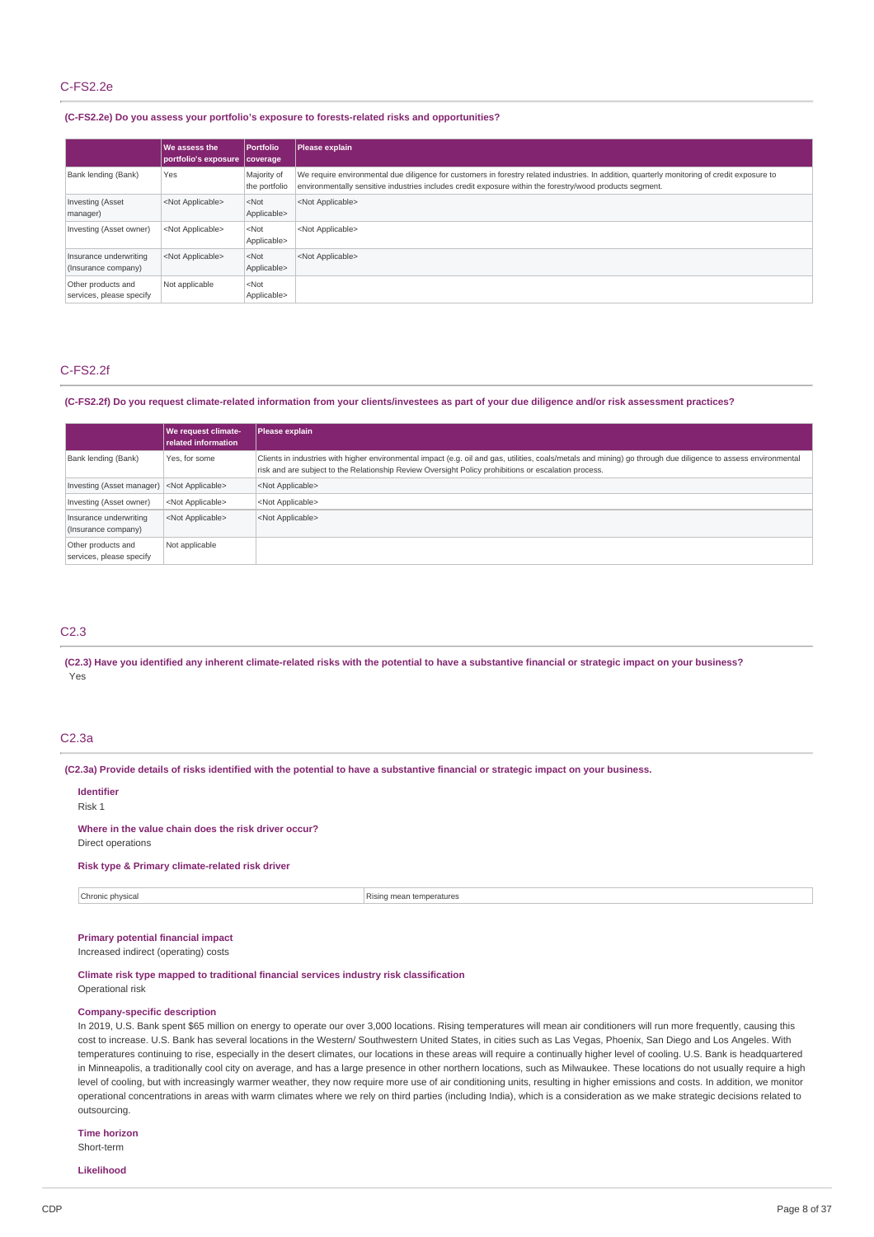## C-FS2.2e

### **(C-FS2.2e) Do you assess your portfolio's exposure to forests-related risks and opportunities?**

|                                                | We assess the<br>portfolio's exposure   coverage | <b>Portfolio</b>             | Please explain                                                                                                                                                                                                                                           |
|------------------------------------------------|--------------------------------------------------|------------------------------|----------------------------------------------------------------------------------------------------------------------------------------------------------------------------------------------------------------------------------------------------------|
| Bank lending (Bank)                            | Yes                                              | Majority of<br>the portfolio | We require environmental due diligence for customers in forestry related industries. In addition, quarterly monitoring of credit exposure to<br>environmentally sensitive industries includes credit exposure within the forestry/wood products segment. |
| <b>Investing (Asset</b><br>manager)            | <not applicable=""></not>                        | $<$ Not<br>Applicable>       | <not applicable=""></not>                                                                                                                                                                                                                                |
| Investing (Asset owner)                        | <not applicable=""></not>                        | $<$ Not<br>Applicable>       | <not applicable=""></not>                                                                                                                                                                                                                                |
| Insurance underwriting<br>(Insurance company)  | <not applicable=""></not>                        | $<$ Not<br>Applicable>       | <not applicable=""></not>                                                                                                                                                                                                                                |
| Other products and<br>services, please specify | Not applicable                                   | $<$ Not<br>Applicable>       |                                                                                                                                                                                                                                                          |

### C-FS2.2f

#### (C-FS2.2f) Do you request climate-related information from your clients/investees as part of your due diligence and/or risk assessment practices?

|                                                     | We request climate-<br>related information | Please explain                                                                                                                                                                                                                                                         |
|-----------------------------------------------------|--------------------------------------------|------------------------------------------------------------------------------------------------------------------------------------------------------------------------------------------------------------------------------------------------------------------------|
| Bank lending (Bank)                                 | Yes, for some                              | Clients in industries with higher environmental impact (e.g. oil and gas, utilities, coals/metals and mining) go through due diligence to assess environmental<br>risk and are subject to the Relationship Review Oversight Policy prohibitions or escalation process. |
| Investing (Asset manager) <not applicable=""></not> |                                            | <not applicable=""></not>                                                                                                                                                                                                                                              |
| Investing (Asset owner)                             | <not applicable=""></not>                  | <not applicable=""></not>                                                                                                                                                                                                                                              |
| Insurance underwriting<br>(Insurance company)       | <not applicable=""></not>                  | <not applicable=""></not>                                                                                                                                                                                                                                              |
| Other products and<br>services, please specify      | Not applicable                             |                                                                                                                                                                                                                                                                        |

## C2.3

#### (C2.3) Have you identified any inherent climate-related risks with the potential to have a substantive financial or strategic impact on your business? Yes

### C2.3a

(C2.3a) Provide details of risks identified with the potential to have a substantive financial or strategic impact on your business.

### **Identifier**

### Risk 1

## **Where in the value chain does the risk driver occur?**

Direct operations

## **Risk type & Primary climate-related risk driver**

**Chronic physical** Rising mean temperatures

### **Primary potential financial impact**

Increased indirect (operating) costs

# **Climate risk type mapped to traditional financial services industry risk classification**

Operational risk

#### **Company-specific description**

In 2019, U.S. Bank spent \$65 million on energy to operate our over 3,000 locations. Rising temperatures will mean air conditioners will run more frequently, causing this cost to increase. U.S. Bank has several locations in the Western/ Southwestern United States, in cities such as Las Vegas, Phoenix, San Diego and Los Angeles. With temperatures continuing to rise, especially in the desert climates, our locations in these areas will require a continually higher level of cooling. U.S. Bank is headquartered in Minneapolis, a traditionally cool city on average, and has a large presence in other northern locations, such as Milwaukee. These locations do not usually require a high level of cooling, but with increasingly warmer weather, they now require more use of air conditioning units, resulting in higher emissions and costs. In addition, we monitor operational concentrations in areas with warm climates where we rely on third parties (including India), which is a consideration as we make strategic decisions related to outsourcing.

## **Time horizon**

Short-term

**Likelihood**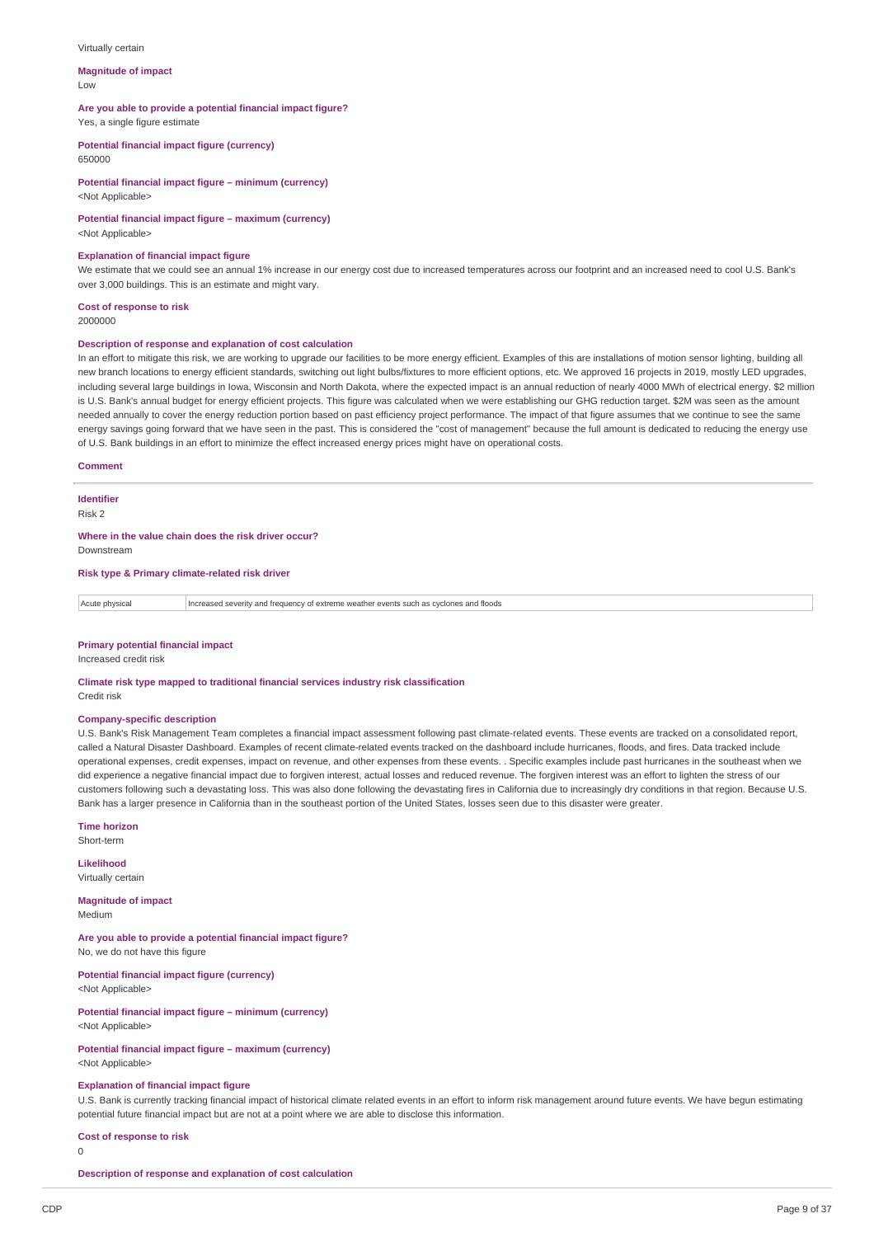#### Virtually certain

#### **Magnitude of impact** Low

# **Are you able to provide a potential financial impact figure?**

Yes, a single figure estimate

**Potential financial impact figure (currency)** 650000

### **Potential financial impact figure – minimum (currency)** <Not Applicable>

**Potential financial impact figure – maximum (currency)** <Not Applicable>

### **Explanation of financial impact figure**

We estimate that we could see an annual 1% increase in our energy cost due to increased temperatures across our footprint and an increased need to cool U.S. Bank's over 3,000 buildings. This is an estimate and might vary.

#### **Cost of response to risk** 2000000

#### **Description of response and explanation of cost calculation**

In an effort to mitigate this risk, we are working to upgrade our facilities to be more energy efficient. Examples of this are installations of motion sensor lighting, building all new branch locations to energy efficient standards, switching out light bulbs/fixtures to more efficient options, etc. We approved 16 projects in 2019, mostly LED upgrades, including several large buildings in Iowa, Wisconsin and North Dakota, where the expected impact is an annual reduction of nearly 4000 MWh of electrical energy. \$2 million is U.S. Bank's annual budget for energy efficient projects. This figure was calculated when we were establishing our GHG reduction target. \$2M was seen as the amount needed annually to cover the energy reduction portion based on past efficiency project performance. The impact of that figure assumes that we continue to see the same energy savings going forward that we have seen in the past. This is considered the "cost of management" because the full amount is dedicated to reducing the energy use of U.S. Bank buildings in an effort to minimize the effect increased energy prices might have on operational costs.

#### **Comment**

## **Identifier**

Risk 2

**Where in the value chain does the risk driver occur?** Downstream

### **Risk type & Primary climate-related risk driver**

Acute physical Increased severity and frequency of extreme weather events such as cyclones and floods

#### **Primary potential financial impact**

Increased credit risk

**Climate risk type mapped to traditional financial services industry risk classification** Credit risk

### **Company-specific description**

U.S. Bank's Risk Management Team completes a financial impact assessment following past climate-related events. These events are tracked on a consolidated report, called a Natural Disaster Dashboard. Examples of recent climate-related events tracked on the dashboard include hurricanes, floods, and fires. Data tracked include operational expenses, credit expenses, impact on revenue, and other expenses from these events. . Specific examples include past hurricanes in the southeast when we did experience a negative financial impact due to forgiven interest, actual losses and reduced revenue. The forgiven interest was an effort to lighten the stress of our customers following such a devastating loss. This was also done following the devastating fires in California due to increasingly dry conditions in that region. Because U.S. Bank has a larger presence in California than in the southeast portion of the United States, losses seen due to this disaster were greater.

**Time horizon** Short-term

**Likelihood**

Virtually certain

**Magnitude of impact** Medium

**Are you able to provide a potential financial impact figure?** No, we do not have this figure

**Potential financial impact figure (currency)** <Not Applicable>

**Potential financial impact figure – minimum (currency)** <Not Applicable>

# **Potential financial impact figure – maximum (currency)**

<Not Applicable>

## **Explanation of financial impact figure**

U.S. Bank is currently tracking financial impact of historical climate related events in an effort to inform risk management around future events. We have begun estimating potential future financial impact but are not at a point where we are able to disclose this information.

**Cost of response to risk**

```
\overline{0}
```
**Description of response and explanation of cost calculation**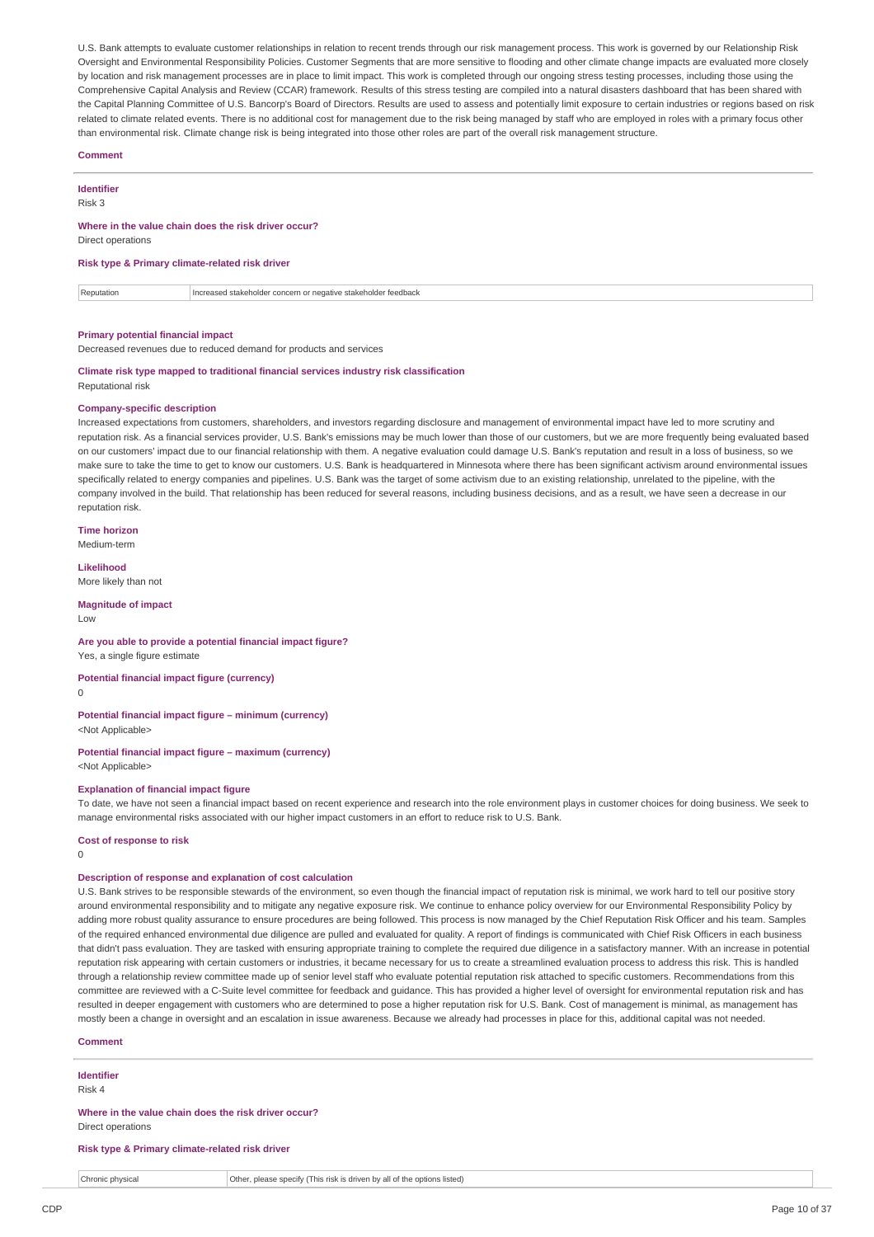U.S. Bank attempts to evaluate customer relationships in relation to recent trends through our risk management process. This work is governed by our Relationship Risk Oversight and Environmental Responsibility Policies. Customer Segments that are more sensitive to flooding and other climate change impacts are evaluated more closely by location and risk management processes are in place to limit impact. This work is completed through our ongoing stress testing processes, including those using the Comprehensive Capital Analysis and Review (CCAR) framework. Results of this stress testing are compiled into a natural disasters dashboard that has been shared with the Capital Planning Committee of U.S. Bancorp's Board of Directors. Results are used to assess and potentially limit exposure to certain industries or regions based on risk related to climate related events. There is no additional cost for management due to the risk being managed by staff who are employed in roles with a primary focus other than environmental risk. Climate change risk is being integrated into those other roles are part of the overall risk management structure.

### **Comment**

**Identifier**

Risk 3

#### **Where in the value chain does the risk driver occur?**

Direct operations

### **Risk type & Primary climate-related risk driver**

Reputation **Increased stakeholder concern or negative stakeholder feedback** 

#### **Primary potential financial impact**

Decreased revenues due to reduced demand for products and services

#### **Climate risk type mapped to traditional financial services industry risk classification** Reputational risk

### **Company-specific description**

Increased expectations from customers, shareholders, and investors regarding disclosure and management of environmental impact have led to more scrutiny and reputation risk. As a financial services provider, U.S. Bank's emissions may be much lower than those of our customers, but we are more frequently being evaluated based on our customers' impact due to our financial relationship with them. A negative evaluation could damage U.S. Bank's reputation and result in a loss of business, so we make sure to take the time to get to know our customers. U.S. Bank is headquartered in Minnesota where there has been significant activism around environmental issues specifically related to energy companies and pipelines. U.S. Bank was the target of some activism due to an existing relationship, unrelated to the pipeline, with the company involved in the build. That relationship has been reduced for several reasons, including business decisions, and as a result, we have seen a decrease in our reputation risk.

### **Time horizon**

Medium-term

### **Likelihood**

More likely than not

### **Magnitude of impact**

Low

#### **Are you able to provide a potential financial impact figure?** Yes, a single figure estimate

**Potential financial impact figure (currency)**

#### 0

#### **Potential financial impact figure – minimum (currency)** <Not Applicable>

**Potential financial impact figure – maximum (currency)**

<Not Applicable>

## **Explanation of financial impact figure**

To date, we have not seen a financial impact based on recent experience and research into the role environment plays in customer choices for doing business. We seek to manage environmental risks associated with our higher impact customers in an effort to reduce risk to U.S. Bank.

### **Cost of response to risk**

 $\Omega$ 

## **Description of response and explanation of cost calculation**

U.S. Bank strives to be responsible stewards of the environment, so even though the financial impact of reputation risk is minimal, we work hard to tell our positive story around environmental responsibility and to mitigate any negative exposure risk. We continue to enhance policy overview for our Environmental Responsibility Policy by adding more robust quality assurance to ensure procedures are being followed. This process is now managed by the Chief Reputation Risk Officer and his team. Samples of the required enhanced environmental due diligence are pulled and evaluated for quality. A report of findings is communicated with Chief Risk Officers in each business that didn't pass evaluation. They are tasked with ensuring appropriate training to complete the required due diligence in a satisfactory manner. With an increase in potential reputation risk appearing with certain customers or industries, it became necessary for us to create a streamlined evaluation process to address this risk. This is handled through a relationship review committee made up of senior level staff who evaluate potential reputation risk attached to specific customers. Recommendations from this committee are reviewed with a C-Suite level committee for feedback and guidance. This has provided a higher level of oversight for environmental reputation risk and has resulted in deeper engagement with customers who are determined to pose a higher reputation risk for U.S. Bank. Cost of management is minimal, as management has mostly been a change in oversight and an escalation in issue awareness. Because we already had processes in place for this, additional capital was not needed.

#### **Comment**

### **Identifier**

Risk 4

#### **Where in the value chain does the risk driver occur?** Direct operations

## **Risk type & Primary climate-related risk driver**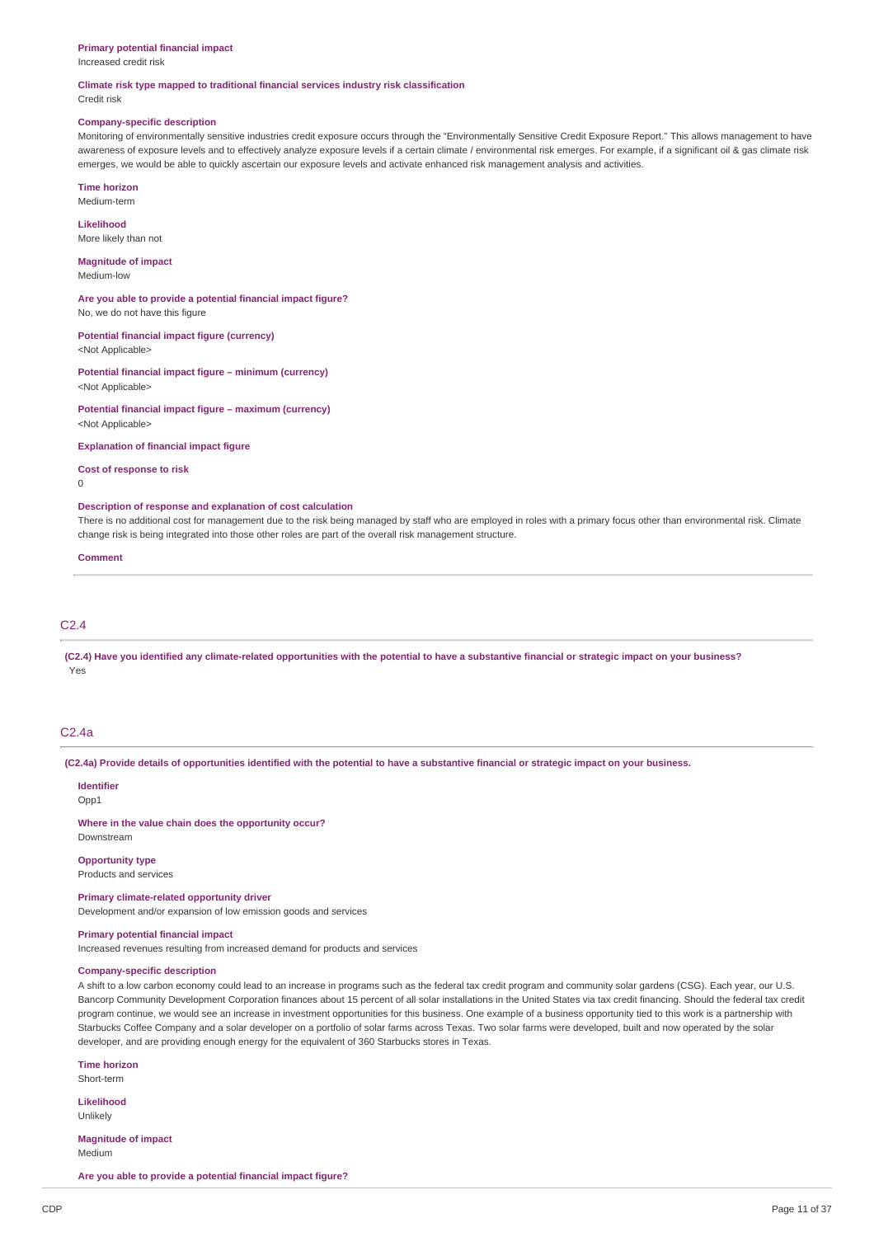#### **Primary potential financial impact**

Increased credit risk

## **Climate risk type mapped to traditional financial services industry risk classification**

Credit risk

#### **Company-specific description**

Monitoring of environmentally sensitive industries credit exposure occurs through the "Environmentally Sensitive Credit Exposure Report." This allows management to have awareness of exposure levels and to effectively analyze exposure levels if a certain climate / environmental risk emerges. For example, if a significant oil & gas climate risk emerges, we would be able to quickly ascertain our exposure levels and activate enhanced risk management analysis and activities.

**Time horizon** Medium-term

**Likelihood** More likely than not

**Magnitude of impact** Medium-low

**Are you able to provide a potential financial impact figure?** No, we do not have this figure

**Potential financial impact figure (currency)**

<Not Applicable>

**Potential financial impact figure – minimum (currency)** <Not Applicable>

**Potential financial impact figure – maximum (currency)** <Not Applicable>

**Explanation of financial impact figure**

**Cost of response to risk**

 $\Omega$ 

### **Description of response and explanation of cost calculation**

There is no additional cost for management due to the risk being managed by staff who are employed in roles with a primary focus other than environmental risk. Climate change risk is being integrated into those other roles are part of the overall risk management structure.

#### **Comment**

### C2.4

(C2.4) Have you identified any climate-related opportunities with the potential to have a substantive financial or strategic impact on your business? Yes

## C2.4a

(C2.4a) Provide details of opportunities identified with the potential to have a substantive financial or strategic impact on your business.

#### **Identifier**

Opp1

**Where in the value chain does the opportunity occur?** Downstream

### **Opportunity type**

Products and services

**Primary climate-related opportunity driver** Development and/or expansion of low emission goods and services

### **Primary potential financial impact**

Increased revenues resulting from increased demand for products and services

### **Company-specific description**

A shift to a low carbon economy could lead to an increase in programs such as the federal tax credit program and community solar gardens (CSG). Each year, our U.S. Bancorp Community Development Corporation finances about 15 percent of all solar installations in the United States via tax credit financing. Should the federal tax credit program continue, we would see an increase in investment opportunities for this business. One example of a business opportunity tied to this work is a partnership with Starbucks Coffee Company and a solar developer on a portfolio of solar farms across Texas. Two solar farms were developed, built and now operated by the solar developer, and are providing enough energy for the equivalent of 360 Starbucks stores in Texas.

**Time horizon**

Short-term

**Likelihood** Unlikely

**Magnitude of impact** Medium

**Are you able to provide a potential financial impact figure?**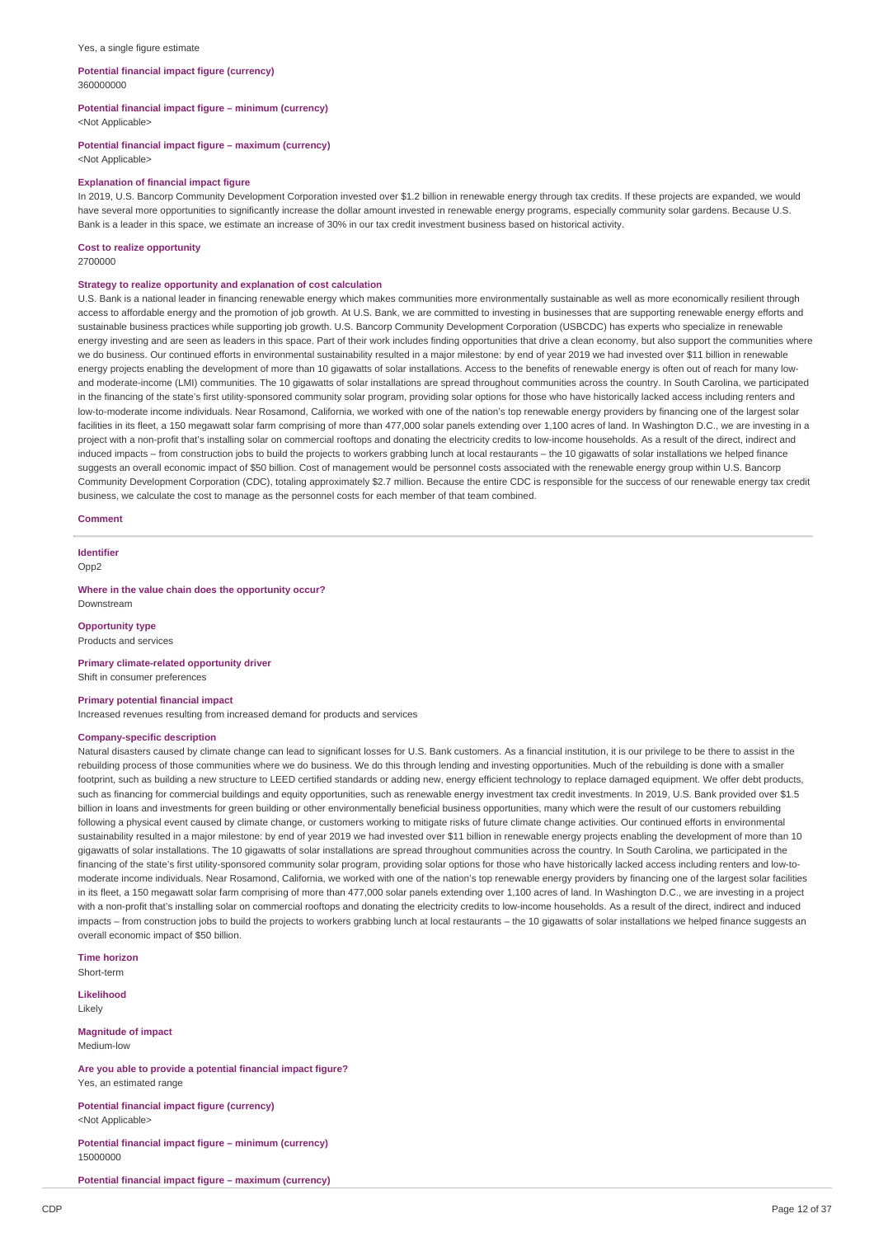#### Yes, a single figure estimate

#### **Potential financial impact figure (currency)** 360000000

**Potential financial impact figure – minimum (currency)**

<Not Applicable>

#### **Potential financial impact figure – maximum (currency)**

<Not Applicable>

#### **Explanation of financial impact figure**

In 2019, U.S. Bancorp Community Development Corporation invested over \$1.2 billion in renewable energy through tax credits. If these projects are expanded, we would have several more opportunities to significantly increase the dollar amount invested in renewable energy programs, especially community solar gardens. Because U.S. Bank is a leader in this space, we estimate an increase of 30% in our tax credit investment business based on historical activity.

### **Cost to realize opportunity**

2700000

### **Strategy to realize opportunity and explanation of cost calculation**

U.S. Bank is a national leader in financing renewable energy which makes communities more environmentally sustainable as well as more economically resilient through access to affordable energy and the promotion of job growth. At U.S. Bank, we are committed to investing in businesses that are supporting renewable energy efforts and sustainable business practices while supporting job growth. U.S. Bancorp Community Development Corporation (USBCDC) has experts who specialize in renewable energy investing and are seen as leaders in this space. Part of their work includes finding opportunities that drive a clean economy, but also support the communities where we do business. Our continued efforts in environmental sustainability resulted in a major milestone: by end of year 2019 we had invested over \$11 billion in renewable energy projects enabling the development of more than 10 gigawatts of solar installations. Access to the benefits of renewable energy is often out of reach for many lowand moderate-income (LMI) communities. The 10 gigawatts of solar installations are spread throughout communities across the country. In South Carolina, we participated in the financing of the state's first utility-sponsored community solar program, providing solar options for those who have historically lacked access including renters and low-to-moderate income individuals. Near Rosamond, California, we worked with one of the nation's top renewable energy providers by financing one of the largest solar facilities in its fleet, a 150 megawatt solar farm comprising of more than 477,000 solar panels extending over 1,100 acres of land. In Washington D.C., we are investing in a project with a non-profit that's installing solar on commercial rooftops and donating the electricity credits to low-income households. As a result of the direct, indirect and induced impacts – from construction jobs to build the projects to workers grabbing lunch at local restaurants – the 10 gigawatts of solar installations we helped finance suggests an overall economic impact of \$50 billion. Cost of management would be personnel costs associated with the renewable energy group within U.S. Bancorp Community Development Corporation (CDC), totaling approximately \$2.7 million. Because the entire CDC is responsible for the success of our renewable energy tax credit business, we calculate the cost to manage as the personnel costs for each member of that team combined.

#### **Comment**

**Identifier**  $Onn2$ 

**Where in the value chain does the opportunity occur?** Downstream

**Opportunity type** Products and services

**Primary climate-related opportunity driver** Shift in consumer preferences

### **Primary potential financial impact**

Increased revenues resulting from increased demand for products and services

#### **Company-specific description**

Natural disasters caused by climate change can lead to significant losses for U.S. Bank customers. As a financial institution, it is our privilege to be there to assist in the rebuilding process of those communities where we do business. We do this through lending and investing opportunities. Much of the rebuilding is done with a smaller footprint, such as building a new structure to LEED certified standards or adding new, energy efficient technology to replace damaged equipment. We offer debt products, such as financing for commercial buildings and equity opportunities, such as renewable energy investment tax credit investments. In 2019, U.S. Bank provided over \$1.5 billion in loans and investments for green building or other environmentally beneficial business opportunities, many which were the result of our customers rebuilding following a physical event caused by climate change, or customers working to mitigate risks of future climate change activities. Our continued efforts in environmental sustainability resulted in a major milestone: by end of year 2019 we had invested over \$11 billion in renewable energy projects enabling the development of more than 10 gigawatts of solar installations. The 10 gigawatts of solar installations are spread throughout communities across the country. In South Carolina, we participated in the financing of the state's first utility-sponsored community solar program, providing solar options for those who have historically lacked access including renters and low-tomoderate income individuals. Near Rosamond, California, we worked with one of the nation's top renewable energy providers by financing one of the largest solar facilities in its fleet, a 150 megawatt solar farm comprising of more than 477,000 solar panels extending over 1,100 acres of land. In Washington D.C., we are investing in a project with a non-profit that's installing solar on commercial rooftops and donating the electricity credits to low-income households. As a result of the direct, indirect and induced impacts – from construction jobs to build the projects to workers grabbing lunch at local restaurants – the 10 gigawatts of solar installations we helped finance suggests an overall economic impact of \$50 billion.

**Time horizon** Short-term

**Likelihood** Likely

**Magnitude of impact** Medium-low

**Are you able to provide a potential financial impact figure?** Yes, an estimated range

**Potential financial impact figure (currency)** <Not Applicable>

**Potential financial impact figure – minimum (currency)** 15000000

**Potential financial impact figure – maximum (currency)**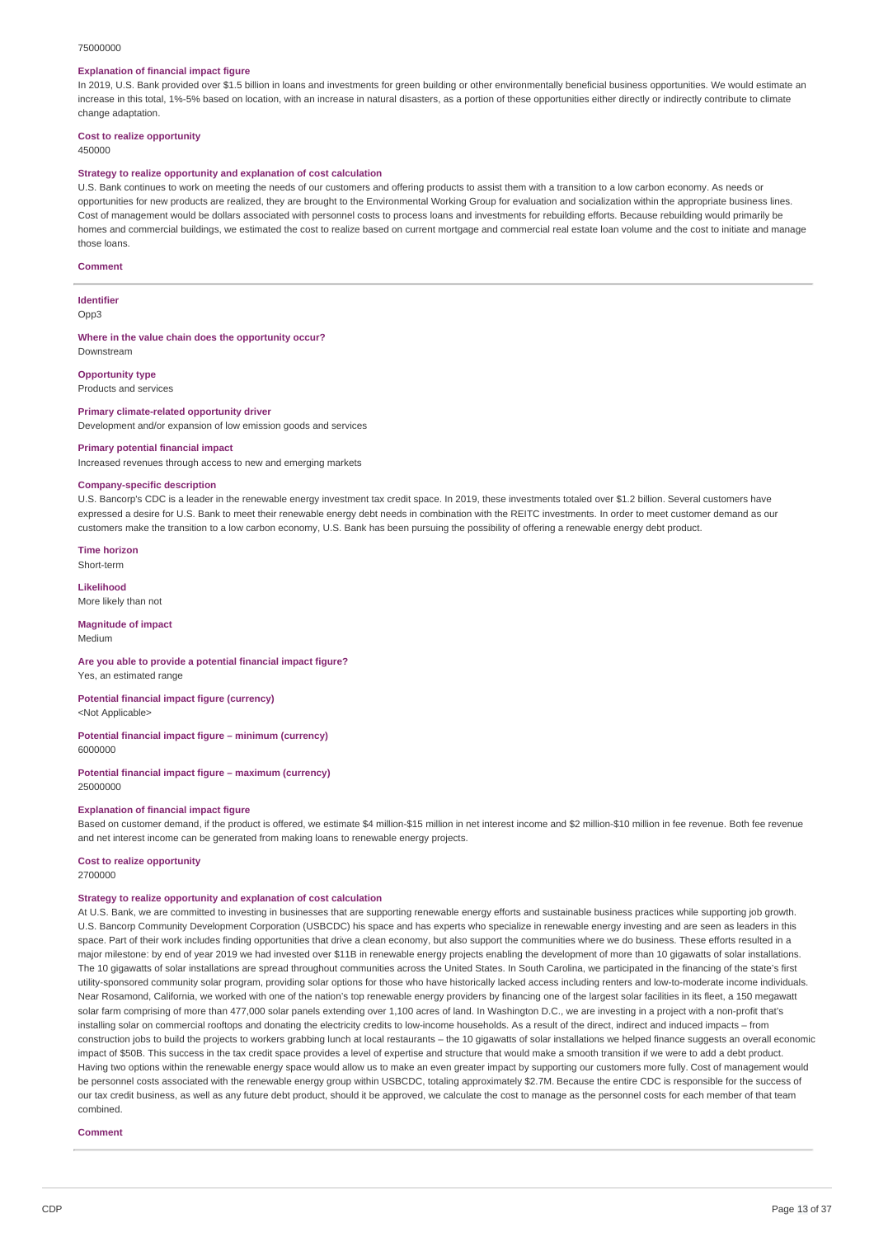#### 75000000

### **Explanation of financial impact figure**

In 2019, U.S. Bank provided over \$1.5 billion in loans and investments for green building or other environmentally beneficial business opportunities. We would estimate an increase in this total, 1%-5% based on location, with an increase in natural disasters, as a portion of these opportunities either directly or indirectly contribute to climate change adaptation.

## **Cost to realize opportunity**

450000

#### **Strategy to realize opportunity and explanation of cost calculation**

U.S. Bank continues to work on meeting the needs of our customers and offering products to assist them with a transition to a low carbon economy. As needs or opportunities for new products are realized, they are brought to the Environmental Working Group for evaluation and socialization within the appropriate business lines. Cost of management would be dollars associated with personnel costs to process loans and investments for rebuilding efforts. Because rebuilding would primarily be homes and commercial buildings, we estimated the cost to realize based on current mortgage and commercial real estate loan volume and the cost to initiate and manage those loans.

#### **Comment**

#### **Identifier**

Opp3

**Where in the value chain does the opportunity occur?**

# **Opportunity type**

Downstream

Products and services

## **Primary climate-related opportunity driver**

Development and/or expansion of low emission goods and services

### **Primary potential financial impact**

Increased revenues through access to new and emerging markets

#### **Company-specific description**

U.S. Bancorp's CDC is a leader in the renewable energy investment tax credit space. In 2019, these investments totaled over \$1.2 billion. Several customers have expressed a desire for U.S. Bank to meet their renewable energy debt needs in combination with the REITC investments. In order to meet customer demand as our customers make the transition to a low carbon economy, U.S. Bank has been pursuing the possibility of offering a renewable energy debt product.

**Time horizon** Short-term

**Likelihood** More likely than not

#### **Magnitude of impact** Medium

### **Are you able to provide a potential financial impact figure?**

Yes, an estimated range

#### **Potential financial impact figure (currency)** <Not Applicable>

**Potential financial impact figure – minimum (currency)** 6000000

#### **Potential financial impact figure – maximum (currency)** 25000000

#### **Explanation of financial impact figure**

Based on customer demand, if the product is offered, we estimate \$4 million-\$15 million in net interest income and \$2 million-\$10 million in fee revenue. Both fee revenue and net interest income can be generated from making loans to renewable energy projects.

## **Cost to realize opportunity**

2700000

#### **Strategy to realize opportunity and explanation of cost calculation**

At U.S. Bank, we are committed to investing in businesses that are supporting renewable energy efforts and sustainable business practices while supporting job growth. U.S. Bancorp Community Development Corporation (USBCDC) his space and has experts who specialize in renewable energy investing and are seen as leaders in this space. Part of their work includes finding opportunities that drive a clean economy, but also support the communities where we do business. These efforts resulted in a major milestone: by end of year 2019 we had invested over \$11B in renewable energy projects enabling the development of more than 10 gigawatts of solar installations. The 10 gigawatts of solar installations are spread throughout communities across the United States. In South Carolina, we participated in the financing of the state's first utility-sponsored community solar program, providing solar options for those who have historically lacked access including renters and low-to-moderate income individuals. Near Rosamond, California, we worked with one of the nation's top renewable energy providers by financing one of the largest solar facilities in its fleet, a 150 megawatt solar farm comprising of more than 477,000 solar panels extending over 1,100 acres of land. In Washington D.C., we are investing in a project with a non-profit that's installing solar on commercial rooftops and donating the electricity credits to low-income households. As a result of the direct, indirect and induced impacts – from construction jobs to build the projects to workers grabbing lunch at local restaurants – the 10 gigawatts of solar installations we helped finance suggests an overall economic impact of \$50B. This success in the tax credit space provides a level of expertise and structure that would make a smooth transition if we were to add a debt product. Having two options within the renewable energy space would allow us to make an even greater impact by supporting our customers more fully. Cost of management would be personnel costs associated with the renewable energy group within USBCDC, totaling approximately \$2.7M. Because the entire CDC is responsible for the success of our tax credit business, as well as any future debt product, should it be approved, we calculate the cost to manage as the personnel costs for each member of that team combined.

#### **Comment**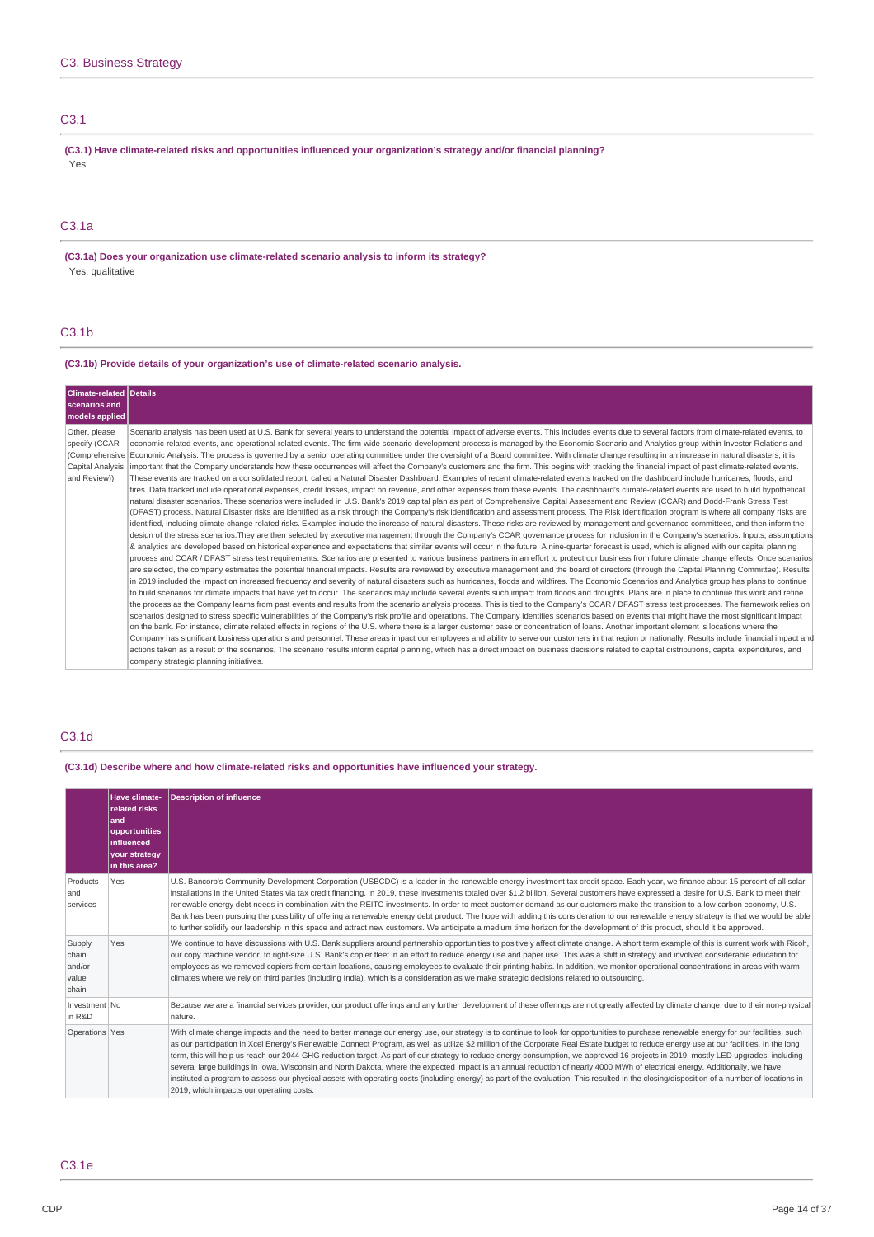## C3.1

**(C3.1) Have climate-related risks and opportunities influenced your organization's strategy and/or financial planning?** Yes

### C3.1a

**(C3.1a) Does your organization use climate-related scenario analysis to inform its strategy?** Yes, qualitative

## C3.1b

### **(C3.1b) Provide details of your organization's use of climate-related scenario analysis.**

| <b>Climate-related Details</b><br>scenarios and<br>models applied  |                                                                                                                                                                                                                                                                                                                                                                                                                                                                                                                                                                                                                                                                                                                                                                                                                                                                                                                                                                                                                                                                                                                                                                                                                                                                                                                                                                                                                                                                                                                                                                                                                                                                                                                                                                                                                                                                                                                                                                                                                                                                                                                                                                                                                                                                                                                                                                                                                                                                                                                                                                                                                                                                                                                                                                                                                                                                                                                                                                                                                                                                                                                                                                                                                                                                                                                                                                                                                                                                                                                                                                                                                                                                                                                                                                                                                                                                                                                                                                                                                                                                                            |
|--------------------------------------------------------------------|--------------------------------------------------------------------------------------------------------------------------------------------------------------------------------------------------------------------------------------------------------------------------------------------------------------------------------------------------------------------------------------------------------------------------------------------------------------------------------------------------------------------------------------------------------------------------------------------------------------------------------------------------------------------------------------------------------------------------------------------------------------------------------------------------------------------------------------------------------------------------------------------------------------------------------------------------------------------------------------------------------------------------------------------------------------------------------------------------------------------------------------------------------------------------------------------------------------------------------------------------------------------------------------------------------------------------------------------------------------------------------------------------------------------------------------------------------------------------------------------------------------------------------------------------------------------------------------------------------------------------------------------------------------------------------------------------------------------------------------------------------------------------------------------------------------------------------------------------------------------------------------------------------------------------------------------------------------------------------------------------------------------------------------------------------------------------------------------------------------------------------------------------------------------------------------------------------------------------------------------------------------------------------------------------------------------------------------------------------------------------------------------------------------------------------------------------------------------------------------------------------------------------------------------------------------------------------------------------------------------------------------------------------------------------------------------------------------------------------------------------------------------------------------------------------------------------------------------------------------------------------------------------------------------------------------------------------------------------------------------------------------------------------------------------------------------------------------------------------------------------------------------------------------------------------------------------------------------------------------------------------------------------------------------------------------------------------------------------------------------------------------------------------------------------------------------------------------------------------------------------------------------------------------------------------------------------------------------------------------------------------------------------------------------------------------------------------------------------------------------------------------------------------------------------------------------------------------------------------------------------------------------------------------------------------------------------------------------------------------------------------------------------------------------------------------------------------------------|
| Other, please<br>specify (CCAR<br>Capital Analysis<br>and Review)) | Scenario analysis has been used at U.S. Bank for several years to understand the potential impact of adverse events. This includes events due to several factors from climate-related events, to<br>economic-related events, and operational-related events. The firm-wide scenario development process is managed by the Economic Scenario and Analytics group within Investor Relations and<br>(Comprehensive Economic Analysis. The process is governed by a senior operating committee under the oversight of a Board committee. With climate change resulting in an increase in natural disasters, it is<br>important that the Company understands how these occurrences will affect the Company's customers and the firm. This begins with tracking the financial impact of past climate-related events.<br>These events are tracked on a consolidated report, called a Natural Disaster Dashboard. Examples of recent climate-related events tracked on the dashboard include hurricanes, floods, and<br>fires. Data tracked include operational expenses, credit losses, impact on revenue, and other expenses from these events. The dashboard's climate-related events are used to build hypothetical<br>natural disaster scenarios. These scenarios were included in U.S. Bank's 2019 capital plan as part of Comprehensive Capital Assessment and Review (CCAR) and Dodd-Frank Stress Test<br>(DFAST) process. Natural Disaster risks are identified as a risk through the Company's risk identification and assessment process. The Risk Identification program is where all company risks are<br>identified, including climate change related risks. Examples include the increase of natural disasters. These risks are reviewed by management and governance committees, and then inform the<br>design of the stress scenarios. They are then selected by executive management through the Company's CCAR governance process for inclusion in the Company's scenarios. Inputs, assumptions<br>& analytics are developed based on historical experience and expectations that similar events will occur in the future. A nine-quarter forecast is used, which is aligned with our capital planning<br>process and CCAR / DFAST stress test requirements. Scenarios are presented to various business partners in an effort to protect our business from future climate change effects. Once scenarios<br>are selected, the company estimates the potential financial impacts. Results are reviewed by executive management and the board of directors (through the Capital Planning Committee). Results<br>in 2019 included the impact on increased frequency and severity of natural disasters such as hurricanes, floods and wildfires. The Economic Scenarios and Analytics group has plans to continue<br>to build scenarios for climate impacts that have yet to occur. The scenarios may include several events such impact from floods and droughts. Plans are in place to continue this work and refine<br>the process as the Company learns from past events and results from the scenario analysis process. This is tied to the Company's CCAR / DFAST stress test processes. The framework relies on<br>scenarios designed to stress specific vulnerabilities of the Company's risk profile and operations. The Company identifies scenarios based on events that might have the most significant impact<br>on the bank. For instance, climate related effects in regions of the U.S. where there is a larger customer base or concentration of loans. Another important element is locations where the<br>Company has significant business operations and personnel. These areas impact our employees and ability to serve our customers in that region or nationally. Results include financial impact and<br>actions taken as a result of the scenarios. The scenario results inform capital planning, which has a direct impact on business decisions related to capital distributions, capital expenditures, and<br>company strategic planning initiatives. |

## C3.1d

**(C3.1d) Describe where and how climate-related risks and opportunities have influenced your strategy.**

|                                             | Have climate-<br>related risks<br>land<br>opportunities<br><b>linfluenced</b><br>your strategy<br>in this area? | <b>Description of influence</b>                                                                                                                                                                                                                                                                                                                                                                                                                                                                                                                                                                                                                                                                                                                                                                                                                                                                                                                                                                  |
|---------------------------------------------|-----------------------------------------------------------------------------------------------------------------|--------------------------------------------------------------------------------------------------------------------------------------------------------------------------------------------------------------------------------------------------------------------------------------------------------------------------------------------------------------------------------------------------------------------------------------------------------------------------------------------------------------------------------------------------------------------------------------------------------------------------------------------------------------------------------------------------------------------------------------------------------------------------------------------------------------------------------------------------------------------------------------------------------------------------------------------------------------------------------------------------|
| Products<br>and<br>services                 | Yes                                                                                                             | U.S. Bancorp's Community Development Corporation (USBCDC) is a leader in the renewable energy investment tax credit space. Each year, we finance about 15 percent of all solar<br>installations in the United States via tax credit financing. In 2019, these investments totaled over \$1.2 billion. Several customers have expressed a desire for U.S. Bank to meet their<br>renewable energy debt needs in combination with the REITC investments. In order to meet customer demand as our customers make the transition to a low carbon economy, U.S.<br>Bank has been pursuing the possibility of offering a renewable energy debt product. The hope with adding this consideration to our renewable energy strategy is that we would be able<br>to further solidify our leadership in this space and attract new customers. We anticipate a medium time horizon for the development of this product, should it be approved.                                                                |
| Supply<br>chain<br>and/or<br>value<br>chain | Yes                                                                                                             | We continue to have discussions with U.S. Bank suppliers around partnership opportunities to positively affect climate change. A short term example of this is current work with Ricoh,<br>our copy machine vendor, to right-size U.S. Bank's copier fleet in an effort to reduce energy use and paper use. This was a shift in strategy and involved considerable education for<br>employees as we removed copiers from certain locations, causing employees to evaluate their printing habits. In addition, we monitor operational concentrations in areas with warm<br>climates where we rely on third parties (including India), which is a consideration as we make strategic decisions related to outsourcing.                                                                                                                                                                                                                                                                             |
| Investment No<br>in R&D                     |                                                                                                                 | Because we are a financial services provider, our product offerings and any further development of these offerings are not greatly affected by climate change, due to their non-physical<br>nature.                                                                                                                                                                                                                                                                                                                                                                                                                                                                                                                                                                                                                                                                                                                                                                                              |
| Operations Yes                              |                                                                                                                 | With climate change impacts and the need to better manage our energy use, our strategy is to continue to look for opportunities to purchase renewable energy for our facilities, such<br>as our participation in Xcel Energy's Renewable Connect Program, as well as utilize \$2 million of the Corporate Real Estate budget to reduce energy use at our facilities. In the long<br>term, this will help us reach our 2044 GHG reduction target. As part of our strategy to reduce energy consumption, we approved 16 projects in 2019, mostly LED upgrades, including<br>several large buildings in Iowa, Wisconsin and North Dakota, where the expected impact is an annual reduction of nearly 4000 MWh of electrical energy. Additionally, we have<br>instituted a program to assess our physical assets with operating costs (including energy) as part of the evaluation. This resulted in the closing/disposition of a number of locations in<br>2019, which impacts our operating costs. |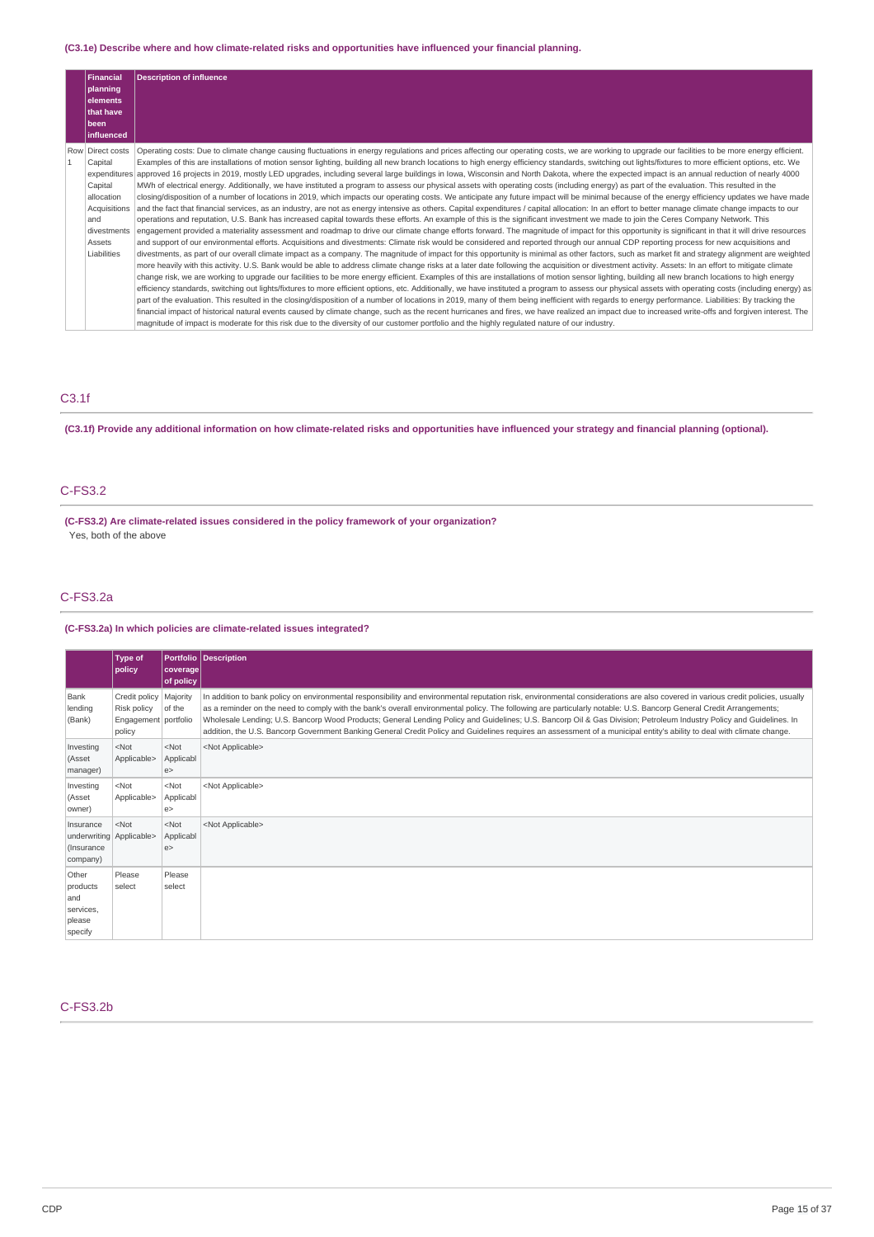## **(C3.1e) Describe where and how climate-related risks and opportunities have influenced your financial planning.**

|              | <b>Financial</b> | <b>Description of influence</b>                                                                                                                                                                         |
|--------------|------------------|---------------------------------------------------------------------------------------------------------------------------------------------------------------------------------------------------------|
|              | planning         |                                                                                                                                                                                                         |
|              | elements         |                                                                                                                                                                                                         |
|              | that have        |                                                                                                                                                                                                         |
|              | l been           |                                                                                                                                                                                                         |
|              | influenced       |                                                                                                                                                                                                         |
|              | Row Direct costs | Operating costs: Due to climate change causing fluctuations in energy regulations and prices affecting our operating costs, we are working to upgrade our facilities to be more energy efficient.       |
| $\mathbf{1}$ | Capital          | Examples of this are installations of motion sensor lighting, building all new branch locations to high energy efficiency standards, switching out lights/fixtures to more efficient options, etc. We   |
|              |                  | expenditures approved 16 projects in 2019, mostly LED upgrades, including several large buildings in Iowa, Wisconsin and North Dakota, where the expected impact is an annual reduction of nearly 4000  |
|              | Capital          | MWh of electrical energy. Additionally, we have instituted a program to assess our physical assets with operating costs (including energy) as part of the evaluation. This resulted in the              |
|              | allocation       | closing/disposition of a number of locations in 2019, which impacts our operating costs. We anticipate any future impact will be minimal because of the energy efficiency updates we have made          |
|              | Acquisitions     | and the fact that financial services, as an industry, are not as energy intensive as others. Capital expenditures / capital allocation: In an effort to better manage climate change impacts to our     |
|              | and              | operations and reputation, U.S. Bank has increased capital towards these efforts. An example of this is the significant investment we made to join the Ceres Company Network. This                      |
|              | divestments      | engagement provided a materiality assessment and roadmap to drive our climate change efforts forward. The magnitude of impact for this opportunity is significant in that it will drive resources       |
|              | Assets           | and support of our environmental efforts. Acquisitions and divestments: Climate risk would be considered and reported through our annual CDP reporting process for new acquisitions and                 |
|              | Liabilities      | divestments, as part of our overall climate impact as a company. The magnitude of impact for this opportunity is minimal as other factors, such as market fit and strategy alignment are weighted       |
|              |                  | more heavily with this activity. U.S. Bank would be able to address climate change risks at a later date following the acquisition or divestment activity. Assets: In an effort to mitigate climate     |
|              |                  | change risk, we are working to upgrade our facilities to be more energy efficient. Examples of this are installations of motion sensor lighting, building all new branch locations to high energy       |
|              |                  | efficiency standards, switching out lights/fixtures to more efficient options, etc. Additionally, we have instituted a program to assess our physical assets with operating costs (including energy) as |
|              |                  | part of the evaluation. This resulted in the closing/disposition of a number of locations in 2019, many of them being inefficient with regards to energy performance. Liabilities: By tracking the      |
|              |                  | financial impact of historical natural events caused by climate change, such as the recent hurricanes and fires, we have realized an impact due to increased write-offs and forgiven interest. The      |
|              |                  | magnitude of impact is moderate for this risk due to the diversity of our customer portfolio and the highly regulated nature of our industry.                                                           |

# C3.1f

(C3.1f) Provide any additional information on how climate-related risks and opportunities have influenced your strategy and financial planning (optional).

## C-FS3.2

**(C-FS3.2) Are climate-related issues considered in the policy framework of your organization?** Yes, both of the above

### C-FS3.2a

## **(C-FS3.2a) In which policies are climate-related issues integrated?**

| <b>Type of</b>         | coverage <br>of policy             | <b>Portfolio Description</b>                                                                                                                                                                                                                                                                                                                                                                                                                                                                                                                                                                                                                                                                            |
|------------------------|------------------------------------|---------------------------------------------------------------------------------------------------------------------------------------------------------------------------------------------------------------------------------------------------------------------------------------------------------------------------------------------------------------------------------------------------------------------------------------------------------------------------------------------------------------------------------------------------------------------------------------------------------------------------------------------------------------------------------------------------------|
| Risk policy<br>policy  | Majority<br>of the                 | In addition to bank policy on environmental responsibility and environmental reputation risk, environmental considerations are also covered in various credit policies, usually<br>as a reminder on the need to comply with the bank's overall environmental policy. The following are particularly notable: U.S. Bancorp General Credit Arrangements;<br>Wholesale Lending; U.S. Bancorp Wood Products; General Lending Policy and Guidelines; U.S. Bancorp Oil & Gas Division; Petroleum Industry Policy and Guidelines. In<br>addition, the U.S. Bancorp Government Banking General Credit Policy and Guidelines requires an assessment of a municipal entity's ability to deal with climate change. |
| $<$ Not<br>Applicable> | $<$ Not<br>Applicabl<br>e          | <not applicable=""></not>                                                                                                                                                                                                                                                                                                                                                                                                                                                                                                                                                                                                                                                                               |
| $<$ Not<br>Applicable> | $<$ Not<br>Applicabl<br>e          | <not applicable=""></not>                                                                                                                                                                                                                                                                                                                                                                                                                                                                                                                                                                                                                                                                               |
| $<$ Not                | $<$ Not<br>Applicabl<br>e          | <not applicable=""></not>                                                                                                                                                                                                                                                                                                                                                                                                                                                                                                                                                                                                                                                                               |
| Please<br>select       | Please<br>select                   |                                                                                                                                                                                                                                                                                                                                                                                                                                                                                                                                                                                                                                                                                                         |
|                        | policy<br>underwriting Applicable> | Credit policy<br>Engagement portfolio                                                                                                                                                                                                                                                                                                                                                                                                                                                                                                                                                                                                                                                                   |

## C-FS3.2b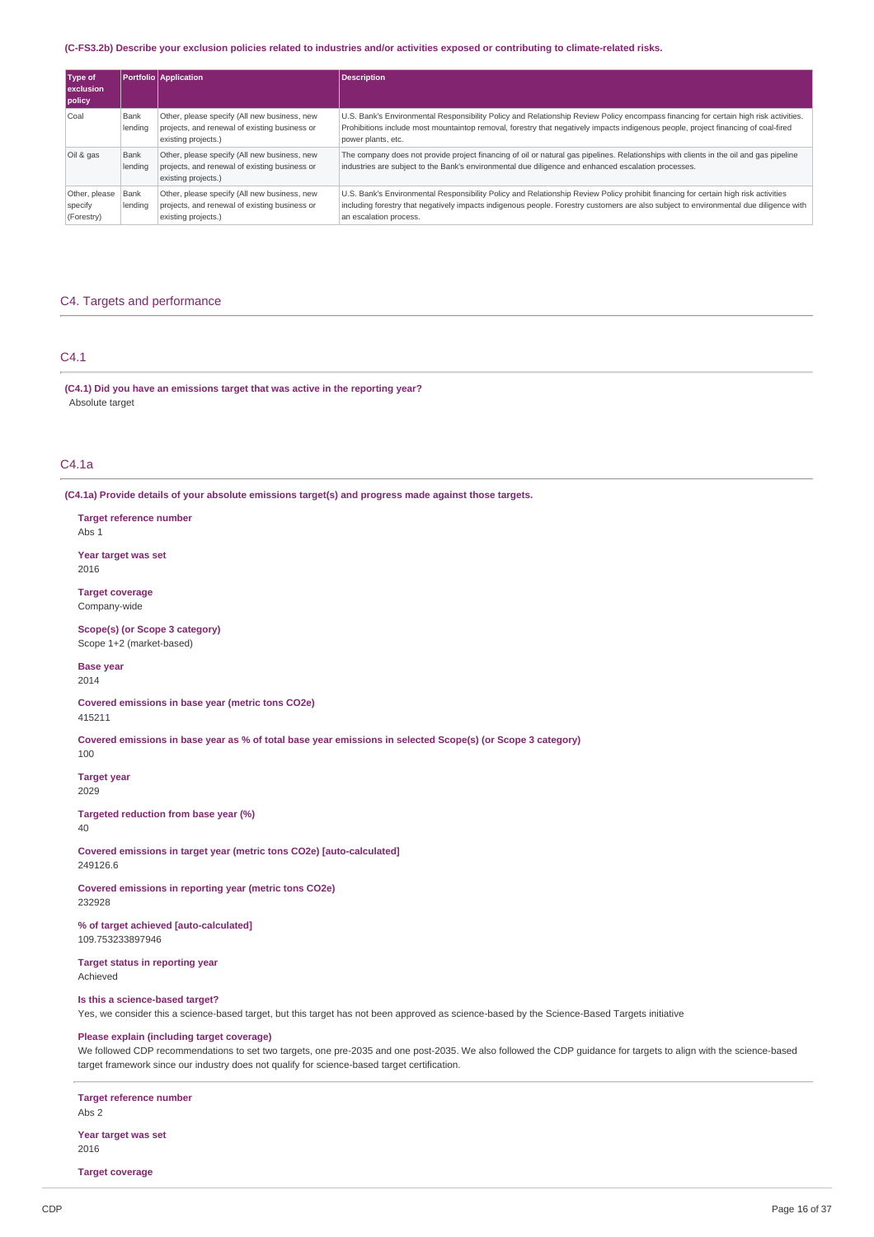### (C-FS3.2b) Describe your exclusion policies related to industries and/or activities exposed or contributing to climate-related risks.

| Type of<br><b>exclusion</b><br>policy  |                 | <b>Portfolio</b> Application                                                                                         | <b>Description</b>                                                                                                                                                                                                                                                                                    |
|----------------------------------------|-----------------|----------------------------------------------------------------------------------------------------------------------|-------------------------------------------------------------------------------------------------------------------------------------------------------------------------------------------------------------------------------------------------------------------------------------------------------|
| Coal                                   | Bank<br>lendina | Other, please specify (All new business, new<br>projects, and renewal of existing business or<br>existing projects.) | U.S. Bank's Environmental Responsibility Policy and Relationship Review Policy encompass financing for certain high risk activities.<br>Prohibitions include most mountaintop removal, forestry that negatively impacts indigenous people, project financing of coal-fired<br>power plants, etc.      |
| Oil & gas                              | Bank<br>lending | Other, please specify (All new business, new<br>projects, and renewal of existing business or<br>existing projects.) | The company does not provide project financing of oil or natural gas pipelines. Relationships with clients in the oil and gas pipeline<br>industries are subject to the Bank's environmental due diligence and enhanced escalation processes.                                                         |
| Other, please<br>specify<br>(Forestry) | Bank<br>lending | Other, please specify (All new business, new<br>projects, and renewal of existing business or<br>existing projects.) | U.S. Bank's Environmental Responsibility Policy and Relationship Review Policy prohibit financing for certain high risk activities<br>including forestry that negatively impacts indigenous people. Forestry customers are also subject to environmental due diligence with<br>an escalation process. |

## C4. Targets and performance

### C4.1

**(C4.1) Did you have an emissions target that was active in the reporting year?** Absolute target

## C4.1a

**(C4.1a) Provide details of your absolute emissions target(s) and progress made against those targets.**

**Target reference number** Abs 1

**Year target was set** 2016

**Target coverage** Company-wide

**Scope(s) (or Scope 3 category)** Scope 1+2 (market-based)

**Base year** 2014

**Covered emissions in base year (metric tons CO2e)** 415211

Covered emissions in base year as % of total base year emissions in selected Scope(s) (or Scope 3 category)

100

**Target year** 2029

**Targeted reduction from base year (%)** 40

**Covered emissions in target year (metric tons CO2e) [auto-calculated]** 249126.6

**Covered emissions in reporting year (metric tons CO2e)** 232928

**% of target achieved [auto-calculated]** 109.753233897946

**Target status in reporting year** Achieved

#### **Is this a science-based target?**

Yes, we consider this a science-based target, but this target has not been approved as science-based by the Science-Based Targets initiative

## **Please explain (including target coverage)**

We followed CDP recommendations to set two targets, one pre-2035 and one post-2035. We also followed the CDP guidance for targets to align with the science-based target framework since our industry does not qualify for science-based target certification.

### **Target reference number**

Abs 2

**Year target was set** 2016

**Target coverage**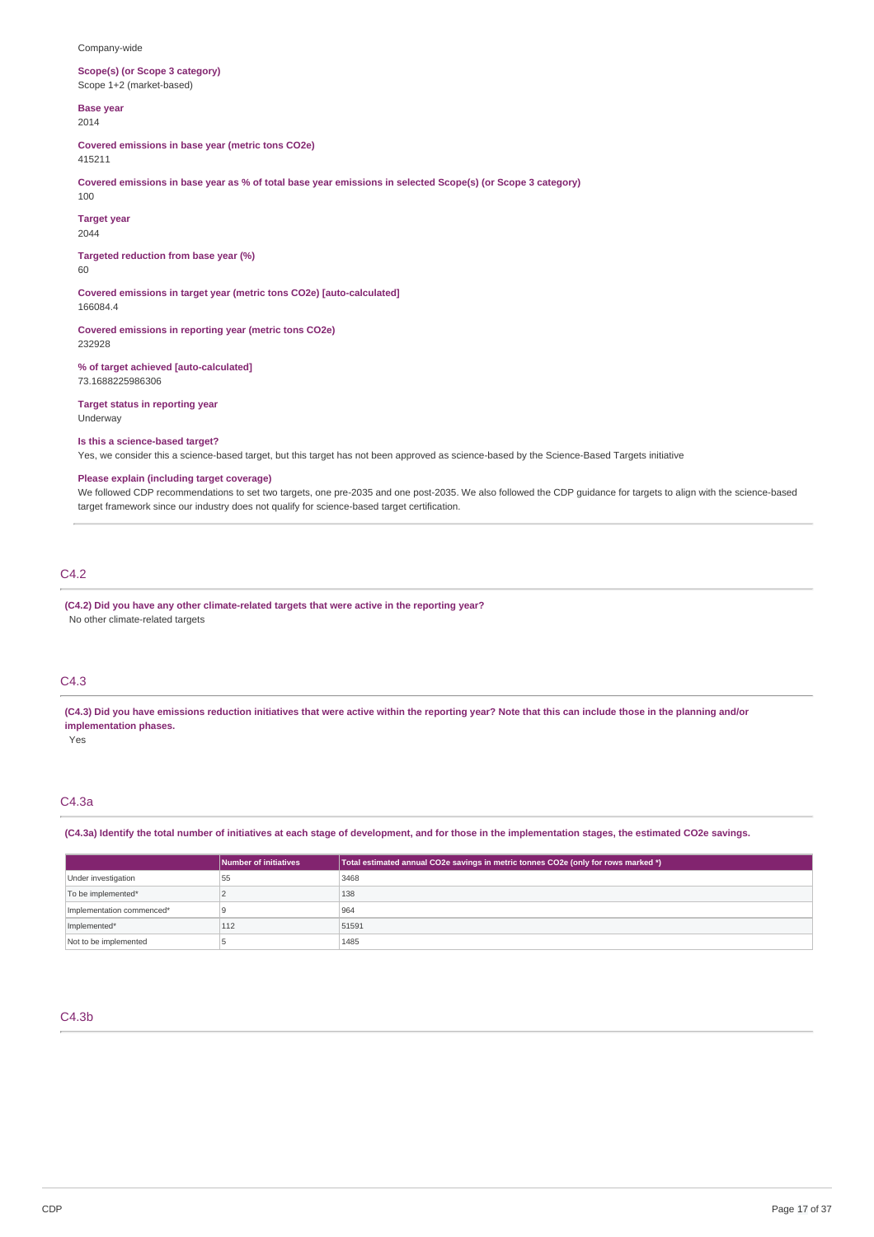### Company-wide

**Scope(s) (or Scope 3 category)** Scope 1+2 (market-based)

**Base year** 2014

**Covered emissions in base year (metric tons CO2e)**

415211

Covered emissions in base year as % of total base year emissions in selected Scope(s) (or Scope 3 category) 100

**Target year**

2044

**Targeted reduction from base year (%)** 60

**Covered emissions in target year (metric tons CO2e) [auto-calculated]** 166084.4

**Covered emissions in reporting year (metric tons CO2e)** 232928

**% of target achieved [auto-calculated]** 73.1688225986306

**Target status in reporting year** Underway

### **Is this a science-based target?**

Yes, we consider this a science-based target, but this target has not been approved as science-based by the Science-Based Targets initiative

## **Please explain (including target coverage)**

We followed CDP recommendations to set two targets, one pre-2035 and one post-2035. We also followed the CDP guidance for targets to align with the science-based target framework since our industry does not qualify for science-based target certification.

## C4.2

**(C4.2) Did you have any other climate-related targets that were active in the reporting year?** No other climate-related targets

## C4.3

(C4.3) Did you have emissions reduction initiatives that were active within the reporting year? Note that this can include those in the planning and/or **implementation phases.**

Yes

## C4.3a

(C4.3a) Identify the total number of initiatives at each stage of development, and for those in the implementation stages, the estimated CO2e savings.

|                           | Number of initiatives | Total estimated annual CO2e savings in metric tonnes CO2e (only for rows marked *) |
|---------------------------|-----------------------|------------------------------------------------------------------------------------|
| Under investigation       | 55                    | 3468                                                                               |
| To be implemented*        |                       | 138                                                                                |
| Implementation commenced* |                       | 964                                                                                |
| Implemented*              | 112                   | 51591                                                                              |
| Not to be implemented     |                       | 1485                                                                               |

### C4.3b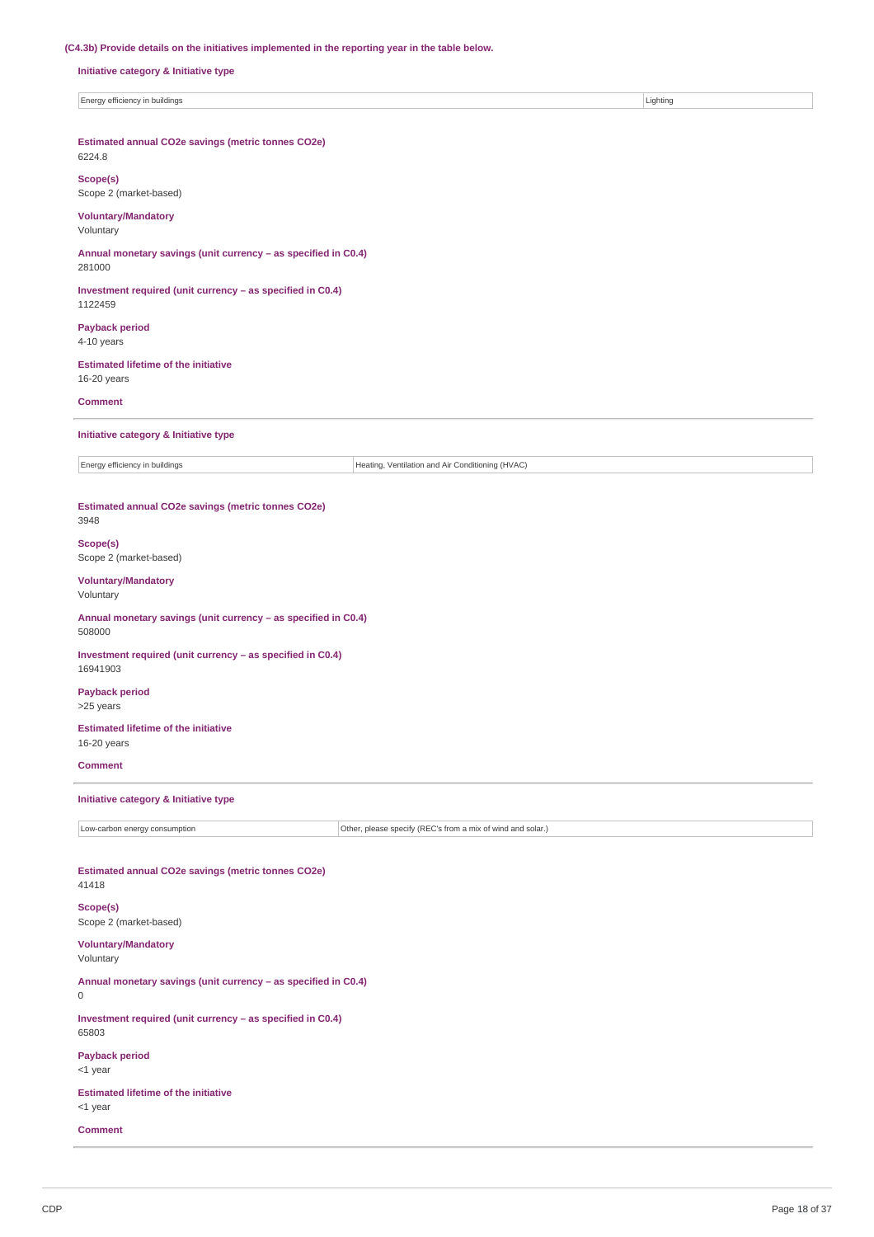## **(C4.3b) Provide details on the initiatives implemented in the reporting year in the table below.**

**Initiative category & Initiative type**

Energy efficiency in buildings **Lighting** Lighting **Lighting** 

**Estimated annual CO2e savings (metric tonnes CO2e)**

# 6224.8

**Scope(s)** Scope 2 (market-based)

## **Voluntary/Mandatory**

Voluntary

**Annual monetary savings (unit currency – as specified in C0.4)** 281000

**Investment required (unit currency – as specified in C0.4)** 1122459

**Payback period** 4-10 years

**Estimated lifetime of the initiative** 16-20 years

**Comment**

**Initiative category & Initiative type**

Energy efficiency in buildings  $\vert$  Energy efficiency in buildings

### **Estimated annual CO2e savings (metric tonnes CO2e)** 3948

**Scope(s)** Scope 2 (market-based)

### **Voluntary/Mandatory**

Voluntary

**Annual monetary savings (unit currency – as specified in C0.4)** 508000

**Investment required (unit currency – as specified in C0.4)** 16941903

**Payback period** >25 years

**Estimated lifetime of the initiative** 16-20 years

**Comment**

### **Initiative category & Initiative type**

Low-carbon energy consumption **Constant Constant Constant Constant Constant Constant Constant Constant Constant** 

## **Estimated annual CO2e savings (metric tonnes CO2e)** 41418

**Scope(s)** Scope 2 (market-based)

**Voluntary/Mandatory** Voluntary

**Annual monetary savings (unit currency – as specified in C0.4)**  $\Omega$ 

**Investment required (unit currency – as specified in C0.4)** 65803

**Payback period** <1 year

**Estimated lifetime of the initiative** <1 year

**Comment**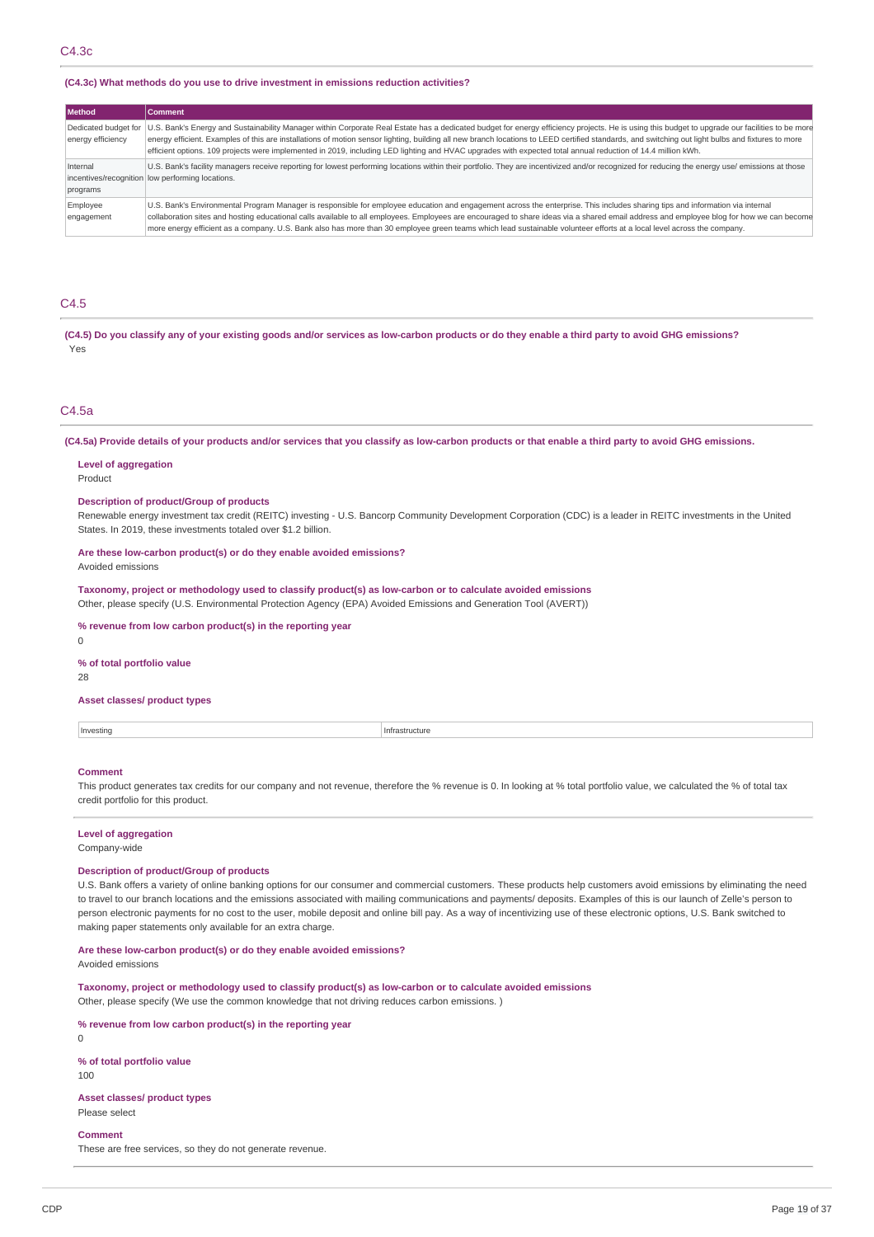### **(C4.3c) What methods do you use to drive investment in emissions reduction activities?**

| <b>Method</b>          | <b>Comment</b>                                                                                                                                                                                                                                                                                                                                                                                                                                                                                                                                                                             |
|------------------------|--------------------------------------------------------------------------------------------------------------------------------------------------------------------------------------------------------------------------------------------------------------------------------------------------------------------------------------------------------------------------------------------------------------------------------------------------------------------------------------------------------------------------------------------------------------------------------------------|
| energy efficiency      | Dedicated budget for   U.S. Bank's Energy and Sustainability Manager within Corporate Real Estate has a dedicated budget for energy efficiency projects. He is using this budget to upgrade our facilities to be more<br>energy efficient. Examples of this are installations of motion sensor lighting, building all new branch locations to LEED certified standards, and switching out light bulbs and fixtures to more<br>efficient options. 109 projects were implemented in 2019, including LED lighting and HVAC upgrades with expected total annual reduction of 14.4 million kWh. |
| Internal<br>programs   | U.S. Bank's facility managers receive reporting for lowest performing locations within their portfolio. They are incentivized and/or recognized for reducing the energy use/ emissions at those<br>incentives/recognition low performing locations.                                                                                                                                                                                                                                                                                                                                        |
| Employee<br>engagement | U.S. Bank's Environmental Program Manager is responsible for employee education and engagement across the enterprise. This includes sharing tips and information via internal<br>collaboration sites and hosting educational calls available to all employees. Employees are encouraged to share ideas via a shared email address and employee blog for how we can become<br>more energy efficient as a company. U.S. Bank also has more than 30 employee green teams which lead sustainable volunteer efforts at a local level across the company.                                        |

## C4.5

(C4.5) Do you classify any of your existing goods and/or services as low-carbon products or do they enable a third party to avoid GHG emissions? Yes

### C4.5a

(C4.5a) Provide details of your products and/or services that you classify as low-carbon products or that enable a third party to avoid GHG emissions.

#### **Level of aggregation**

Product

#### **Description of product/Group of products**

Renewable energy investment tax credit (REITC) investing - U.S. Bancorp Community Development Corporation (CDC) is a leader in REITC investments in the United States. In 2019, these investments totaled over \$1.2 billion.

### **Are these low-carbon product(s) or do they enable avoided emissions?**

Avoided emissions

**Taxonomy, project or methodology used to classify product(s) as low-carbon or to calculate avoided emissions** Other, please specify (U.S. Environmental Protection Agency (EPA) Avoided Emissions and Generation Tool (AVERT))

### **% revenue from low carbon product(s) in the reporting year**

 $\Omega$ 

### **% of total portfolio value**

28

### **Asset classes/ product types**

Investing Infrastructure

#### **Comment**

This product generates tax credits for our company and not revenue, therefore the % revenue is 0. In looking at % total portfolio value, we calculated the % of total tax credit portfolio for this product.

### **Level of aggregation**

Company-wide

#### **Description of product/Group of products**

U.S. Bank offers a variety of online banking options for our consumer and commercial customers. These products help customers avoid emissions by eliminating the need to travel to our branch locations and the emissions associated with mailing communications and payments/ deposits. Examples of this is our launch of Zelle's person to person electronic payments for no cost to the user, mobile deposit and online bill pay. As a way of incentivizing use of these electronic options, U.S. Bank switched to making paper statements only available for an extra charge.

## **Are these low-carbon product(s) or do they enable avoided emissions?**

Avoided emissions

**Taxonomy, project or methodology used to classify product(s) as low-carbon or to calculate avoided emissions** Other, please specify (We use the common knowledge that not driving reduces carbon emissions. )

**% revenue from low carbon product(s) in the reporting year**

0 **% of total portfolio value**

# 100

**Asset classes/ product types** Please select

#### **Comment**

These are free services, so they do not generate revenue.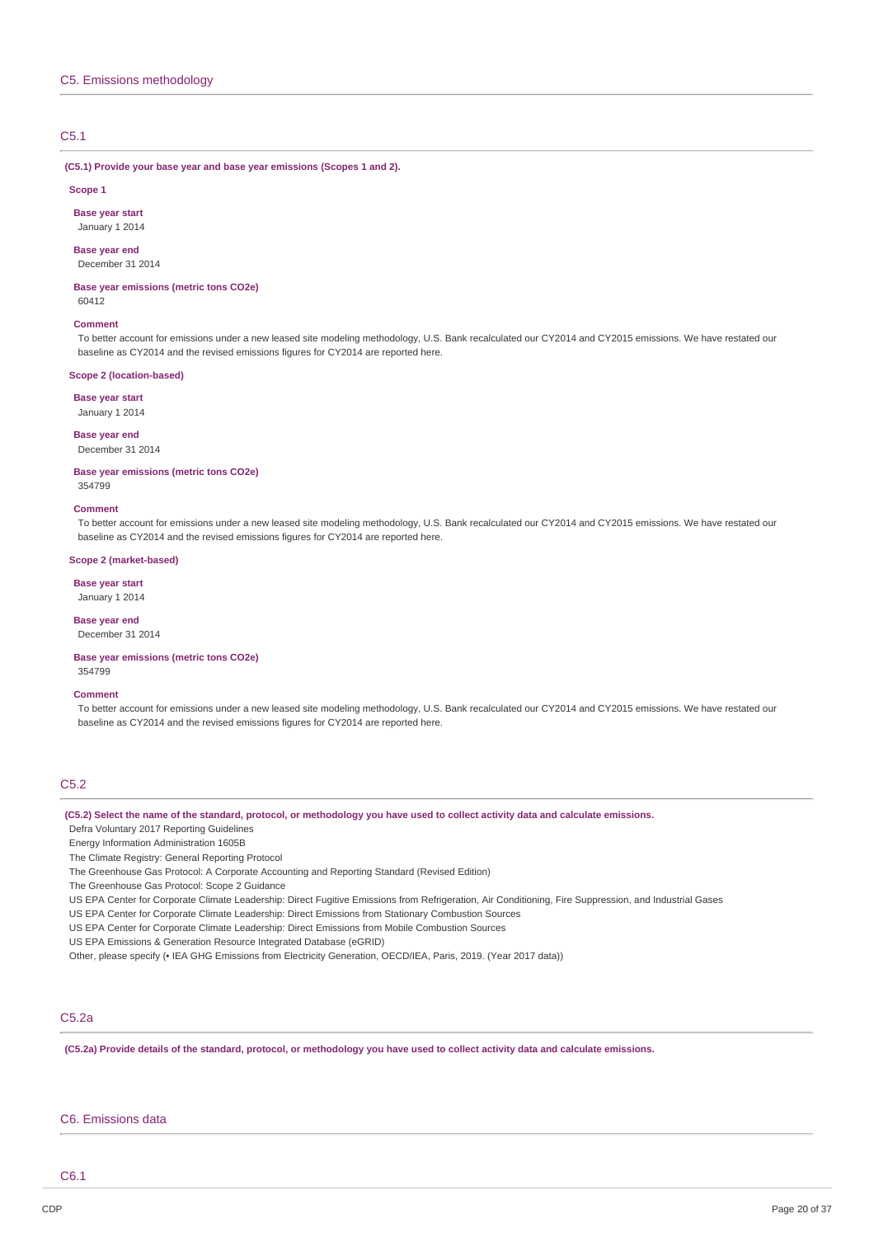## C5.1

### **(C5.1) Provide your base year and base year emissions (Scopes 1 and 2).**

#### **Scope 1**

**Base year start** January 1 2014

## **Base year end**

December 31 2014

#### **Base year emissions (metric tons CO2e)** 60412

#### **Comment**

To better account for emissions under a new leased site modeling methodology, U.S. Bank recalculated our CY2014 and CY2015 emissions. We have restated our baseline as CY2014 and the revised emissions figures for CY2014 are reported here.

### **Scope 2 (location-based)**

**Base year start**

# January 1 2014

**Base year end** December 31 2014

#### **Base year emissions (metric tons CO2e)** 354799

#### **Comment**

To better account for emissions under a new leased site modeling methodology, U.S. Bank recalculated our CY2014 and CY2015 emissions. We have restated our baseline as CY2014 and the revised emissions figures for CY2014 are reported here.

### **Scope 2 (market-based)**

### **Base year start**

January 1 2014

## **Base year end**

December 31 2014

#### **Base year emissions (metric tons CO2e)** 354799

#### **Comment**

To better account for emissions under a new leased site modeling methodology, U.S. Bank recalculated our CY2014 and CY2015 emissions. We have restated our baseline as CY2014 and the revised emissions figures for CY2014 are reported here.

## C5.2

### (C5.2) Select the name of the standard, protocol, or methodology you have used to collect activity data and calculate emissions.

Defra Voluntary 2017 Reporting Guidelines

Energy Information Administration 1605B

The Climate Registry: General Reporting Protocol

The Greenhouse Gas Protocol: A Corporate Accounting and Reporting Standard (Revised Edition)

The Greenhouse Gas Protocol: Scope 2 Guidance

US EPA Center for Corporate Climate Leadership: Direct Fugitive Emissions from Refrigeration, Air Conditioning, Fire Suppression, and Industrial Gases

US EPA Center for Corporate Climate Leadership: Direct Emissions from Stationary Combustion Sources

US EPA Center for Corporate Climate Leadership: Direct Emissions from Mobile Combustion Sources

US EPA Emissions & Generation Resource Integrated Database (eGRID)

Other, please specify (• IEA GHG Emissions from Electricity Generation, OECD/IEA, Paris, 2019. (Year 2017 data))

## C5.2a

(C5.2a) Provide details of the standard, protocol, or methodology you have used to collect activity data and calculate emissions.

## C6. Emissions data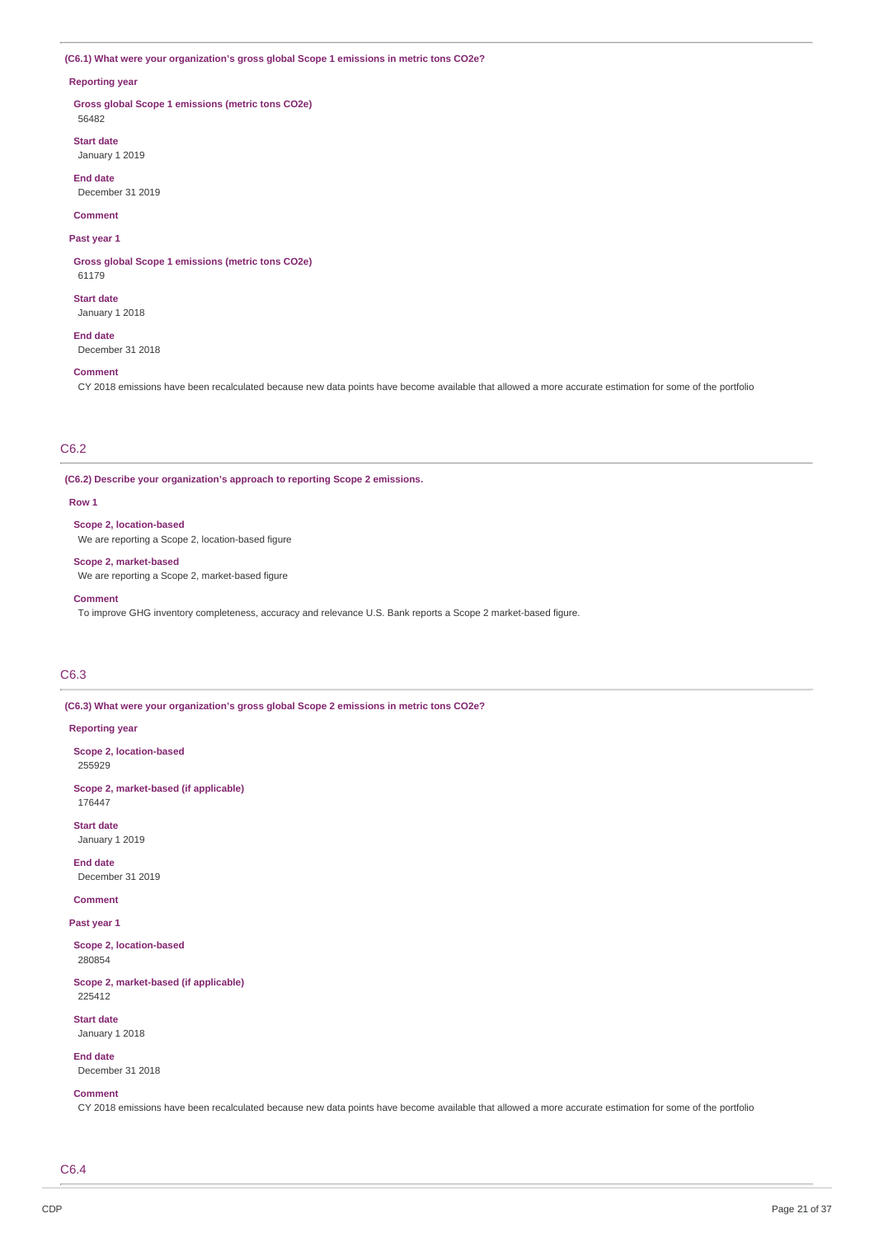### **(C6.1) What were your organization's gross global Scope 1 emissions in metric tons CO2e?**

### **Reporting year**

**Gross global Scope 1 emissions (metric tons CO2e)** 56482

**Start date** January 1 2019

**End date** December 31 2019

**Comment**

**Past year 1**

**Gross global Scope 1 emissions (metric tons CO2e)** 61179

**Start date**

January 1 2018

**End date**

December 31 2018

### **Comment**

CY 2018 emissions have been recalculated because new data points have become available that allowed a more accurate estimation for some of the portfolio

## C6.2

**(C6.2) Describe your organization's approach to reporting Scope 2 emissions.**

#### **Row 1**

**Scope 2, location-based**

We are reporting a Scope 2, location-based figure

## **Scope 2, market-based**

We are reporting a Scope 2, market-based figure

#### **Comment**

To improve GHG inventory completeness, accuracy and relevance U.S. Bank reports a Scope 2 market-based figure.

## C6.3

**(C6.3) What were your organization's gross global Scope 2 emissions in metric tons CO2e?**

### **Reporting year**

**Scope 2, location-based** 255929

**Scope 2, market-based (if applicable)** 176447

**Start date** January 1 2019

**End date**

December 31 2019

**Comment**

**Past year 1**

**Scope 2, location-based** 280854

**Scope 2, market-based (if applicable)** 225412

**Start date** January 1 2018

**End date** December 31 2018

### **Comment**

CY 2018 emissions have been recalculated because new data points have become available that allowed a more accurate estimation for some of the portfolio

C6.4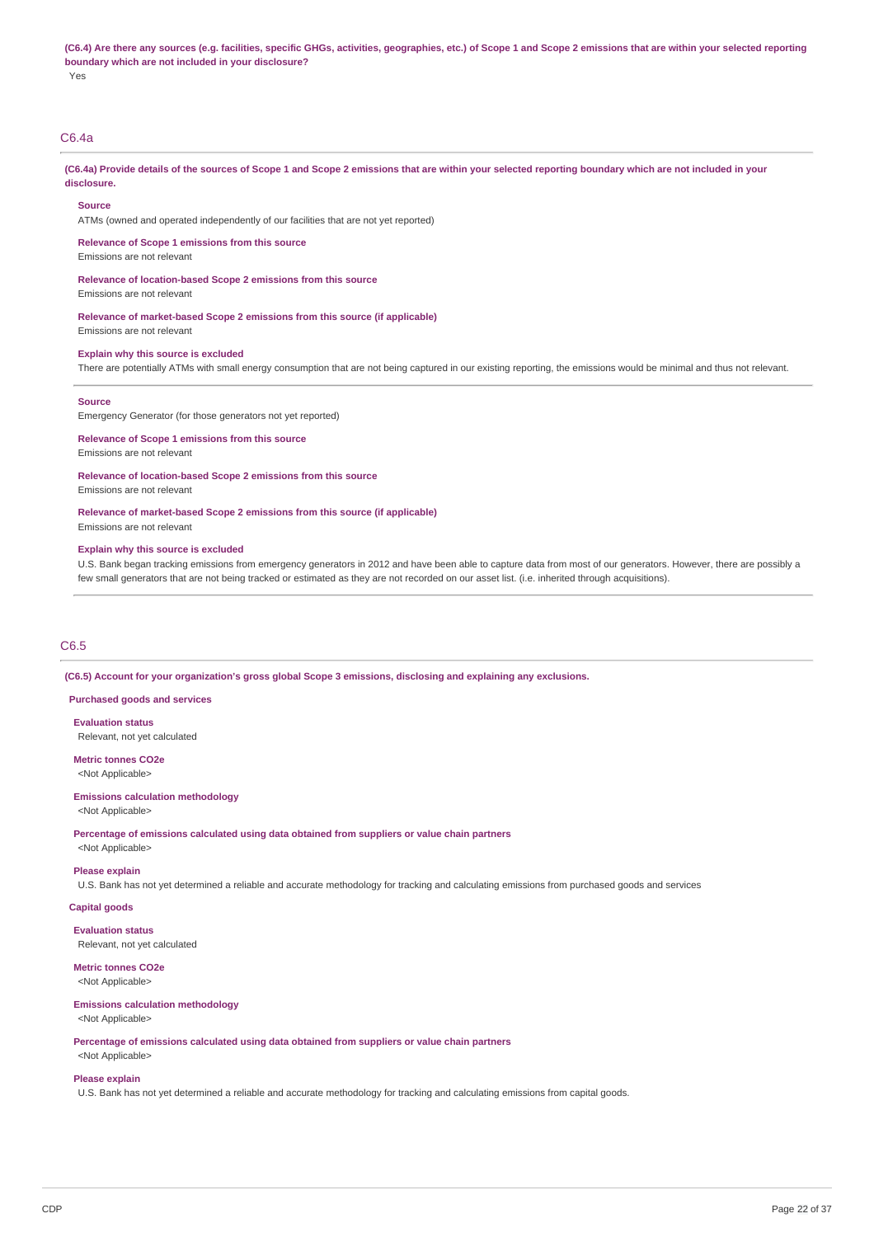(C6.4) Are there any sources (e.g. facilities, specific GHGs, activities, geographies, etc.) of Scope 1 and Scope 2 emissions that are within your selected reporting **boundary which are not included in your disclosure?** Yes

## C6.4a

(C6.4a) Provide details of the sources of Scope 1 and Scope 2 emissions that are within your selected reporting boundary which are not included in your **disclosure.**

#### **Source**

ATMs (owned and operated independently of our facilities that are not yet reported)

**Relevance of Scope 1 emissions from this source**

Emissions are not relevant

**Relevance of location-based Scope 2 emissions from this source**

Emissions are not relevant

**Relevance of market-based Scope 2 emissions from this source (if applicable)** Emissions are not relevant

#### **Explain why this source is excluded**

There are potentially ATMs with small energy consumption that are not being captured in our existing reporting, the emissions would be minimal and thus not relevant.

#### **Source**

Emergency Generator (for those generators not yet reported)

**Relevance of Scope 1 emissions from this source**

Emissions are not relevant

**Relevance of location-based Scope 2 emissions from this source**

Emissions are not relevant

**Relevance of market-based Scope 2 emissions from this source (if applicable)** Emissions are not relevant

#### **Explain why this source is excluded**

U.S. Bank began tracking emissions from emergency generators in 2012 and have been able to capture data from most of our generators. However, there are possibly a few small generators that are not being tracked or estimated as they are not recorded on our asset list. (i.e. inherited through acquisitions).

### C6.5

**(C6.5) Account for your organization's gross global Scope 3 emissions, disclosing and explaining any exclusions.**

### **Purchased goods and services**

**Evaluation status** Relevant, not yet calculated

**Metric tonnes CO2e** <Not Applicable>

## **Emissions calculation methodology**

<Not Applicable>

### **Percentage of emissions calculated using data obtained from suppliers or value chain partners** <Not Applicable>

**Please explain**

U.S. Bank has not yet determined a reliable and accurate methodology for tracking and calculating emissions from purchased goods and services

### **Capital goods**

**Evaluation status** Relevant, not yet calculated

## **Metric tonnes CO2e**

<Not Applicable>

#### **Emissions calculation methodology** <Not Applicable>

**Percentage of emissions calculated using data obtained from suppliers or value chain partners** <Not Applicable>

# **Please explain**

U.S. Bank has not yet determined a reliable and accurate methodology for tracking and calculating emissions from capital goods.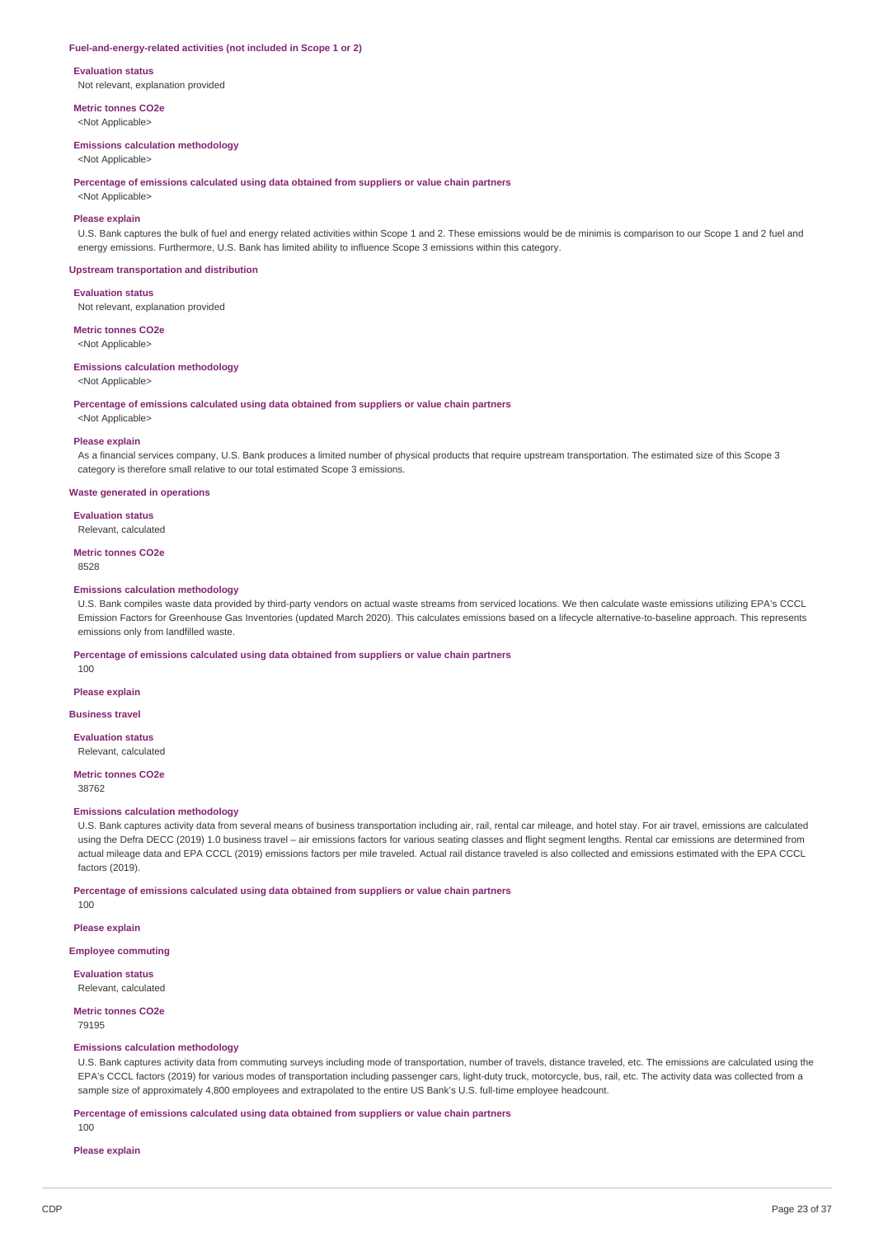#### **Fuel-and-energy-related activities (not included in Scope 1 or 2)**

#### **Evaluation status**

Not relevant, explanation provided

**Metric tonnes CO2e**

<Not Applicable>

### **Emissions calculation methodology**

<Not Applicable>

#### **Percentage of emissions calculated using data obtained from suppliers or value chain partners**

<Not Applicable>

### **Please explain**

U.S. Bank captures the bulk of fuel and energy related activities within Scope 1 and 2. These emissions would be de minimis is comparison to our Scope 1 and 2 fuel and energy emissions. Furthermore, U.S. Bank has limited ability to influence Scope 3 emissions within this category.

#### **Upstream transportation and distribution**

#### **Evaluation status**

Not relevant, explanation provided

## **Metric tonnes CO2e**

<Not Applicable>

### **Emissions calculation methodology**

<Not Applicable>

**Percentage of emissions calculated using data obtained from suppliers or value chain partners**

<Not Applicable>

### **Please explain**

As a financial services company, U.S. Bank produces a limited number of physical products that require upstream transportation. The estimated size of this Scope 3 category is therefore small relative to our total estimated Scope 3 emissions.

#### **Waste generated in operations**

**Evaluation status**

#### Relevant, calculated

**Metric tonnes CO2e**

8528

#### **Emissions calculation methodology**

U.S. Bank compiles waste data provided by third-party vendors on actual waste streams from serviced locations. We then calculate waste emissions utilizing EPA's CCCL Emission Factors for Greenhouse Gas Inventories (updated March 2020). This calculates emissions based on a lifecycle alternative-to-baseline approach. This represents emissions only from landfilled waste.

### **Percentage of emissions calculated using data obtained from suppliers or value chain partners**

100

## **Please explain**

**Business travel**

### **Evaluation status**

Relevant, calculated

#### **Metric tonnes CO2e** 38762

## **Emissions calculation methodology**

U.S. Bank captures activity data from several means of business transportation including air, rail, rental car mileage, and hotel stay. For air travel, emissions are calculated using the Defra DECC (2019) 1.0 business travel – air emissions factors for various seating classes and flight segment lengths. Rental car emissions are determined from actual mileage data and EPA CCCL (2019) emissions factors per mile traveled. Actual rail distance traveled is also collected and emissions estimated with the EPA CCCL factors (2019).

### **Percentage of emissions calculated using data obtained from suppliers or value chain partners**

100

## **Please explain**

**Employee commuting**

**Evaluation status** Relevant, calculated

## **Metric tonnes CO2e**

79195

### **Emissions calculation methodology**

U.S. Bank captures activity data from commuting surveys including mode of transportation, number of travels, distance traveled, etc. The emissions are calculated using the EPA's CCCL factors (2019) for various modes of transportation including passenger cars, light-duty truck, motorcycle, bus, rail, etc. The activity data was collected from a sample size of approximately 4,800 employees and extrapolated to the entire US Bank's U.S. full-time employee headcount.

**Percentage of emissions calculated using data obtained from suppliers or value chain partners**

100

### **Please explain**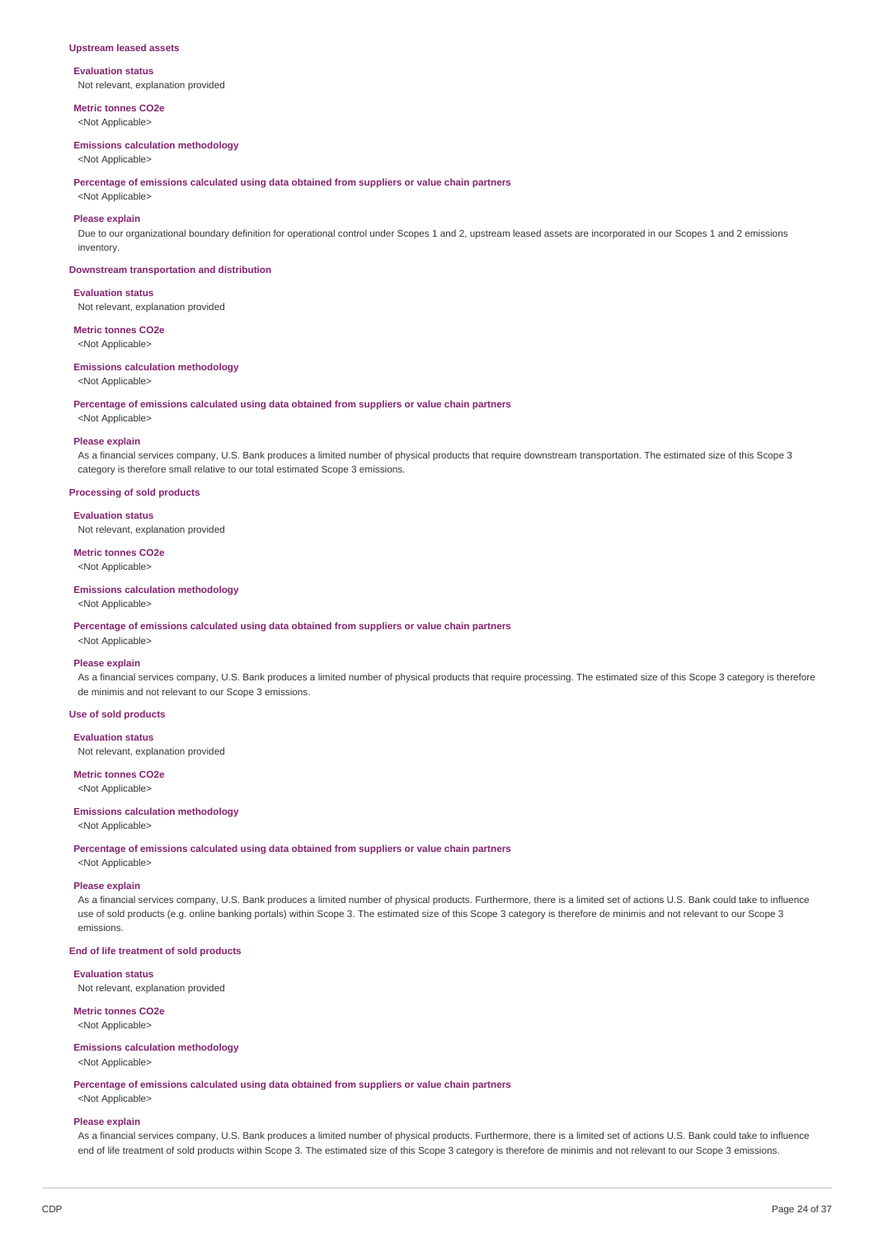### **Upstream leased assets**

#### **Evaluation status**

Not relevant, explanation provided

**Metric tonnes CO2e** <Not Applicable>

#### **Emissions calculation methodology**

<Not Applicable>

**Percentage of emissions calculated using data obtained from suppliers or value chain partners**

## <Not Applicable>

**Please explain**

Due to our organizational boundary definition for operational control under Scopes 1 and 2, upstream leased assets are incorporated in our Scopes 1 and 2 emissions inventory.

#### **Downstream transportation and distribution**

#### **Evaluation status**

Not relevant, explanation provided

## **Metric tonnes CO2e**

<Not Applicable>

## **Emissions calculation methodology**

<Not Applicable>

**Percentage of emissions calculated using data obtained from suppliers or value chain partners**

<Not Applicable>

### **Please explain**

As a financial services company, U.S. Bank produces a limited number of physical products that require downstream transportation. The estimated size of this Scope 3 category is therefore small relative to our total estimated Scope 3 emissions.

#### **Processing of sold products**

### **Evaluation status**

Not relevant, explanation provided

# **Metric tonnes CO2e**

<Not Applicable>

### **Emissions calculation methodology**

<Not Applicable>

**Percentage of emissions calculated using data obtained from suppliers or value chain partners**

# <Not Applicable>

**Please explain**

As a financial services company, U.S. Bank produces a limited number of physical products that require processing. The estimated size of this Scope 3 category is therefore de minimis and not relevant to our Scope 3 emissions.

### **Use of sold products**

#### **Evaluation status**

Not relevant, explanation provided

## **Metric tonnes CO2e**

<Not Applicable>

### **Emissions calculation methodology**

<Not Applicable>

**Percentage of emissions calculated using data obtained from suppliers or value chain partners**

<Not Applicable>

### **Please explain**

As a financial services company, U.S. Bank produces a limited number of physical products. Furthermore, there is a limited set of actions U.S. Bank could take to influence use of sold products (e.g. online banking portals) within Scope 3. The estimated size of this Scope 3 category is therefore de minimis and not relevant to our Scope 3 emissions.

### **End of life treatment of sold products**

### **Evaluation status**

Not relevant, explanation provided

## **Metric tonnes CO2e**

<Not Applicable>

### **Emissions calculation methodology**

<Not Applicable>

**Percentage of emissions calculated using data obtained from suppliers or value chain partners** <Not Applicable>

# **Please explain**

As a financial services company, U.S. Bank produces a limited number of physical products. Furthermore, there is a limited set of actions U.S. Bank could take to influence end of life treatment of sold products within Scope 3. The estimated size of this Scope 3 category is therefore de minimis and not relevant to our Scope 3 emissions.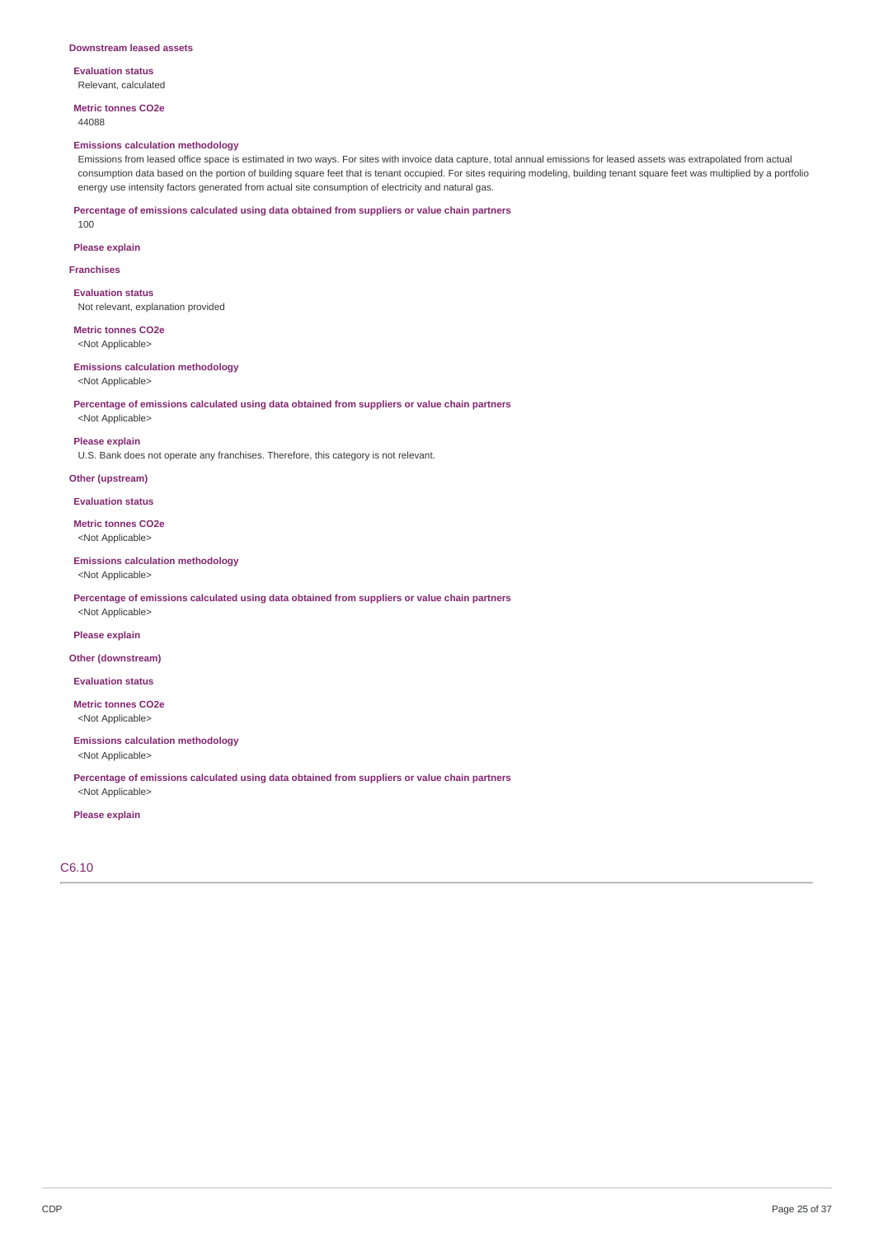#### **Downstream leased assets**

**Evaluation status** Relevant, calculated

**Metric tonnes CO2e** 44088

#### **Emissions calculation methodology**

Emissions from leased office space is estimated in two ways. For sites with invoice data capture, total annual emissions for leased assets was extrapolated from actual consumption data based on the portion of building square feet that is tenant occupied. For sites requiring modeling, building tenant square feet was multiplied by a portfolio energy use intensity factors generated from actual site consumption of electricity and natural gas.

**Percentage of emissions calculated using data obtained from suppliers or value chain partners**

100

**Please explain**

### **Franchises**

**Evaluation status** Not relevant, explanation provided

**Metric tonnes CO2e** <Not Applicable>

**Emissions calculation methodology** <Not Applicable>

**Percentage of emissions calculated using data obtained from suppliers or value chain partners** <Not Applicable>

### **Please explain**

U.S. Bank does not operate any franchises. Therefore, this category is not relevant.

## **Other (upstream)**

**Evaluation status**

**Metric tonnes CO2e** <Not Applicable>

#### **Emissions calculation methodology**

<Not Applicable>

**Percentage of emissions calculated using data obtained from suppliers or value chain partners** <Not Applicable>

**Please explain**

#### **Other (downstream)**

**Evaluation status**

**Metric tonnes CO2e** <Not Applicable>

### **Emissions calculation methodology**

<Not Applicable>

**Percentage of emissions calculated using data obtained from suppliers or value chain partners** <Not Applicable>

### **Please explain**

C6.10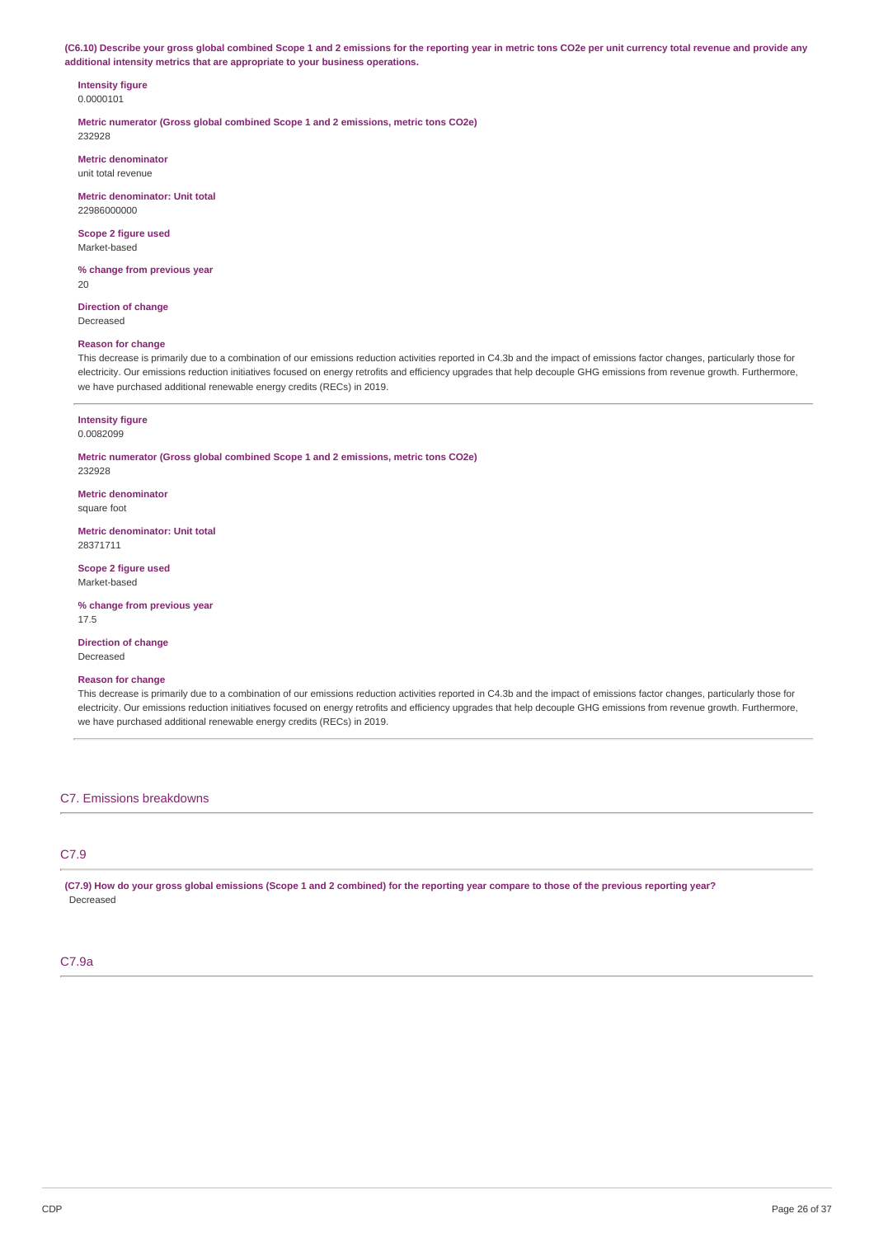(C6.10) Describe your gross global combined Scope 1 and 2 emissions for the reporting year in metric tons CO2e per unit currency total revenue and provide any **additional intensity metrics that are appropriate to your business operations.**

### **Intensity figure** 0.0000101

**Metric numerator (Gross global combined Scope 1 and 2 emissions, metric tons CO2e)** 232928

**Metric denominator** unit total revenue

**Metric denominator: Unit total** 22986000000

**Scope 2 figure used** Market-based

**% change from previous year** 20

**Direction of change** Decreased

### **Reason for change**

This decrease is primarily due to a combination of our emissions reduction activities reported in C4.3b and the impact of emissions factor changes, particularly those for electricity. Our emissions reduction initiatives focused on energy retrofits and efficiency upgrades that help decouple GHG emissions from revenue growth. Furthermore, we have purchased additional renewable energy credits (RECs) in 2019.

#### **Intensity figure** 0.0082099

**Metric numerator (Gross global combined Scope 1 and 2 emissions, metric tons CO2e)** 232928

**Metric denominator** square foot

**Metric denominator: Unit total** 28371711

**Scope 2 figure used** Market-based

**% change from previous year** 17.5

**Direction of change** Decreased

### **Reason for change**

This decrease is primarily due to a combination of our emissions reduction activities reported in C4.3b and the impact of emissions factor changes, particularly those for electricity. Our emissions reduction initiatives focused on energy retrofits and efficiency upgrades that help decouple GHG emissions from revenue growth. Furthermore, we have purchased additional renewable energy credits (RECs) in 2019.

C7. Emissions breakdowns

## C7.9

(C7.9) How do your gross global emissions (Scope 1 and 2 combined) for the reporting year compare to those of the previous reporting year? Decreased

### C7.9a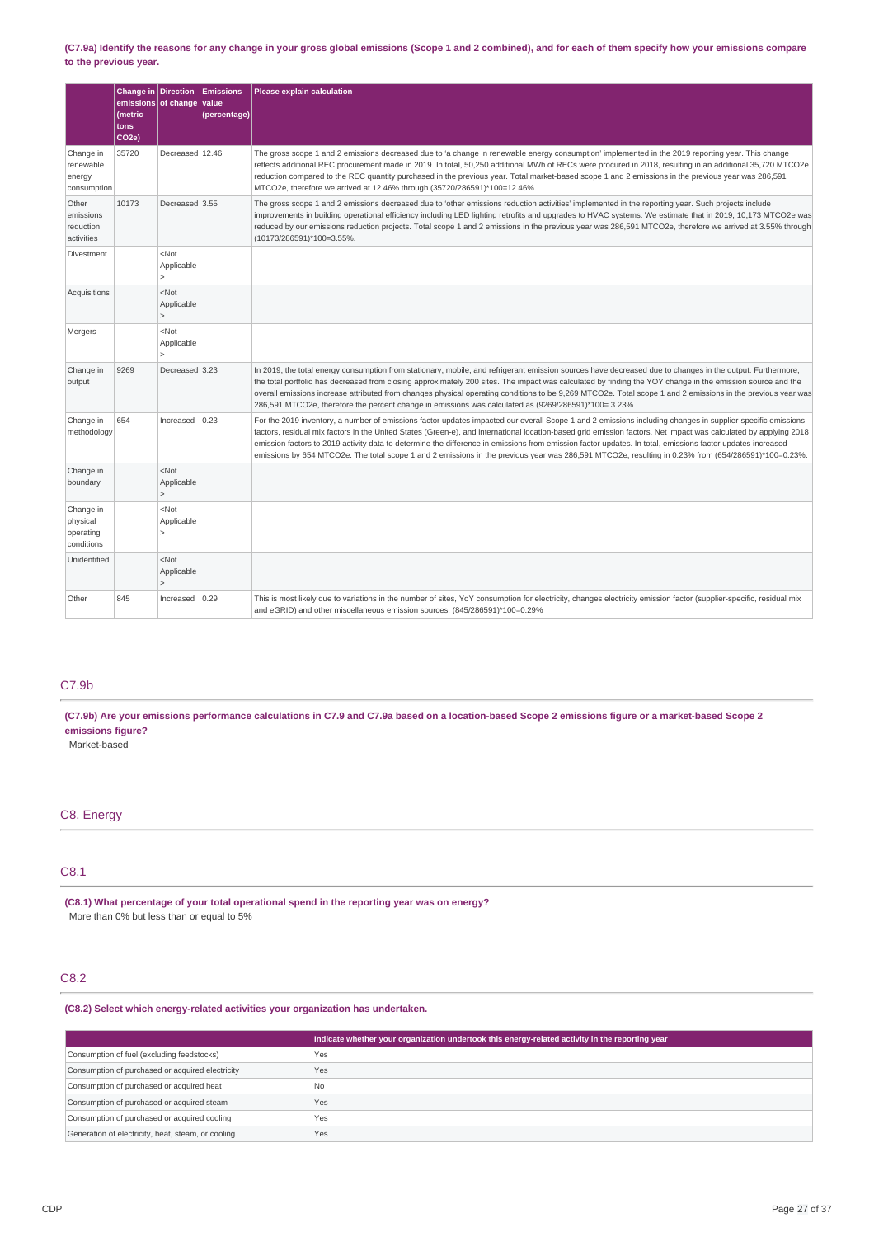### (C7.9a) Identify the reasons for any change in your gross global emissions (Scope 1 and 2 combined), and for each of them specify how your emissions compare **to the previous year.**

|                                                  | Change in Direction<br>emissions of change<br>(metric<br>tons<br>CO <sub>2e</sub> ) |                                                         | <b>Emissions</b><br>value<br>(percentage) | Please explain calculation                                                                                                                                                                                                                                                                                                                                                                                                                                                                                                                                                                                                                          |
|--------------------------------------------------|-------------------------------------------------------------------------------------|---------------------------------------------------------|-------------------------------------------|-----------------------------------------------------------------------------------------------------------------------------------------------------------------------------------------------------------------------------------------------------------------------------------------------------------------------------------------------------------------------------------------------------------------------------------------------------------------------------------------------------------------------------------------------------------------------------------------------------------------------------------------------------|
| Change in<br>renewable<br>energy<br>consumption  | 35720                                                                               | Decreased 12.46                                         |                                           | The gross scope 1 and 2 emissions decreased due to 'a change in renewable energy consumption' implemented in the 2019 reporting year. This change<br>reflects additional REC procurement made in 2019. In total, 50,250 additional MWh of RECs were procured in 2018, resulting in an additional 35,720 MTCO2e<br>reduction compared to the REC quantity purchased in the previous year. Total market-based scope 1 and 2 emissions in the previous year was 286,591<br>MTCO2e, therefore we arrived at 12.46% through (35720/286591)*100=12.46%.                                                                                                   |
| Other<br>emissions<br>reduction<br>activities    | 10173                                                                               | Decreased 3.55                                          |                                           | The gross scope 1 and 2 emissions decreased due to 'other emissions reduction activities' implemented in the reporting year. Such projects include<br>improvements in building operational efficiency including LED lighting retrofits and upgrades to HVAC systems. We estimate that in 2019, 10,173 MTCO2e was<br>reduced by our emissions reduction projects. Total scope 1 and 2 emissions in the previous year was 286,591 MTCO2e, therefore we arrived at 3.55% through<br>(10173/286591)*100=3.55%.                                                                                                                                          |
| Divestment                                       |                                                                                     | <not<br>Applicable<br/><math>\mathbf{r}</math></not<br> |                                           |                                                                                                                                                                                                                                                                                                                                                                                                                                                                                                                                                                                                                                                     |
| Acquisitions                                     |                                                                                     | $<$ Not<br>Applicable<br>$\overline{ }$                 |                                           |                                                                                                                                                                                                                                                                                                                                                                                                                                                                                                                                                                                                                                                     |
| Mergers                                          |                                                                                     | <not<br>Applicable<br/>1&gt;</not<br>                   |                                           |                                                                                                                                                                                                                                                                                                                                                                                                                                                                                                                                                                                                                                                     |
| Change in<br>output                              | 9269                                                                                | Decreased 3.23                                          |                                           | In 2019, the total energy consumption from stationary, mobile, and refrigerant emission sources have decreased due to changes in the output. Furthermore,<br>the total portfolio has decreased from closing approximately 200 sites. The impact was calculated by finding the YOY change in the emission source and the<br>overall emissions increase attributed from changes physical operating conditions to be 9,269 MTCO2e. Total scope 1 and 2 emissions in the previous year was<br>286,591 MTCO2e, therefore the percent change in emissions was calculated as (9269/286591)*100= 3.23%                                                      |
| Change in<br>methodology                         | 654                                                                                 | Increased                                               | 0.23                                      | For the 2019 inventory, a number of emissions factor updates impacted our overall Scope 1 and 2 emissions including changes in supplier-specific emissions<br>factors, residual mix factors in the United States (Green-e), and international location-based grid emission factors. Net impact was calculated by applying 2018<br>emission factors to 2019 activity data to determine the difference in emissions from emission factor updates. In total, emissions factor updates increased<br>emissions by 654 MTCO2e. The total scope 1 and 2 emissions in the previous year was 286,591 MTCO2e, resulting in 0.23% from (654/286591)*100=0.23%. |
| Change in<br>boundary                            |                                                                                     | $<$ Not<br>Applicable<br>$\mathbf{r}$                   |                                           |                                                                                                                                                                                                                                                                                                                                                                                                                                                                                                                                                                                                                                                     |
| Change in<br>physical<br>operating<br>conditions |                                                                                     | <not<br>Applicable</not<br>                             |                                           |                                                                                                                                                                                                                                                                                                                                                                                                                                                                                                                                                                                                                                                     |
| Unidentified                                     |                                                                                     | <not<br>Applicable<br/><math>\mathbf{r}</math></not<br> |                                           |                                                                                                                                                                                                                                                                                                                                                                                                                                                                                                                                                                                                                                                     |
| Other                                            | 845                                                                                 | Increased                                               | 0.29                                      | This is most likely due to variations in the number of sites, YoY consumption for electricity, changes electricity emission factor (supplier-specific, residual mix<br>and eGRID) and other miscellaneous emission sources. (845/286591)*100=0.29%                                                                                                                                                                                                                                                                                                                                                                                                  |

## C7.9b

(C7.9b) Are your emissions performance calculations in C7.9 and C7.9a based on a location-based Scope 2 emissions figure or a market-based Scope 2 **emissions figure?**

Market-based

## C8. Energy

## C8.1

**(C8.1) What percentage of your total operational spend in the reporting year was on energy?** More than 0% but less than or equal to 5%

## C8.2

**(C8.2) Select which energy-related activities your organization has undertaken.**

|                                                    | Indicate whether your organization undertook this energy-related activity in the reporting year |
|----------------------------------------------------|-------------------------------------------------------------------------------------------------|
| Consumption of fuel (excluding feedstocks)         | Yes                                                                                             |
| Consumption of purchased or acquired electricity   | Yes                                                                                             |
| Consumption of purchased or acquired heat          | l No                                                                                            |
| Consumption of purchased or acquired steam         | Yes                                                                                             |
| Consumption of purchased or acquired cooling       | Yes                                                                                             |
| Generation of electricity, heat, steam, or cooling | Yes                                                                                             |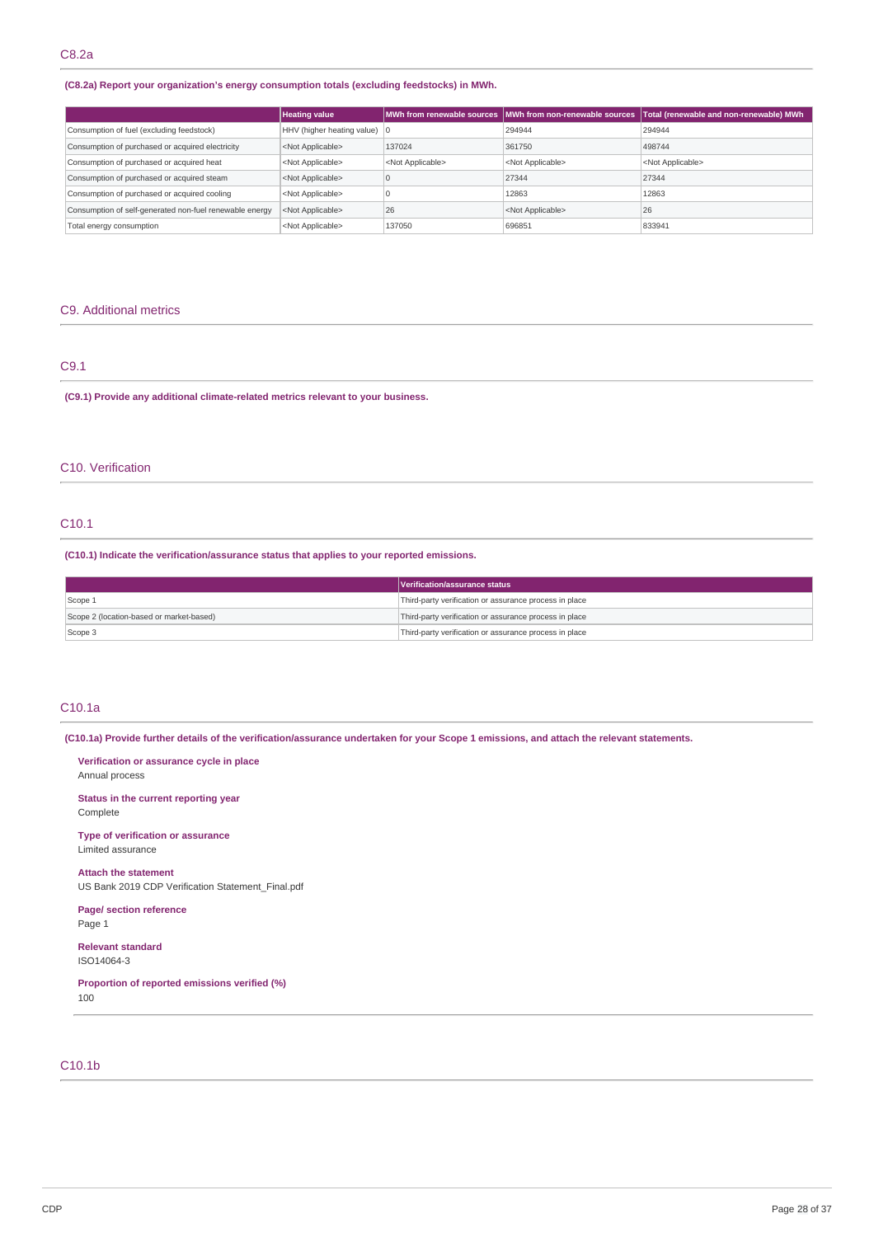### **(C8.2a) Report your organization's energy consumption totals (excluding feedstocks) in MWh.**

|                                                         | <b>Heating value</b>                   |                           | MWh from renewable sources   MWh from non-renewable sources | Total (renewable and non-renewable) MWh |
|---------------------------------------------------------|----------------------------------------|---------------------------|-------------------------------------------------------------|-----------------------------------------|
| Consumption of fuel (excluding feedstock)               | HHV (higher heating value) $ 0\rangle$ |                           | 294944                                                      | 294944                                  |
| Consumption of purchased or acquired electricity        | <not applicable=""></not>              | 137024                    | 361750                                                      | 498744                                  |
| Consumption of purchased or acquired heat               | <not applicable=""></not>              | <not applicable=""></not> | <not applicable=""></not>                                   | <not applicable=""></not>               |
| Consumption of purchased or acquired steam              | <not applicable=""></not>              |                           | 27344                                                       | 27344                                   |
| Consumption of purchased or acquired cooling            | <not applicable=""></not>              |                           | 12863                                                       | 12863                                   |
| Consumption of self-generated non-fuel renewable energy | <not applicable=""></not>              | 26                        | <not applicable=""></not>                                   | 26                                      |
| Total energy consumption                                | <not applicable=""></not>              | 137050                    | 696851                                                      | 833941                                  |

### C9. Additional metrics

## C9.1

**(C9.1) Provide any additional climate-related metrics relevant to your business.**

## C10. Verification

## C10.1

**(C10.1) Indicate the verification/assurance status that applies to your reported emissions.**

|                                          | Verification/assurance status                          |
|------------------------------------------|--------------------------------------------------------|
| Scope 1                                  | Third-party verification or assurance process in place |
| Scope 2 (location-based or market-based) | Third-party verification or assurance process in place |
| Scope 3                                  | Third-party verification or assurance process in place |

## C10.1a

(C10.1a) Provide further details of the verification/assurance undertaken for your Scope 1 emissions, and attach the relevant statements.

**Verification or assurance cycle in place** Annual process

**Status in the current reporting year** Complete

**Type of verification or assurance** Limited assurance

**Attach the statement** US Bank 2019 CDP Verification Statement\_Final.pdf

**Page/ section reference** Page 1

**Relevant standard** ISO14064-3

**Proportion of reported emissions verified (%)** 100

## C10.1b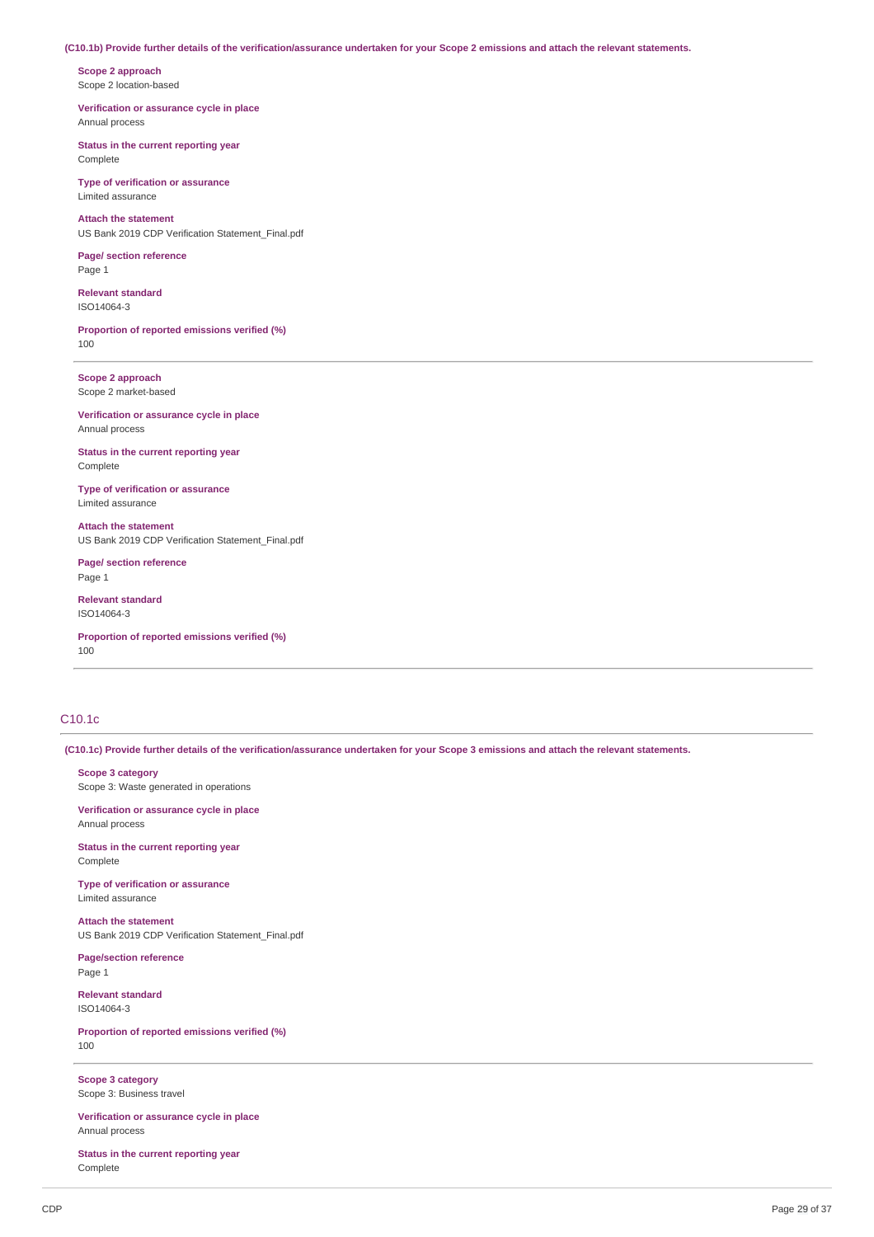### (C10.1b) Provide further details of the verification/assurance undertaken for your Scope 2 emissions and attach the relevant statements.

**Scope 2 approach** Scope 2 location-based

**Verification or assurance cycle in place** Annual process

**Status in the current reporting year** Complete

**Type of verification or assurance** Limited assurance

**Attach the statement** US Bank 2019 CDP Verification Statement\_Final.pdf

**Page/ section reference** Page 1

**Relevant standard** ISO14064-3

**Proportion of reported emissions verified (%)** 100

**Scope 2 approach** Scope 2 market-based

**Verification or assurance cycle in place** Annual process

**Status in the current reporting year** Complete

**Type of verification or assurance** Limited assurance

**Attach the statement** US Bank 2019 CDP Verification Statement\_Final.pdf

**Page/ section reference** Page 1

**Relevant standard** ISO14064-3

**Proportion of reported emissions verified (%)** 100

## C10.1c

(C10.1c) Provide further details of the verification/assurance undertaken for your Scope 3 emissions and attach the relevant statements.

**Scope 3 category**

Scope 3: Waste generated in operations

**Verification or assurance cycle in place** Annual process

**Status in the current reporting year** Complete

**Type of verification or assurance** Limited assurance

**Attach the statement** US Bank 2019 CDP Verification Statement\_Final.pdf

**Page/section reference** Page 1

**Relevant standard** ISO14064-3

**Proportion of reported emissions verified (%)** 100

**Scope 3 category** Scope 3: Business travel

**Verification or assurance cycle in place** Annual process

**Status in the current reporting year** Complete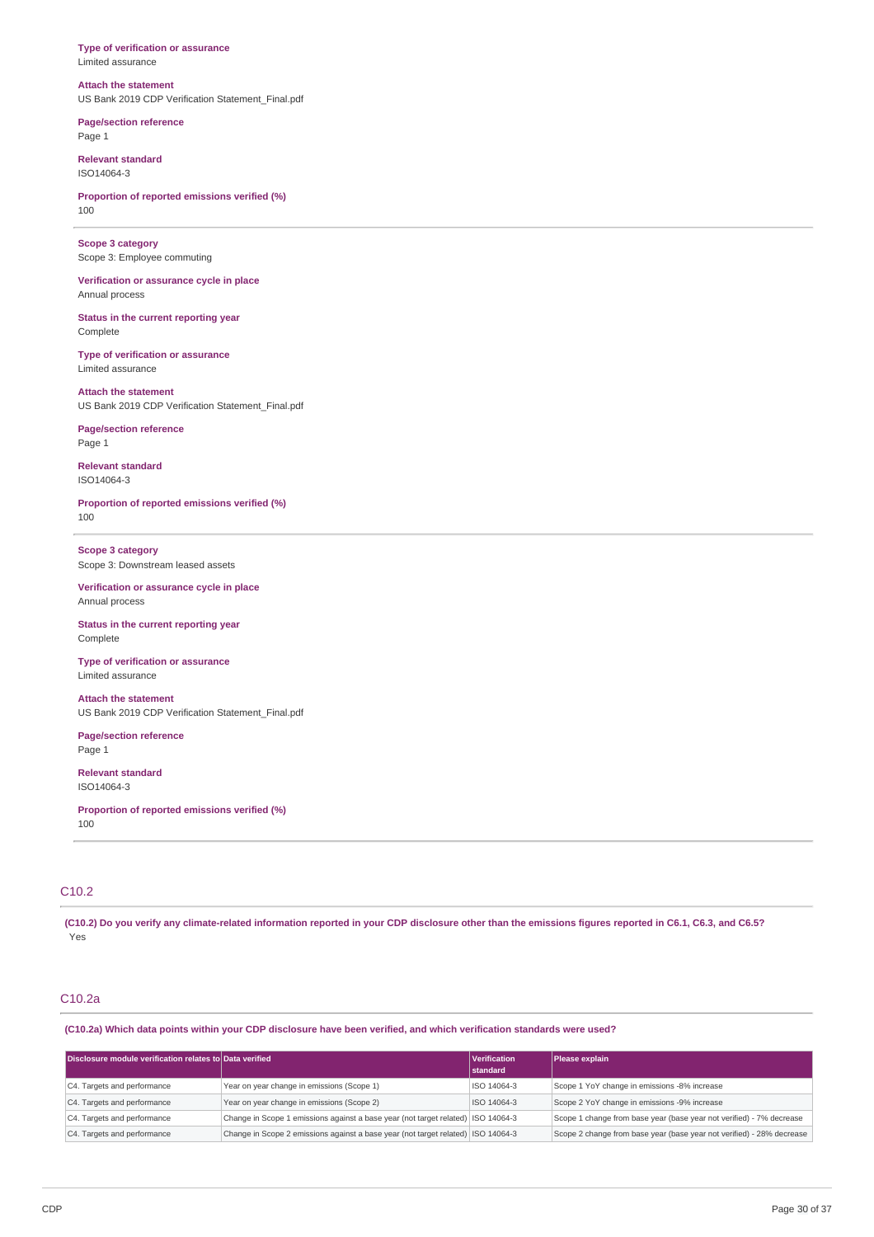#### **Type of verification or assurance** Limited assurance

### **Attach the statement** US Bank 2019 CDP Verification Statement\_Final.pdf

**Page/section reference** Page 1

**Relevant standard** ISO14064-3

**Proportion of reported emissions verified (%)** 100

**Scope 3 category** Scope 3: Employee commuting

**Verification or assurance cycle in place** Annual process

**Status in the current reporting year** Complete

**Type of verification or assurance** Limited assurance

**Attach the statement** US Bank 2019 CDP Verification Statement\_Final.pdf

**Page/section reference** Page 1

**Relevant standard** ISO14064-3

**Proportion of reported emissions verified (%)** 100

**Scope 3 category** Scope 3: Downstream leased assets

**Verification or assurance cycle in place** Annual process

**Status in the current reporting year** Complete

**Type of verification or assurance** Limited assurance

**Attach the statement** US Bank 2019 CDP Verification Statement\_Final.pdf

**Page/section reference** Page 1

**Relevant standard** ISO14064-3

**Proportion of reported emissions verified (%)** 100

## C10.2

(C10.2) Do you verify any climate-related information reported in your CDP disclosure other than the emissions figures reported in C6.1, C6.3, and C6.5? Yes

## C10.2a

(C10.2a) Which data points within your CDP disclosure have been verified, and which verification standards were used?

| Disclosure module verification relates to Data verified |                                                                                  | Verification<br>standard | Please explain                                                        |
|---------------------------------------------------------|----------------------------------------------------------------------------------|--------------------------|-----------------------------------------------------------------------|
| C4. Targets and performance                             | Year on year change in emissions (Scope 1)                                       | ISO 14064-3              | Scope 1 YoY change in emissions -8% increase                          |
| C4. Targets and performance                             | Year on year change in emissions (Scope 2)                                       | ISO 14064-3              | Scope 2 YoY change in emissions -9% increase                          |
| C4. Targets and performance                             | Change in Scope 1 emissions against a base year (not target related) ISO 14064-3 |                          | Scope 1 change from base year (base year not verified) - 7% decrease  |
| C4. Targets and performance                             | Change in Scope 2 emissions against a base year (not target related) ISO 14064-3 |                          | Scope 2 change from base year (base year not verified) - 28% decrease |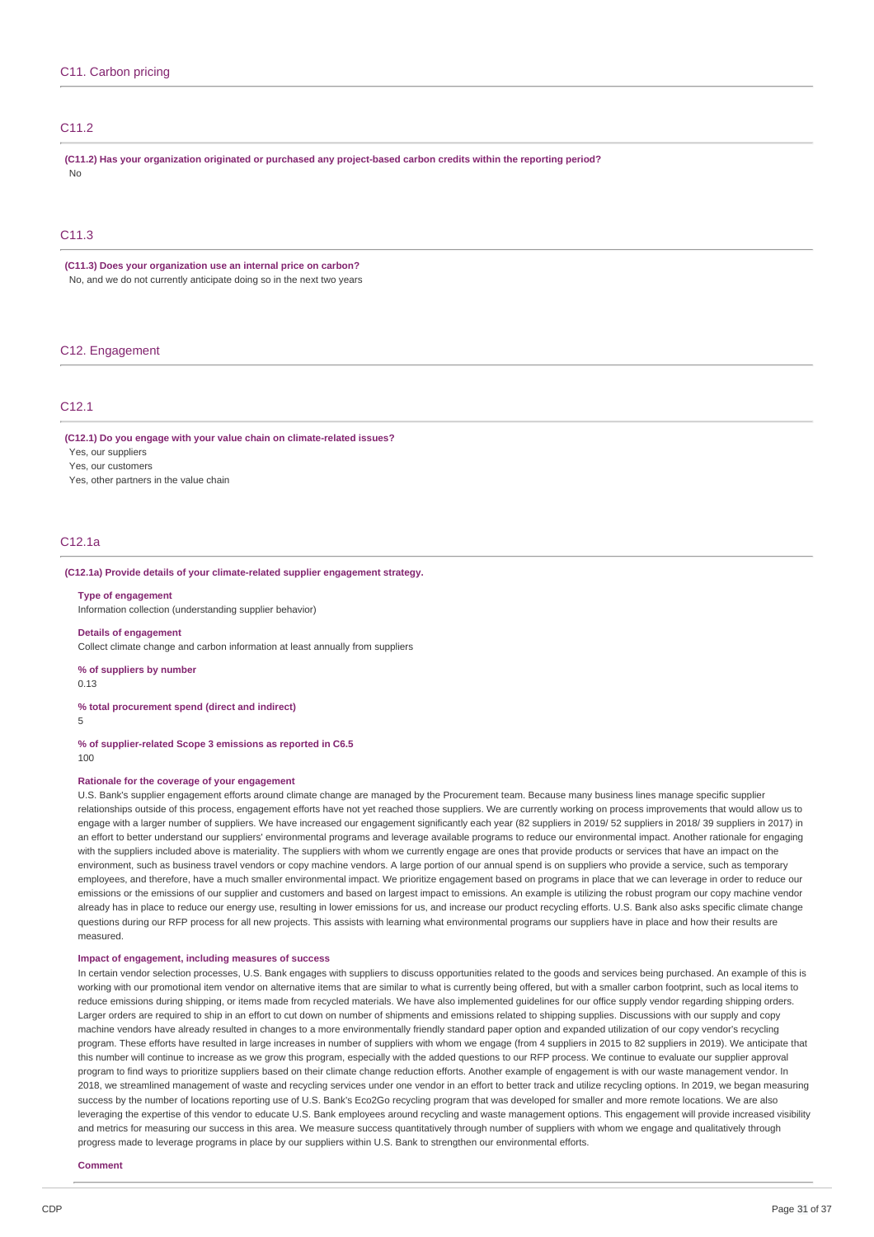## C11.2

**(C11.2) Has your organization originated or purchased any project-based carbon credits within the reporting period?** No

## C11.3

**(C11.3) Does your organization use an internal price on carbon?** No, and we do not currently anticipate doing so in the next two years

## C12. Engagement

#### C12.1

**(C12.1) Do you engage with your value chain on climate-related issues?**

## Yes, our suppliers

Yes, our customers

Yes, other partners in the value chain

## C12.1a

### **(C12.1a) Provide details of your climate-related supplier engagement strategy.**

#### **Type of engagement**

Information collection (understanding supplier behavior)

#### **Details of engagement**

Collect climate change and carbon information at least annually from suppliers

**% of suppliers by number**

0.13

#### **% total procurement spend (direct and indirect)**

5

**% of supplier-related Scope 3 emissions as reported in C6.5**  $100$ 

### **Rationale for the coverage of your engagement**

U.S. Bank's supplier engagement efforts around climate change are managed by the Procurement team. Because many business lines manage specific supplier relationships outside of this process, engagement efforts have not yet reached those suppliers. We are currently working on process improvements that would allow us to engage with a larger number of suppliers. We have increased our engagement significantly each year (82 suppliers in 2019/ 52 suppliers in 2018/ 39 suppliers in 2017) in an effort to better understand our suppliers' environmental programs and leverage available programs to reduce our environmental impact. Another rationale for engaging with the suppliers included above is materiality. The suppliers with whom we currently engage are ones that provide products or services that have an impact on the environment, such as business travel vendors or copy machine vendors. A large portion of our annual spend is on suppliers who provide a service, such as temporary employees, and therefore, have a much smaller environmental impact. We prioritize engagement based on programs in place that we can leverage in order to reduce our emissions or the emissions of our supplier and customers and based on largest impact to emissions. An example is utilizing the robust program our copy machine vendor already has in place to reduce our energy use, resulting in lower emissions for us, and increase our product recycling efforts. U.S. Bank also asks specific climate change questions during our RFP process for all new projects. This assists with learning what environmental programs our suppliers have in place and how their results are measured.

#### **Impact of engagement, including measures of success**

In certain vendor selection processes, U.S. Bank engages with suppliers to discuss opportunities related to the goods and services being purchased. An example of this is working with our promotional item vendor on alternative items that are similar to what is currently being offered, but with a smaller carbon footprint, such as local items to reduce emissions during shipping, or items made from recycled materials. We have also implemented guidelines for our office supply vendor regarding shipping orders. Larger orders are required to ship in an effort to cut down on number of shipments and emissions related to shipping supplies. Discussions with our supply and copy machine vendors have already resulted in changes to a more environmentally friendly standard paper option and expanded utilization of our copy vendor's recycling program. These efforts have resulted in large increases in number of suppliers with whom we engage (from 4 suppliers in 2015 to 82 suppliers in 2019). We anticipate that this number will continue to increase as we grow this program, especially with the added questions to our RFP process. We continue to evaluate our supplier approval program to find ways to prioritize suppliers based on their climate change reduction efforts. Another example of engagement is with our waste management vendor. In 2018, we streamlined management of waste and recycling services under one vendor in an effort to better track and utilize recycling options. In 2019, we began measuring success by the number of locations reporting use of U.S. Bank's Eco2Go recycling program that was developed for smaller and more remote locations. We are also leveraging the expertise of this vendor to educate U.S. Bank employees around recycling and waste management options. This engagement will provide increased visibility and metrics for measuring our success in this area. We measure success quantitatively through number of suppliers with whom we engage and qualitatively through progress made to leverage programs in place by our suppliers within U.S. Bank to strengthen our environmental efforts.

#### **Comment**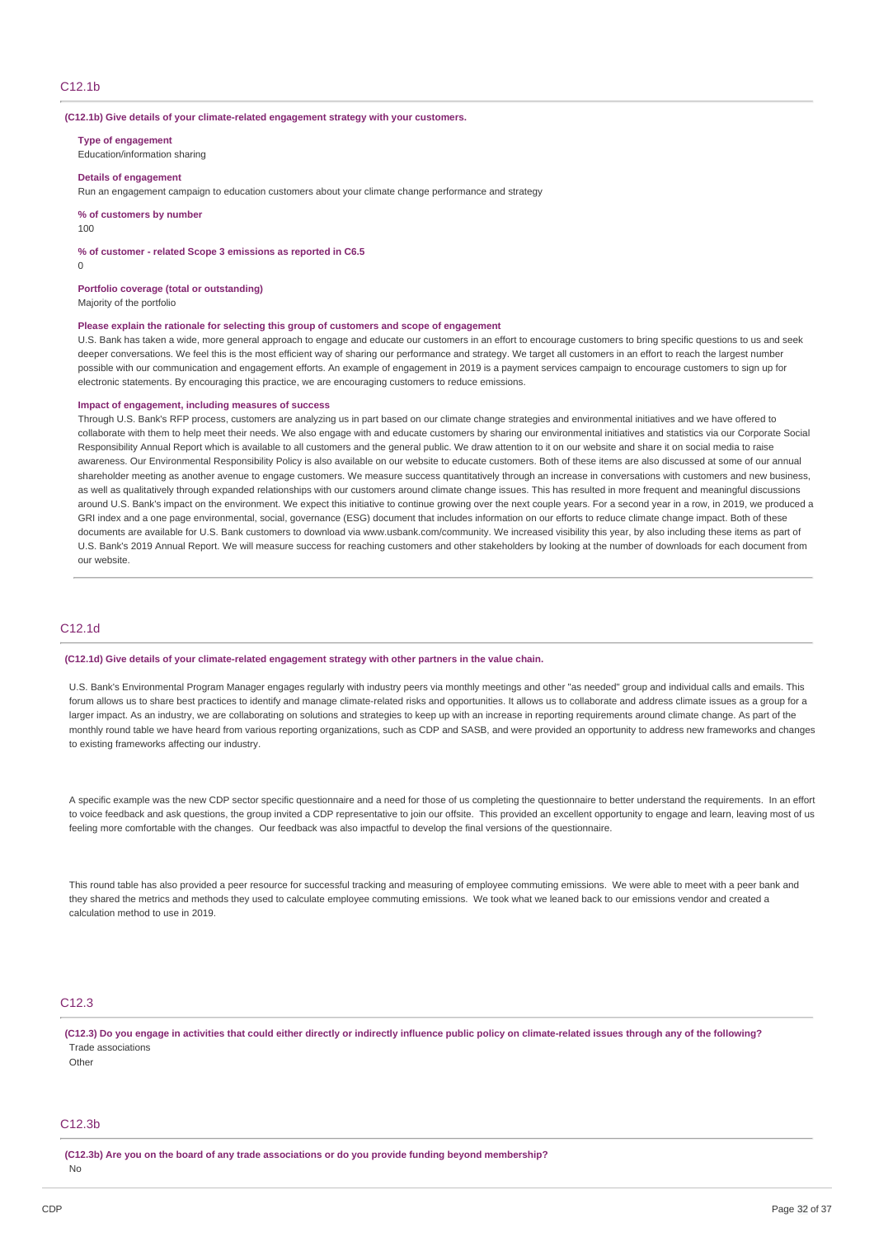#### **(C12.1b) Give details of your climate-related engagement strategy with your customers.**

**Type of engagement**

Education/information sharing

#### **Details of engagement**

Run an engagement campaign to education customers about your climate change performance and strategy

**% of customers by number**

 $100$ 

#### **% of customer - related Scope 3 emissions as reported in C6.5**

 $\Omega$ 

#### **Portfolio coverage (total or outstanding)**

Majority of the portfolio

#### **Please explain the rationale for selecting this group of customers and scope of engagement**

U.S. Bank has taken a wide, more general approach to engage and educate our customers in an effort to encourage customers to bring specific questions to us and seek deeper conversations. We feel this is the most efficient way of sharing our performance and strategy. We target all customers in an effort to reach the largest number possible with our communication and engagement efforts. An example of engagement in 2019 is a payment services campaign to encourage customers to sign up for electronic statements. By encouraging this practice, we are encouraging customers to reduce emissions.

#### **Impact of engagement, including measures of success**

Through U.S. Bank's RFP process, customers are analyzing us in part based on our climate change strategies and environmental initiatives and we have offered to collaborate with them to help meet their needs. We also engage with and educate customers by sharing our environmental initiatives and statistics via our Corporate Social Responsibility Annual Report which is available to all customers and the general public. We draw attention to it on our website and share it on social media to raise awareness. Our Environmental Responsibility Policy is also available on our website to educate customers. Both of these items are also discussed at some of our annual shareholder meeting as another avenue to engage customers. We measure success quantitatively through an increase in conversations with customers and new business. as well as qualitatively through expanded relationships with our customers around climate change issues. This has resulted in more frequent and meaningful discussions around U.S. Bank's impact on the environment. We expect this initiative to continue growing over the next couple years. For a second year in a row, in 2019, we produced a GRI index and a one page environmental, social, governance (ESG) document that includes information on our efforts to reduce climate change impact. Both of these documents are available for U.S. Bank customers to download via www.usbank.com/community. We increased visibility this year, by also including these items as part of U.S. Bank's 2019 Annual Report. We will measure success for reaching customers and other stakeholders by looking at the number of downloads for each document from our website.

## C12.1d

#### **(C12.1d) Give details of your climate-related engagement strategy with other partners in the value chain.**

U.S. Bank's Environmental Program Manager engages regularly with industry peers via monthly meetings and other "as needed" group and individual calls and emails. This forum allows us to share best practices to identify and manage climate-related risks and opportunities. It allows us to collaborate and address climate issues as a group for a larger impact. As an industry, we are collaborating on solutions and strategies to keep up with an increase in reporting requirements around climate change. As part of the monthly round table we have heard from various reporting organizations, such as CDP and SASB, and were provided an opportunity to address new frameworks and changes to existing frameworks affecting our industry.

A specific example was the new CDP sector specific questionnaire and a need for those of us completing the questionnaire to better understand the requirements. In an effort to voice feedback and ask questions, the group invited a CDP representative to join our offsite. This provided an excellent opportunity to engage and learn, leaving most of us feeling more comfortable with the changes. Our feedback was also impactful to develop the final versions of the questionnaire.

This round table has also provided a peer resource for successful tracking and measuring of employee commuting emissions. We were able to meet with a peer bank and they shared the metrics and methods they used to calculate employee commuting emissions. We took what we leaned back to our emissions vendor and created a calculation method to use in 2019.

## C12.3

(C12.3) Do you engage in activities that could either directly or indirectly influence public policy on climate-related issues through any of the following? Trade associations

Other

## C12.3b

**(C12.3b) Are you on the board of any trade associations or do you provide funding beyond membership?**

No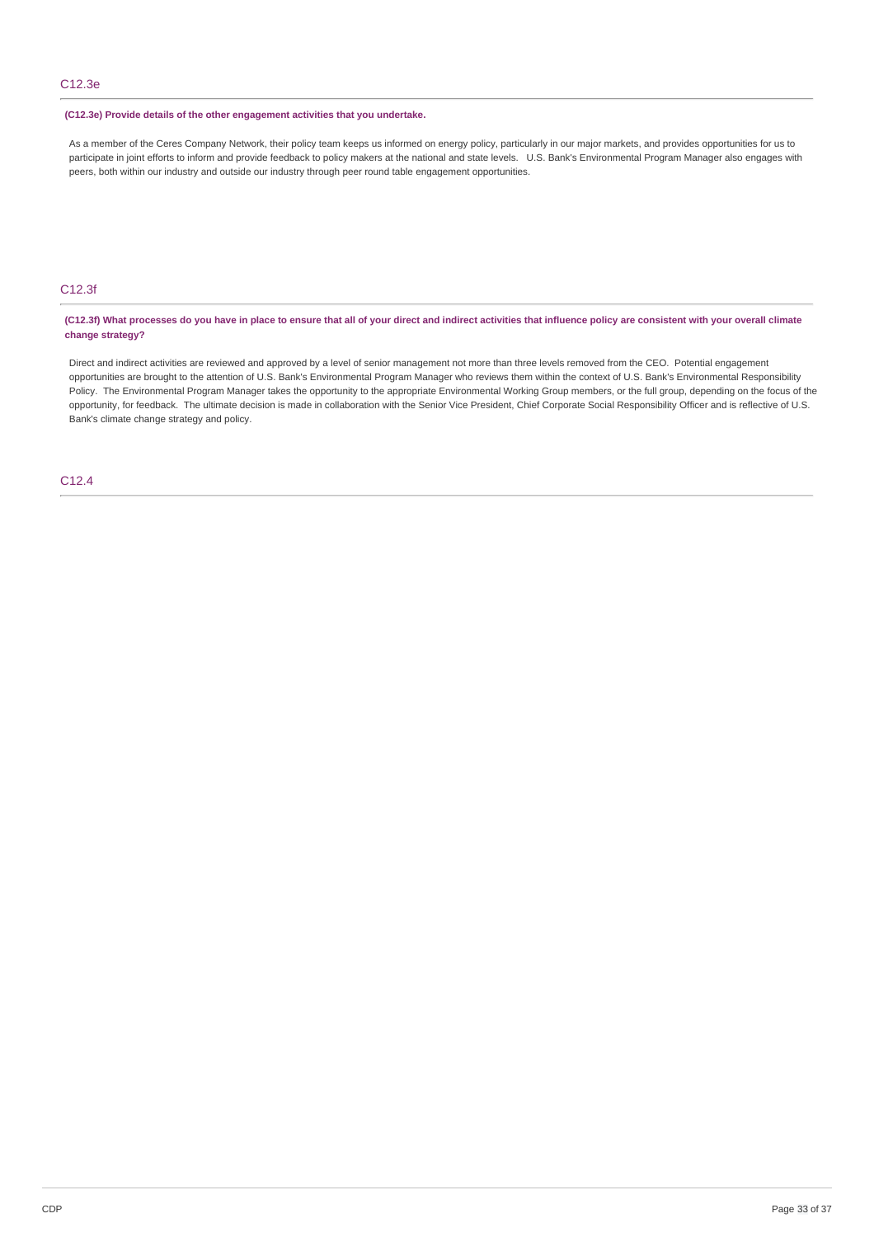### **(C12.3e) Provide details of the other engagement activities that you undertake.**

As a member of the Ceres Company Network, their policy team keeps us informed on energy policy, particularly in our major markets, and provides opportunities for us to participate in joint efforts to inform and provide feedback to policy makers at the national and state levels. U.S. Bank's Environmental Program Manager also engages with peers, both within our industry and outside our industry through peer round table engagement opportunities.

## C12.3f

(C12.3f) What processes do you have in place to ensure that all of your direct and indirect activities that influence policy are consistent with your overall climate **change strategy?**

Direct and indirect activities are reviewed and approved by a level of senior management not more than three levels removed from the CEO. Potential engagement opportunities are brought to the attention of U.S. Bank's Environmental Program Manager who reviews them within the context of U.S. Bank's Environmental Responsibility Policy. The Environmental Program Manager takes the opportunity to the appropriate Environmental Working Group members, or the full group, depending on the focus of the opportunity, for feedback. The ultimate decision is made in collaboration with the Senior Vice President, Chief Corporate Social Responsibility Officer and is reflective of U.S. Bank's climate change strategy and policy.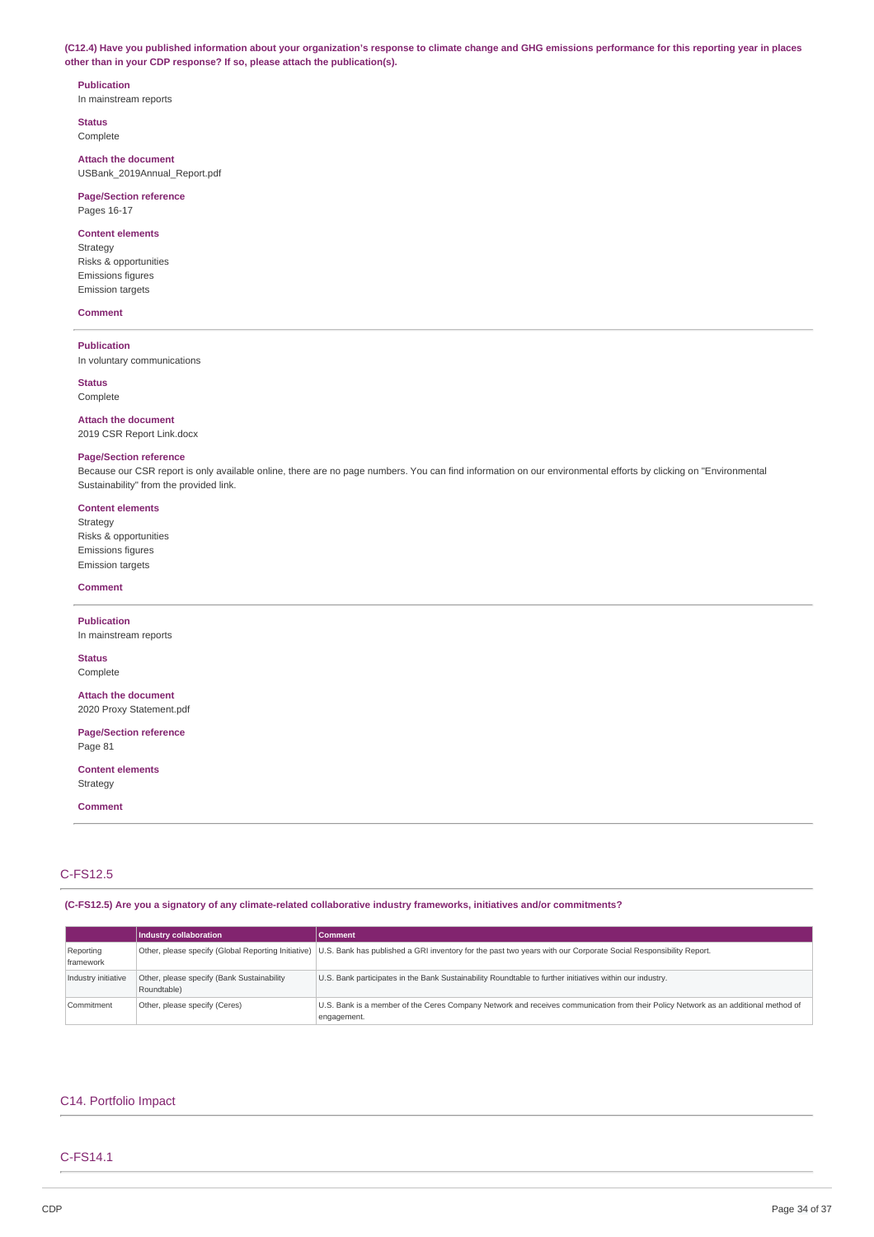(C12.4) Have you published information about your organization's response to climate change and GHG emissions performance for this reporting year in places **other than in your CDP response? If so, please attach the publication(s).**

# **Publication**

In mainstream reports

**Status** Complete

**Attach the document** USBank\_2019Annual\_Report.pdf

**Page/Section reference** Pages 16-17

## **Content elements**

Strategy Risks & opportunities Emissions figures Emission targets

### **Comment**

**Publication**

In voluntary communications

**Status** Complete

**Attach the document** 2019 CSR Report Link.docx

### **Page/Section reference**

Because our CSR report is only available online, there are no page numbers. You can find information on our environmental efforts by clicking on "Environmental Sustainability" from the provided link.

### **Content elements**

Strategy Risks & opportunities Emissions figures Emission targets

#### **Comment**

**Publication** In mainstream reports

**Status** Complete

**Attach the document** 2020 Proxy Statement.pdf

**Page/Section reference** Page 81

**Content elements** Strategy

**Comment**

## C-FS12.5

**(C-FS12.5) Are you a signatory of any climate-related collaborative industry frameworks, initiatives and/or commitments?**

|                        | Industry collaboration                                    | <b>Comment</b>                                                                                                                                                      |
|------------------------|-----------------------------------------------------------|---------------------------------------------------------------------------------------------------------------------------------------------------------------------|
| Reporting<br>framework |                                                           | Other, please specify (Global Reporting Initiative) U.S. Bank has published a GRI inventory for the past two years with our Corporate Social Responsibility Report. |
| Industry initiative    | Other, please specify (Bank Sustainability<br>Roundtable) | U.S. Bank participates in the Bank Sustainability Roundtable to further initiatives within our industry.                                                            |
| Commitment             | Other, please specify (Ceres)                             | U.S. Bank is a member of the Ceres Company Network and receives communication from their Policy Network as an additional method of<br>engagement.                   |

## C14. Portfolio Impact

## C-FS14.1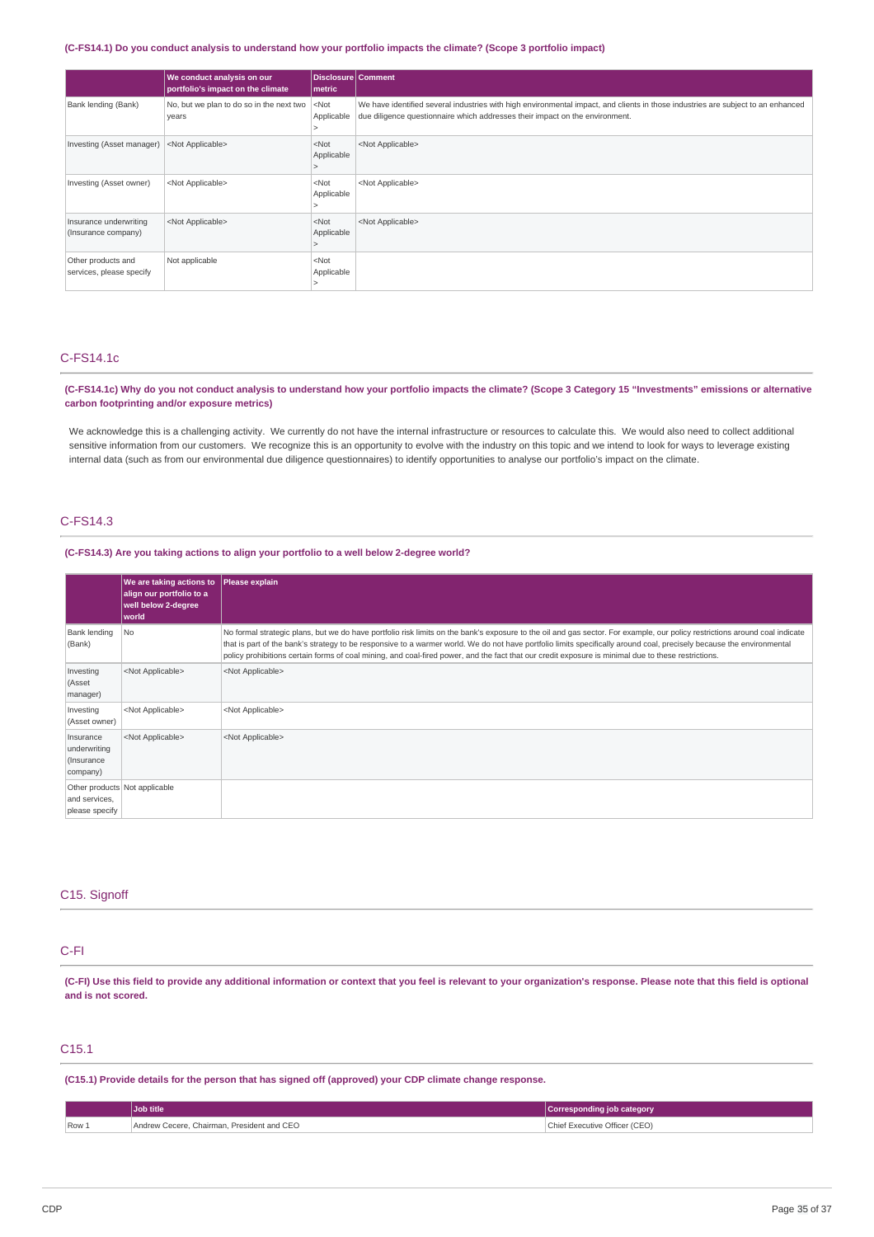### (C-FS14.1) Do you conduct analysis to understand how your portfolio impacts the climate? (Scope 3 portfolio impact)

|                                                | We conduct analysis on our<br>portfolio's impact on the climate | Disclosure   Comment<br>metric |                                                                                                                                                                                                                  |
|------------------------------------------------|-----------------------------------------------------------------|--------------------------------|------------------------------------------------------------------------------------------------------------------------------------------------------------------------------------------------------------------|
| Bank lending (Bank)                            | No, but we plan to do so in the next two<br>years               | $<$ Not<br>Applicable          | We have identified several industries with high environmental impact, and clients in those industries are subject to an enhanced<br>due diligence questionnaire which addresses their impact on the environment. |
| Investing (Asset manager)                      | <not applicable=""></not>                                       | $<$ Not<br>Applicable          | <not applicable=""></not>                                                                                                                                                                                        |
| Investing (Asset owner)                        | <not applicable=""></not>                                       | $<$ Not<br>Applicable          | <not applicable=""></not>                                                                                                                                                                                        |
| Insurance underwriting<br>(Insurance company)  | <not applicable=""></not>                                       | $<$ Not<br>Applicable          | <not applicable=""></not>                                                                                                                                                                                        |
| Other products and<br>services, please specify | Not applicable                                                  | $<$ Not<br>Applicable          |                                                                                                                                                                                                                  |

## C-FS14.1c

(C-FS14.1c) Why do you not conduct analysis to understand how your portfolio impacts the climate? (Scope 3 Category 15 "Investments" emissions or alternative **carbon footprinting and/or exposure metrics)**

We acknowledge this is a challenging activity. We currently do not have the internal infrastructure or resources to calculate this. We would also need to collect additional sensitive information from our customers. We recognize this is an opportunity to evolve with the industry on this topic and we intend to look for ways to leverage existing internal data (such as from our environmental due diligence questionnaires) to identify opportunities to analyse our portfolio's impact on the climate.

## C-FS14.3

## **(C-FS14.3) Are you taking actions to align your portfolio to a well below 2-degree world?**

|                                                     | We are taking actions to Please explain<br>align our portfolio to a<br>well below 2-degree<br>world |                                                                                                                                                                                                                                                                                                                                                                                                                                                                                                             |
|-----------------------------------------------------|-----------------------------------------------------------------------------------------------------|-------------------------------------------------------------------------------------------------------------------------------------------------------------------------------------------------------------------------------------------------------------------------------------------------------------------------------------------------------------------------------------------------------------------------------------------------------------------------------------------------------------|
| Bank lending<br>(Bank)                              | No.                                                                                                 | No formal strategic plans, but we do have portfolio risk limits on the bank's exposure to the oil and gas sector. For example, our policy restrictions around coal indicate<br>that is part of the bank's strategy to be responsive to a warmer world. We do not have portfolio limits specifically around coal, precisely because the environmental<br>policy prohibitions certain forms of coal mining, and coal-fired power, and the fact that our credit exposure is minimal due to these restrictions. |
| Investing<br>(Asset<br>manager)                     | <not applicable=""></not>                                                                           | <not applicable=""></not>                                                                                                                                                                                                                                                                                                                                                                                                                                                                                   |
| Investing<br>(Asset owner)                          | <not applicable=""></not>                                                                           | <not applicable=""></not>                                                                                                                                                                                                                                                                                                                                                                                                                                                                                   |
| Insurance<br>underwriting<br>(Insurance<br>company) | <not applicable=""></not>                                                                           | <not applicable=""></not>                                                                                                                                                                                                                                                                                                                                                                                                                                                                                   |
| and services,<br>please specify                     | Other products Not applicable                                                                       |                                                                                                                                                                                                                                                                                                                                                                                                                                                                                                             |

### C15. Signoff

## C-FI

(C-FI) Use this field to provide any additional information or context that you feel is relevant to your organization's response. Please note that this field is optional **and is not scored.**

## C15.1

**(C15.1) Provide details for the person that has signed off (approved) your CDP climate change response.**

|       | Job title                                  | Corresponding job category    |
|-------|--------------------------------------------|-------------------------------|
| Row 1 | Andrew Cecere, Chairman, President and CEO | Chief Executive Officer (CEO) |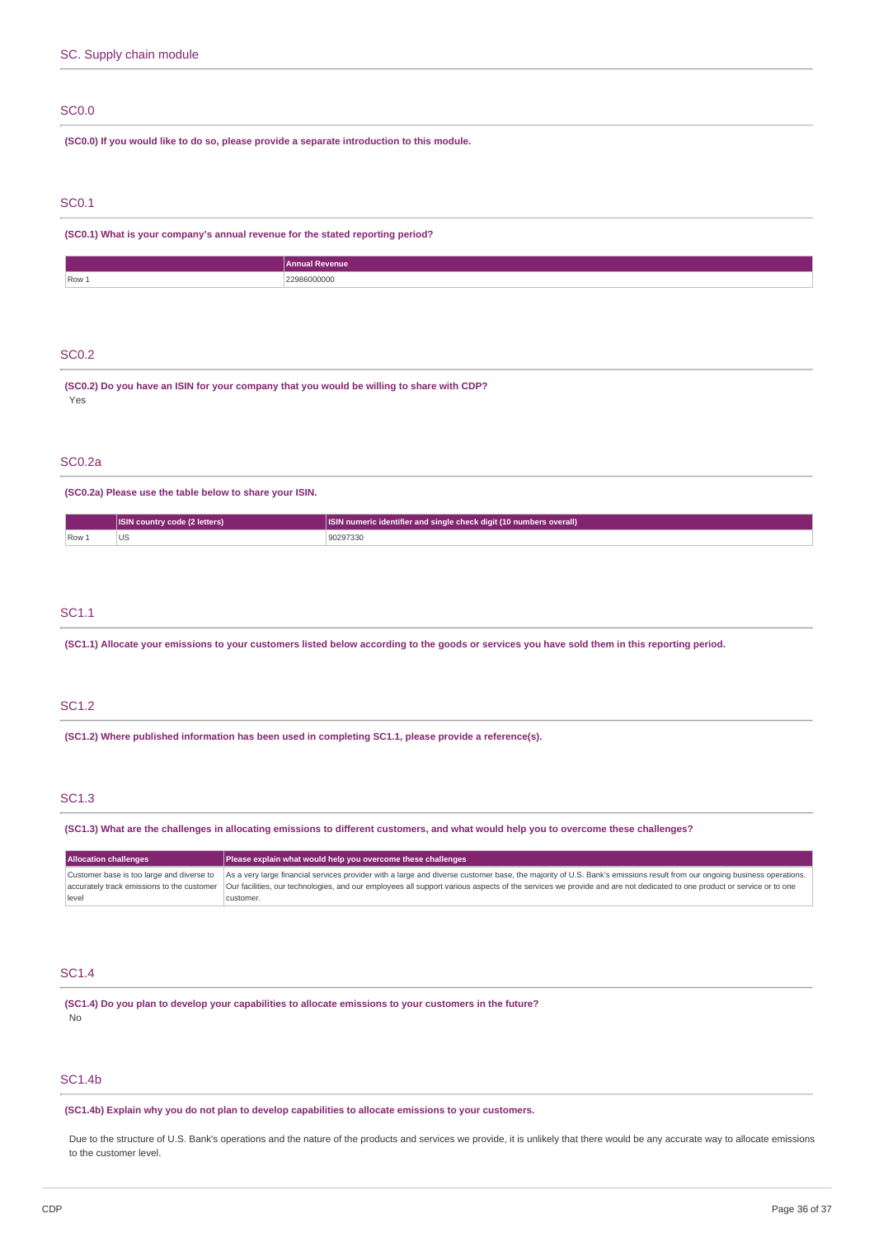## SC0.0

**(SC0.0) If you would like to do so, please provide a separate introduction to this module.**

## SC0.1

**(SC0.1) What is your company's annual revenue for the stated reporting period?**

|       | <b>Annual Revenue</b> |
|-------|-----------------------|
| Row 1 | 209600000<br>000000   |

## SC0.2

**(SC0.2) Do you have an ISIN for your company that you would be willing to share with CDP?** Yes

### SC0.2a

**(SC0.2a) Please use the table below to share your ISIN.**

|      | ISIN country code (2 letters) | <b>ISIN numeric identifier and single check digit (10 numbers overall)</b> |
|------|-------------------------------|----------------------------------------------------------------------------|
| Row. | US<br>.                       | 90297330<br>.                                                              |

### SC1.1

(SC1.1) Allocate your emissions to your customers listed below according to the goods or services you have sold them in this reporting period.

## SC1.2

**(SC1.2) Where published information has been used in completing SC1.1, please provide a reference(s).**

## SC1.3

(SC1.3) What are the challenges in allocating emissions to different customers, and what would help you to overcome these challenges?

| <b>Allocation challenges</b>                       | Please explain what would help you overcome these challenges                                                                                                                                                                                                                                                                                                                                             |  |
|----------------------------------------------------|----------------------------------------------------------------------------------------------------------------------------------------------------------------------------------------------------------------------------------------------------------------------------------------------------------------------------------------------------------------------------------------------------------|--|
| Customer base is too large and diverse to<br>level | As a very large financial services provider with a large and diverse customer base, the majority of U.S. Bank's emissions result from our ongoing business operations.<br>accurately track emissions to the customer   Our facilities, our technologies, and our employees all support various aspects of the services we provide and are not dedicated to one product or service or to one<br>customer. |  |

## SC1.4

**(SC1.4) Do you plan to develop your capabilities to allocate emissions to your customers in the future?** No

### SC1.4b

**(SC1.4b) Explain why you do not plan to develop capabilities to allocate emissions to your customers.**

Due to the structure of U.S. Bank's operations and the nature of the products and services we provide, it is unlikely that there would be any accurate way to allocate emissions to the customer level.